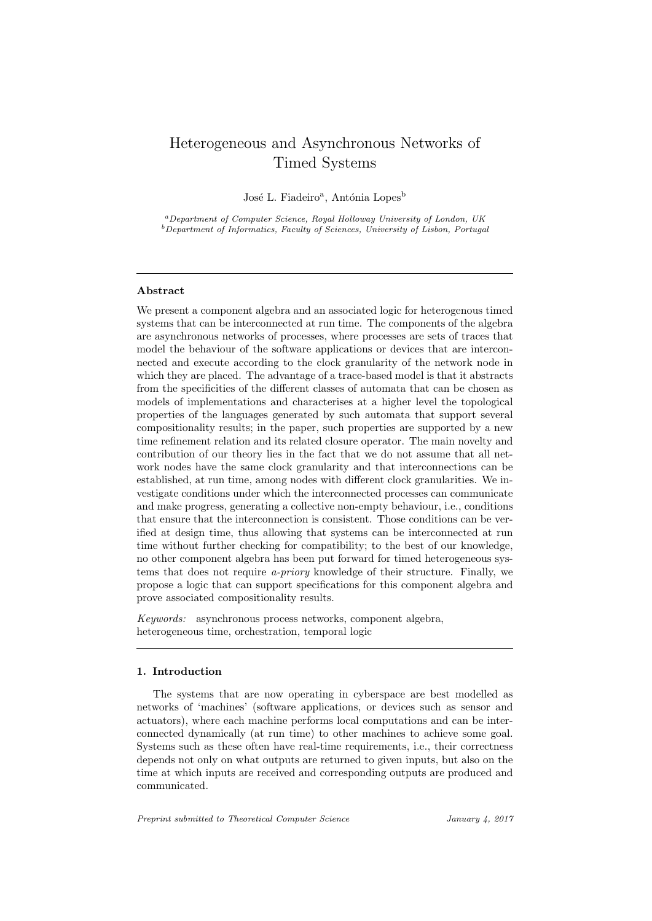# Heterogeneous and Asynchronous Networks of Timed Systems

José L. Fiadeiro<sup>a</sup>, Antónia Lopes<sup>b</sup>

<sup>a</sup>Department of Computer Science, Royal Holloway University of London, UK  $^{b}$  Department of Informatics, Faculty of Sciences, University of Lisbon, Portugal

#### Abstract

We present a component algebra and an associated logic for heterogenous timed systems that can be interconnected at run time. The components of the algebra are asynchronous networks of processes, where processes are sets of traces that model the behaviour of the software applications or devices that are interconnected and execute according to the clock granularity of the network node in which they are placed. The advantage of a trace-based model is that it abstracts from the specificities of the different classes of automata that can be chosen as models of implementations and characterises at a higher level the topological properties of the languages generated by such automata that support several compositionality results; in the paper, such properties are supported by a new time refinement relation and its related closure operator. The main novelty and contribution of our theory lies in the fact that we do not assume that all network nodes have the same clock granularity and that interconnections can be established, at run time, among nodes with different clock granularities. We investigate conditions under which the interconnected processes can communicate and make progress, generating a collective non-empty behaviour, i.e., conditions that ensure that the interconnection is consistent. Those conditions can be verified at design time, thus allowing that systems can be interconnected at run time without further checking for compatibility; to the best of our knowledge, no other component algebra has been put forward for timed heterogeneous systems that does not require a-priory knowledge of their structure. Finally, we propose a logic that can support specifications for this component algebra and prove associated compositionality results.

Keywords: asynchronous process networks, component algebra, heterogeneous time, orchestration, temporal logic

## 1. Introduction

The systems that are now operating in cyberspace are best modelled as networks of 'machines' (software applications, or devices such as sensor and actuators), where each machine performs local computations and can be interconnected dynamically (at run time) to other machines to achieve some goal. Systems such as these often have real-time requirements, i.e., their correctness depends not only on what outputs are returned to given inputs, but also on the time at which inputs are received and corresponding outputs are produced and communicated.

Preprint submitted to Theoretical Computer Science  $\frac{1}{2}$  January 4, 2017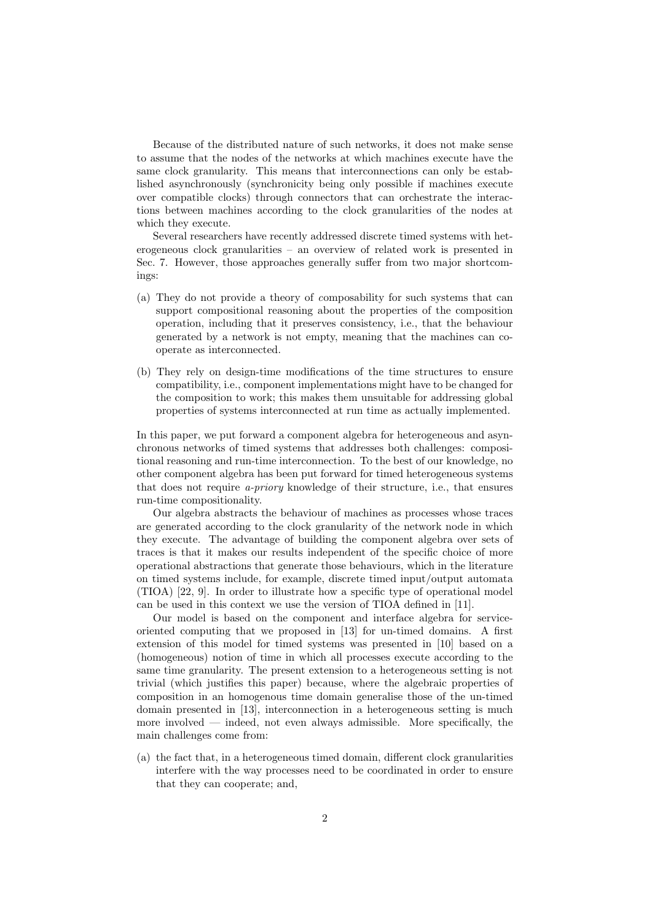Because of the distributed nature of such networks, it does not make sense to assume that the nodes of the networks at which machines execute have the same clock granularity. This means that interconnections can only be established asynchronously (synchronicity being only possible if machines execute over compatible clocks) through connectors that can orchestrate the interactions between machines according to the clock granularities of the nodes at which they execute.

Several researchers have recently addressed discrete timed systems with heterogeneous clock granularities – an overview of related work is presented in Sec. 7. However, those approaches generally suffer from two major shortcomings:

- (a) They do not provide a theory of composability for such systems that can support compositional reasoning about the properties of the composition operation, including that it preserves consistency, i.e., that the behaviour generated by a network is not empty, meaning that the machines can cooperate as interconnected.
- (b) They rely on design-time modifications of the time structures to ensure compatibility, i.e., component implementations might have to be changed for the composition to work; this makes them unsuitable for addressing global properties of systems interconnected at run time as actually implemented.

In this paper, we put forward a component algebra for heterogeneous and asynchronous networks of timed systems that addresses both challenges: compositional reasoning and run-time interconnection. To the best of our knowledge, no other component algebra has been put forward for timed heterogeneous systems that does not require *a-priory* knowledge of their structure, i.e., that ensures run-time compositionality.

Our algebra abstracts the behaviour of machines as processes whose traces are generated according to the clock granularity of the network node in which they execute. The advantage of building the component algebra over sets of traces is that it makes our results independent of the specific choice of more operational abstractions that generate those behaviours, which in the literature on timed systems include, for example, discrete timed input/output automata (TIOA) [22, 9]. In order to illustrate how a specific type of operational model can be used in this context we use the version of TIOA defined in [11].

Our model is based on the component and interface algebra for serviceoriented computing that we proposed in [13] for un-timed domains. A first extension of this model for timed systems was presented in [10] based on a (homogeneous) notion of time in which all processes execute according to the same time granularity. The present extension to a heterogeneous setting is not trivial (which justifies this paper) because, where the algebraic properties of composition in an homogenous time domain generalise those of the un-timed domain presented in [13], interconnection in a heterogeneous setting is much more involved — indeed, not even always admissible. More specifically, the main challenges come from:

(a) the fact that, in a heterogeneous timed domain, different clock granularities interfere with the way processes need to be coordinated in order to ensure that they can cooperate; and,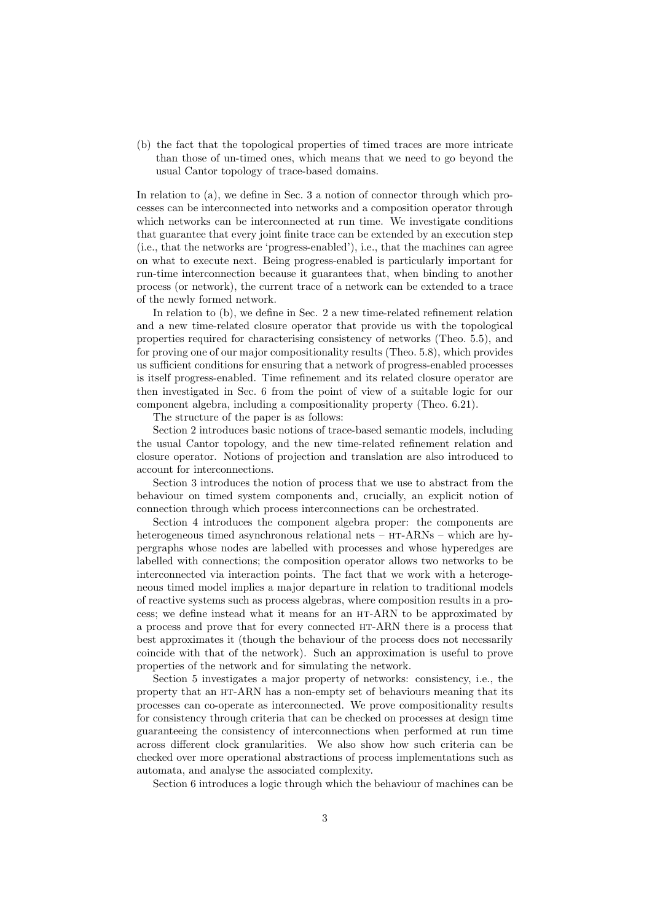(b) the fact that the topological properties of timed traces are more intricate than those of un-timed ones, which means that we need to go beyond the usual Cantor topology of trace-based domains.

In relation to (a), we define in Sec. 3 a notion of connector through which processes can be interconnected into networks and a composition operator through which networks can be interconnected at run time. We investigate conditions that guarantee that every joint finite trace can be extended by an execution step (i.e., that the networks are 'progress-enabled'), i.e., that the machines can agree on what to execute next. Being progress-enabled is particularly important for run-time interconnection because it guarantees that, when binding to another process (or network), the current trace of a network can be extended to a trace of the newly formed network.

In relation to (b), we define in Sec. 2 a new time-related refinement relation and a new time-related closure operator that provide us with the topological properties required for characterising consistency of networks (Theo. 5.5), and for proving one of our major compositionality results (Theo. 5.8), which provides us sufficient conditions for ensuring that a network of progress-enabled processes is itself progress-enabled. Time refinement and its related closure operator are then investigated in Sec. 6 from the point of view of a suitable logic for our component algebra, including a compositionality property (Theo. 6.21).

The structure of the paper is as follows:

Section 2 introduces basic notions of trace-based semantic models, including the usual Cantor topology, and the new time-related refinement relation and closure operator. Notions of projection and translation are also introduced to account for interconnections.

Section 3 introduces the notion of process that we use to abstract from the behaviour on timed system components and, crucially, an explicit notion of connection through which process interconnections can be orchestrated.

Section 4 introduces the component algebra proper: the components are heterogeneous timed asynchronous relational nets  $-$  HT-ARNs  $-$  which are hypergraphs whose nodes are labelled with processes and whose hyperedges are labelled with connections; the composition operator allows two networks to be interconnected via interaction points. The fact that we work with a heterogeneous timed model implies a major departure in relation to traditional models of reactive systems such as process algebras, where composition results in a process; we define instead what it means for an ht-ARN to be approximated by a process and prove that for every connected ht-ARN there is a process that best approximates it (though the behaviour of the process does not necessarily coincide with that of the network). Such an approximation is useful to prove properties of the network and for simulating the network.

Section 5 investigates a major property of networks: consistency, i.e., the property that an HT-ARN has a non-empty set of behaviours meaning that its processes can co-operate as interconnected. We prove compositionality results for consistency through criteria that can be checked on processes at design time guaranteeing the consistency of interconnections when performed at run time across different clock granularities. We also show how such criteria can be checked over more operational abstractions of process implementations such as automata, and analyse the associated complexity.

Section 6 introduces a logic through which the behaviour of machines can be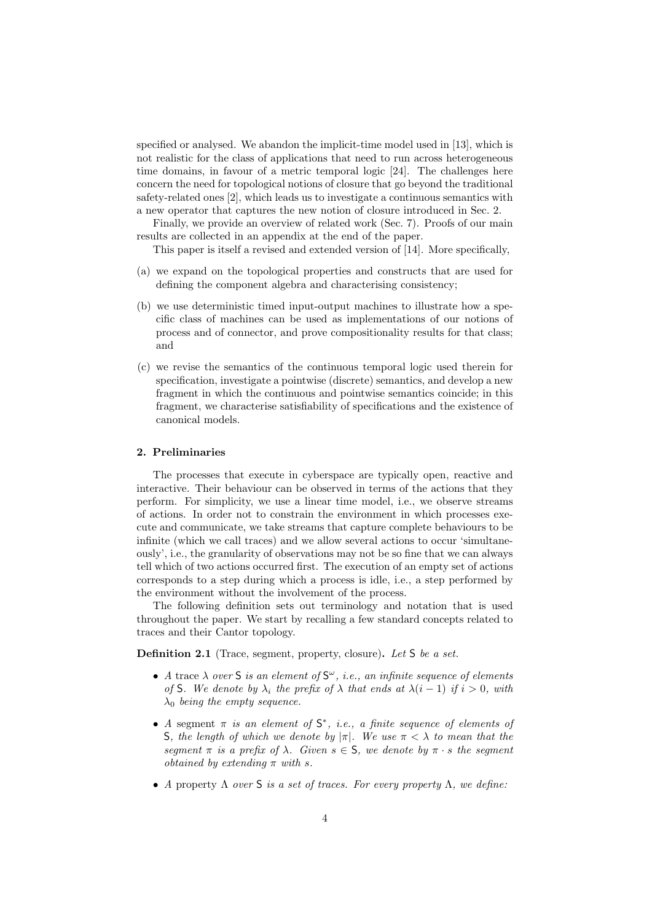specified or analysed. We abandon the implicit-time model used in [13], which is not realistic for the class of applications that need to run across heterogeneous time domains, in favour of a metric temporal logic [24]. The challenges here concern the need for topological notions of closure that go beyond the traditional safety-related ones [2], which leads us to investigate a continuous semantics with a new operator that captures the new notion of closure introduced in Sec. 2.

Finally, we provide an overview of related work (Sec. 7). Proofs of our main results are collected in an appendix at the end of the paper.

This paper is itself a revised and extended version of [14]. More specifically,

- (a) we expand on the topological properties and constructs that are used for defining the component algebra and characterising consistency;
- (b) we use deterministic timed input-output machines to illustrate how a specific class of machines can be used as implementations of our notions of process and of connector, and prove compositionality results for that class; and
- (c) we revise the semantics of the continuous temporal logic used therein for specification, investigate a pointwise (discrete) semantics, and develop a new fragment in which the continuous and pointwise semantics coincide; in this fragment, we characterise satisfiability of specifications and the existence of canonical models.

## 2. Preliminaries

The processes that execute in cyberspace are typically open, reactive and interactive. Their behaviour can be observed in terms of the actions that they perform. For simplicity, we use a linear time model, i.e., we observe streams of actions. In order not to constrain the environment in which processes execute and communicate, we take streams that capture complete behaviours to be infinite (which we call traces) and we allow several actions to occur 'simultaneously', i.e., the granularity of observations may not be so fine that we can always tell which of two actions occurred first. The execution of an empty set of actions corresponds to a step during which a process is idle, i.e., a step performed by the environment without the involvement of the process.

The following definition sets out terminology and notation that is used throughout the paper. We start by recalling a few standard concepts related to traces and their Cantor topology.

Definition 2.1 (Trace, segment, property, closure). Let S be a set.

- A trace  $\lambda$  over S is an element of  $S^{\omega}$ , i.e., an infinite sequence of elements of S. We denote by  $\lambda_i$  the prefix of  $\lambda$  that ends at  $\lambda(i-1)$  if  $i > 0$ , with  $\lambda_0$  being the empty sequence.
- A segment  $\pi$  is an element of  $S^*$ , i.e., a finite sequence of elements of S, the length of which we denote by  $|\pi|$ . We use  $\pi < \lambda$  to mean that the segment  $\pi$  is a prefix of  $\lambda$ . Given  $s \in \mathsf{S}$ , we denote by  $\pi \cdot s$  the segment *obtained by extending*  $\pi$  *with s*.
- A property  $\Lambda$  over S is a set of traces. For every property  $\Lambda$ , we define: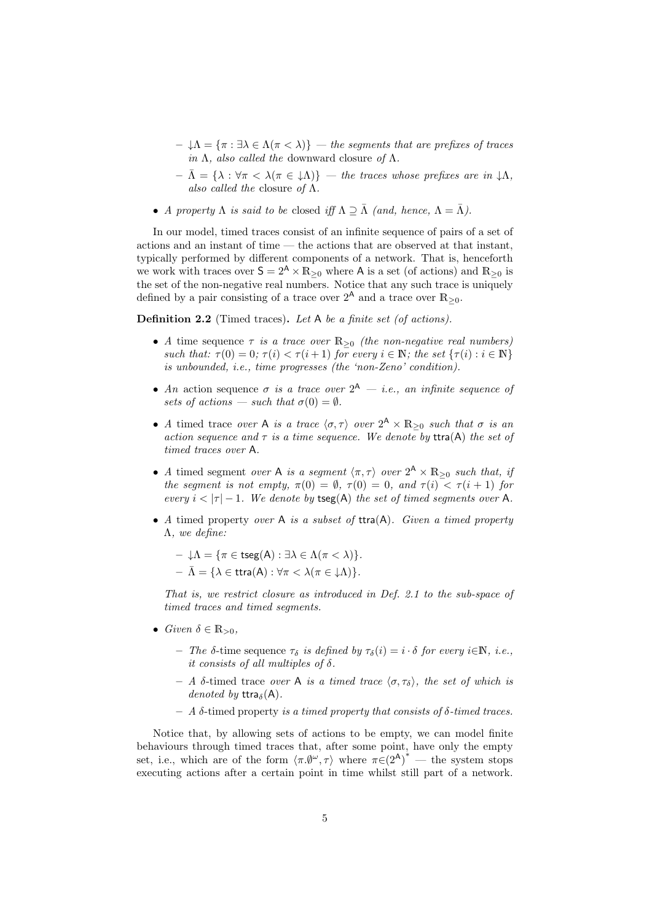- $-\downarrow \Lambda = {\pi : \exists \lambda \in \Lambda(\pi < \lambda)}$  the segments that are prefixes of traces in  $\Lambda$ , also called the downward closure of  $\Lambda$ .
- $-\bar{\Lambda} = {\lambda : \forall \pi < \lambda(\pi \in {\downarrow \Lambda})} \text{the traces whose prefixes are in }\downarrow \Lambda,$ also called the closure of  $\Lambda$ .
- A property  $\Lambda$  is said to be closed iff  $\Lambda \supseteq \overline{\Lambda}$  (and, hence,  $\Lambda = \overline{\Lambda}$ ).

In our model, timed traces consist of an infinite sequence of pairs of a set of actions and an instant of time — the actions that are observed at that instant, typically performed by different components of a network. That is, henceforth we work with traces over  $S = 2^A \times \mathbb{R}_{\geq 0}$  where A is a set (of actions) and  $\mathbb{R}_{\geq 0}$  is the set of the non-negative real numbers. Notice that any such trace is uniquely defined by a pair consisting of a trace over  $2^A$  and a trace over  $\mathbb{R}_{\geq 0}$ .

Definition 2.2 (Timed traces). Let A be a finite set (of actions).

- A time sequence  $\tau$  is a trace over  $\mathbb{R}_{\geq 0}$  (the non-negative real numbers) such that:  $\tau(0) = 0$ ;  $\tau(i) < \tau(i+1)$  for every  $i \in \mathbb{N}$ ; the set  $\{\tau(i) : i \in \mathbb{N}\}\$ is unbounded, i.e., time progresses (the 'non-Zeno' condition).
- An action sequence  $\sigma$  is a trace over  $2^{\mathsf{A}} i.e.,$  an infinite sequence of sets of actions — such that  $\sigma(0) = \emptyset$ .
- A timed trace over A is a trace  $\langle \sigma, \tau \rangle$  over  $2^{\mathsf{A}} \times \mathbb{R}_{\geq 0}$  such that  $\sigma$  is an action sequence and  $\tau$  is a time sequence. We denote by ttra(A) the set of timed traces over A.
- A timed segment over A is a segment  $\langle \pi, \tau \rangle$  over  $2^{\mathsf{A}} \times \mathbb{R}_{\geq 0}$  such that, if the segment is not empty,  $\pi(0) = \emptyset$ ,  $\tau(0) = 0$ , and  $\tau(i) < \tau(i+1)$  for every  $i < |\tau| - 1$ . We denote by  $\text{tseg}(A)$  the set of timed segments over A.
- A timed property over A is a subset of  $\text{tra}(A)$ . Given a timed property Λ, we define:
	- $-\downarrow \Lambda = {\pi \in \text{tseg}(A) : \exists \lambda \in \Lambda(\pi < \lambda)}.$  $-\bar{\Lambda} = {\lambda \in \text{trn}(A) : \forall \pi < \lambda(\pi \in \downarrow \Lambda)}.$

That is, we restrict closure as introduced in Def. 2.1 to the sub-space of timed traces and timed segments.

- Given  $\delta \in \mathbb{R}_{>0}$ ,
	- The δ-time sequence  $\tau_{\delta}$  is defined by  $\tau_{\delta}(i) = i \cdot \delta$  for every i $\in \mathbb{N}$ , i.e., it consists of all multiples of  $\delta$ .
	- A δ-timed trace over A is a timed trace  $\langle \sigma, \tau_{\delta} \rangle$ , the set of which is denoted by ttra $_{\delta}$ (A).
	- $A δ$ -timed property is a timed property that consists of  $δ$ -timed traces.

Notice that, by allowing sets of actions to be empty, we can model finite behaviours through timed traces that, after some point, have only the empty set, i.e., which are of the form  $\langle \pi . \theta^{\omega}, \tau \rangle$  where  $\pi \in (2^{\mathsf{A}})^*$  — the system stops executing actions after a certain point in time whilst still part of a network.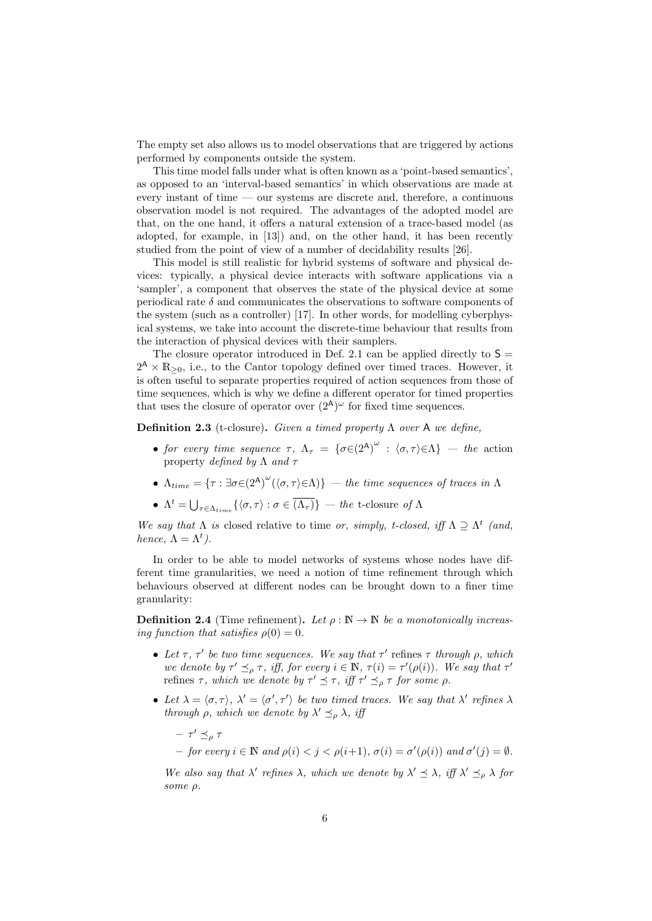The empty set also allows us to model observations that are triggered by actions performed by components outside the system.

This time model falls under what is often known as a 'point-based semantics', as opposed to an 'interval-based semantics' in which observations are made at every instant of time — our systems are discrete and, therefore, a continuous observation model is not required. The advantages of the adopted model are that, on the one hand, it offers a natural extension of a trace-based model (as adopted, for example, in [13]) and, on the other hand, it has been recently studied from the point of view of a number of decidability results [26].

This model is still realistic for hybrid systems of software and physical devices: typically, a physical device interacts with software applications via a 'sampler', a component that observes the state of the physical device at some periodical rate  $\delta$  and communicates the observations to software components of the system (such as a controller) [17]. In other words, for modelling cyberphysical systems, we take into account the discrete-time behaviour that results from the interaction of physical devices with their samplers.

The closure operator introduced in Def. 2.1 can be applied directly to  $S =$  $2^{\mathsf{A}} \times \mathbb{R}_{\geq 0}$ , i.e., to the Cantor topology defined over timed traces. However, it is often useful to separate properties required of action sequences from those of time sequences, which is why we define a different operator for timed properties that uses the closure of operator over  $(2^{\mathsf{A}})^{\omega}$  for fixed time sequences.

**Definition 2.3** (t-closure). Given a timed property  $\Lambda$  over A we define,

- for every time sequence  $\tau$ ,  $\Lambda_{\tau} = {\{\sigma \in (2^{\mathsf{A}})}^{\omega} : {\langle \sigma, \tau \rangle \in \Lambda} \}$  the action property defined by  $\Lambda$  and  $\tau$
- $\Lambda_{time} = {\tau : \exists \sigma \in (2^{\mathsf{A}})^{\omega}(\langle \sigma, \tau \rangle \in \Lambda) }$  the time sequences of traces in  $\Lambda$
- $\Lambda^t = \bigcup_{\tau \in \Lambda_{time}} \{ \langle \sigma, \tau \rangle : \sigma \in \overline{(\Lambda_{\tau})} \}$  the t-closure of  $\Lambda$

We say that  $\Lambda$  is closed relative to time or, simply, t-closed, iff  $\Lambda \supseteq \Lambda^t$  (and, hence,  $\Lambda = \Lambda^t$ .

In order to be able to model networks of systems whose nodes have different time granularities, we need a notion of time refinement through which behaviours observed at different nodes can be brought down to a finer time granularity:

**Definition 2.4** (Time refinement). Let  $\rho : \mathbb{N} \to \mathbb{N}$  be a monotonically increasing function that satisfies  $\rho(0) = 0$ .

- Let  $\tau$ ,  $\tau'$  be two time sequences. We say that  $\tau'$  refines  $\tau$  through  $\rho$ , which we denote by  $\tau' \preceq_{\rho} \tau$ , iff, for every  $i \in \mathbb{N}$ ,  $\tau(i) = \tau'(\rho(i))$ . We say that  $\tau'$ refines  $\tau$ , which we denote by  $\tau' \preceq \tau$ , iff  $\tau' \preceq_{\rho} \tau$  for some  $\rho$ .
- Let  $\lambda = \langle \sigma, \tau \rangle$ ,  $\lambda' = \langle \sigma', \tau' \rangle$  be two timed traces. We say that  $\lambda'$  refines  $\lambda$ through  $\rho$ , which we denote by  $\lambda' \preceq_{\rho} \lambda$ , iff

 $\tau' \preceq_{\rho} \tau$  $-$  for every  $i \in \mathbb{N}$  and  $\rho(i) < j < \rho(i+1)$ ,  $\sigma(i) = \sigma'(\rho(i))$  and  $\sigma'(j) = \emptyset$ .

We also say that  $\lambda'$  refines  $\lambda$ , which we denote by  $\lambda' \leq \lambda$ , iff  $\lambda' \leq_{\rho} \lambda$  for some ρ.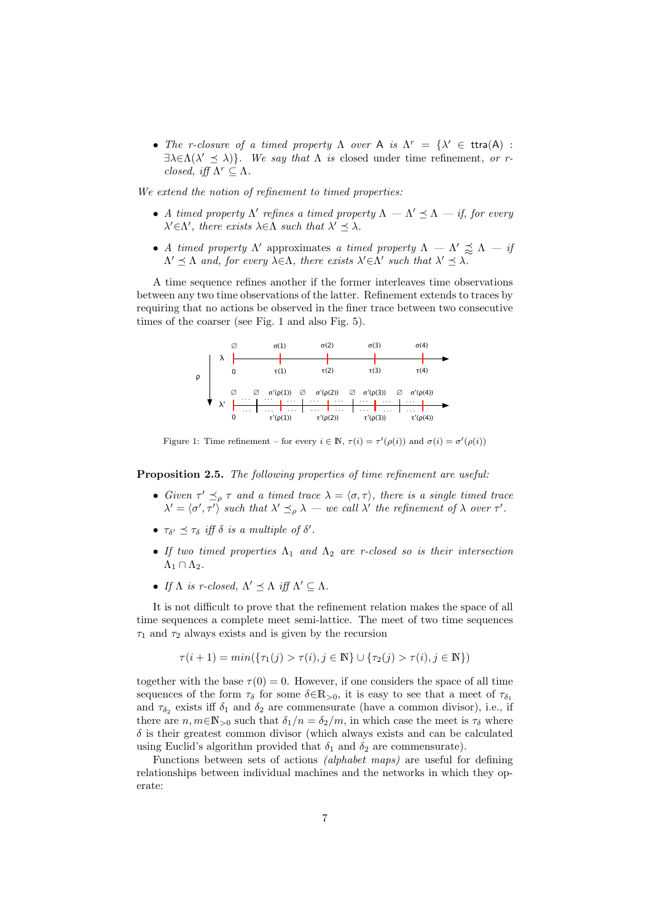• The r-closure of a timed property  $\Lambda$  over  $A$  is  $\Lambda^r = {\lambda' \in \text{tra}(A)}$ :  $\exists \lambda \in \Lambda(\lambda' \preceq \lambda)$ . We say that  $\Lambda$  is closed under time refinement, or rclosed, iff  $\Lambda^r \subseteq \Lambda$ .

We extend the notion of refinement to timed properties:

- A timed property  $\Lambda'$  refines a timed property  $\Lambda \Lambda' \preceq \Lambda i f$ , for every  $\lambda' \in \Lambda'$ , there exists  $\lambda \in \Lambda$  such that  $\lambda' \preceq \lambda$ .
- A timed property  $\Lambda'$  approximates a timed property  $\Lambda \Lambda' \precsim \Lambda i\mathfrak{z}$  $\Lambda' \leq \Lambda$  and, for every  $\lambda \in \Lambda$ , there exists  $\lambda' \in \Lambda'$  such that  $\lambda' \leq \lambda$ .

A time sequence refines another if the former interleaves time observations between any two time observations of the latter. Refinement extends to traces by requiring that no actions be observed in the finer trace between two consecutive times of the coarser (see Fig. 1 and also Fig. 5).



Figure 1: Time refinement – for every  $i \in \mathbb{N}$ ,  $\tau(i) = \tau'(\rho(i))$  and  $\sigma(i) = \sigma'(\rho(i))$ 

Proposition 2.5. The following properties of time refinement are useful:

- Given  $\tau' \preceq_{\rho} \tau$  and a timed trace  $\lambda = \langle \sigma, \tau \rangle$ , there is a single timed trace  $\lambda' = \langle \sigma', \tau' \rangle$  such that  $\lambda' \leq_{\rho} \lambda$  — we call  $\lambda'$  the refinement of  $\lambda$  over  $\tau'$ .
- $\tau_{\delta'} \preceq \tau_{\delta}$  iff  $\delta$  is a multiple of  $\delta'$ .
- If two timed properties  $\Lambda_1$  and  $\Lambda_2$  are r-closed so is their intersection  $\Lambda_1 \cap \Lambda_2$ .
- If  $\Lambda$  is r-closed,  $\Lambda' \preceq \Lambda$  iff  $\Lambda' \subseteq \Lambda$ .

It is not difficult to prove that the refinement relation makes the space of all time sequences a complete meet semi-lattice. The meet of two time sequences  $\tau_1$  and  $\tau_2$  always exists and is given by the recursion

$$
\tau(i+1) = \min(\{\tau_1(j) > \tau(i), j \in \mathbb{N}\} \cup \{\tau_2(j) > \tau(i), j \in \mathbb{N}\})
$$

together with the base  $\tau(0) = 0$ . However, if one considers the space of all time sequences of the form  $\tau_{\delta}$  for some  $\delta \in \mathbb{R}_{>0}$ , it is easy to see that a meet of  $\tau_{\delta_1}$ and  $\tau_{\delta_2}$  exists iff  $\delta_1$  and  $\delta_2$  are commensurate (have a common divisor), i.e., if there are  $n, m \in \mathbb{N}_{>0}$  such that  $\delta_1/n = \delta_2/m$ , in which case the meet is  $\tau_\delta$  where  $\delta$  is their greatest common divisor (which always exists and can be calculated using Euclid's algorithm provided that  $\delta_1$  and  $\delta_2$  are commensurate).

Functions between sets of actions (alphabet maps) are useful for defining relationships between individual machines and the networks in which they operate: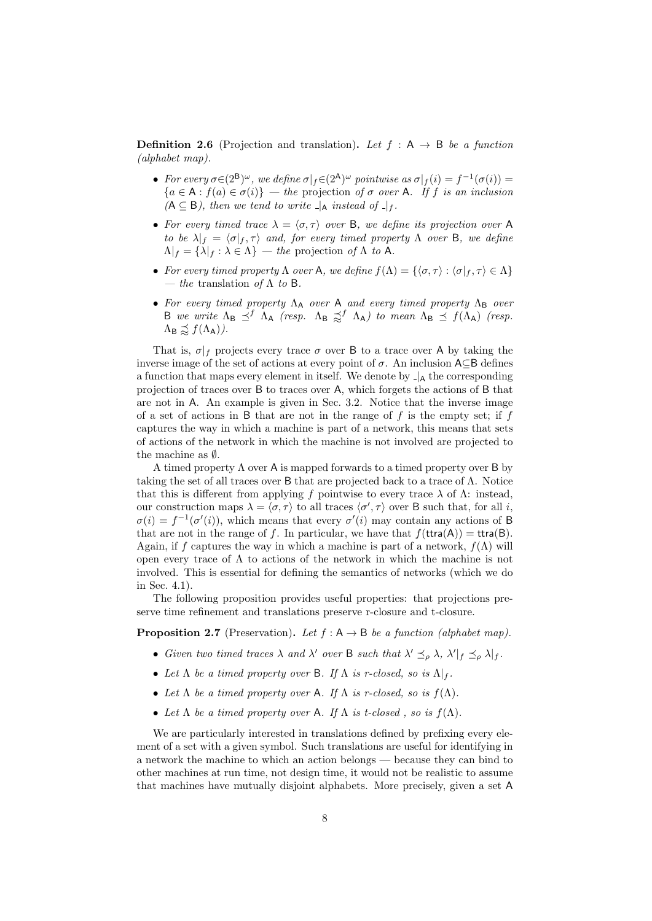**Definition 2.6** (Projection and translation). Let  $f : A \rightarrow B$  be a function (alphabet map).

- For every  $\sigma \in (2^B)^{\omega}$ , we define  $\sigma|_f \in (2^A)^{\omega}$  pointwise as  $\sigma|_f(i) = f^{-1}(\sigma(i)) =$  ${a \in A : f(a) \in \sigma(i)}$  — the projection of  $\sigma$  over A. If f is an inclusion  $(A \subseteq B)$ , then we tend to write  $\Box_A$  instead of  $\Box_f$ .
- For every timed trace  $\lambda = \langle \sigma, \tau \rangle$  over B, we define its projection over A to be  $\lambda|_f = \langle \sigma |_f , \tau \rangle$  and, for every timed property  $\Lambda$  over B, we define  $\Lambda|_f = {\lambda}_f : \lambda \in \Lambda$  – the projection of  $\Lambda$  to A.
- For every timed property  $\Lambda$  over  $\mathsf{A}$ , we define  $f(\Lambda) = \{\langle \sigma, \tau \rangle : \langle \sigma |_{f}, \tau \rangle \in \Lambda\}$ — the translation of  $\Lambda$  to B.
- For every timed property  $\Lambda_A$  over A and every timed property  $\Lambda_B$  over B we write  $\Lambda_B \preceq^f \Lambda_A$  (resp.  $\Lambda_B \preceq^f \Lambda_A$ ) to mean  $\Lambda_B \preceq f(\Lambda_A)$  (resp.  $\Lambda_{\mathsf{B}} \precsim f(\Lambda_{\mathsf{A}})$ ).

That is,  $\sigma|_f$  projects every trace  $\sigma$  over B to a trace over A by taking the inverse image of the set of actions at every point of  $\sigma$ . An inclusion A⊆B defines a function that maps every element in itself. We denote by  $\mathcal{A}$  the corresponding projection of traces over B to traces over A, which forgets the actions of B that are not in A. An example is given in Sec. 3.2. Notice that the inverse image of a set of actions in B that are not in the range of  $f$  is the empty set; if  $f$ captures the way in which a machine is part of a network, this means that sets of actions of the network in which the machine is not involved are projected to the machine as ∅.

A timed property  $\Lambda$  over A is mapped forwards to a timed property over B by taking the set of all traces over B that are projected back to a trace of Λ. Notice that this is different from applying f pointwise to every trace  $\lambda$  of  $\Lambda$ : instead, our construction maps  $\lambda = \langle \sigma, \tau \rangle$  to all traces  $\langle \sigma', \tau \rangle$  over B such that, for all i,  $\sigma(i) = f^{-1}(\sigma'(i))$ , which means that every  $\sigma'(i)$  may contain any actions of B that are not in the range of f. In particular, we have that  $f(\text{ttra}(A)) = \text{ttra}(B)$ . Again, if f captures the way in which a machine is part of a network,  $f(\Lambda)$  will open every trace of  $\Lambda$  to actions of the network in which the machine is not involved. This is essential for defining the semantics of networks (which we do in Sec. 4.1).

The following proposition provides useful properties: that projections preserve time refinement and translations preserve r-closure and t-closure.

**Proposition 2.7** (Preservation). Let  $f : A \rightarrow B$  be a function (alphabet map).

- Given two timed traces  $\lambda$  and  $\lambda'$  over B such that  $\lambda' \leq_{\rho} \lambda$ ,  $\lambda'|_f \leq_{\rho} \lambda|_f$ .
- Let  $\Lambda$  be a timed property over B. If  $\Lambda$  is r-closed, so is  $\Lambda|_f$ .
- Let  $\Lambda$  be a timed property over A. If  $\Lambda$  is r-closed, so is  $f(\Lambda)$ .
- Let  $\Lambda$  be a timed property over A. If  $\Lambda$  is t-closed, so is  $f(\Lambda)$ .

We are particularly interested in translations defined by prefixing every element of a set with a given symbol. Such translations are useful for identifying in a network the machine to which an action belongs — because they can bind to other machines at run time, not design time, it would not be realistic to assume that machines have mutually disjoint alphabets. More precisely, given a set A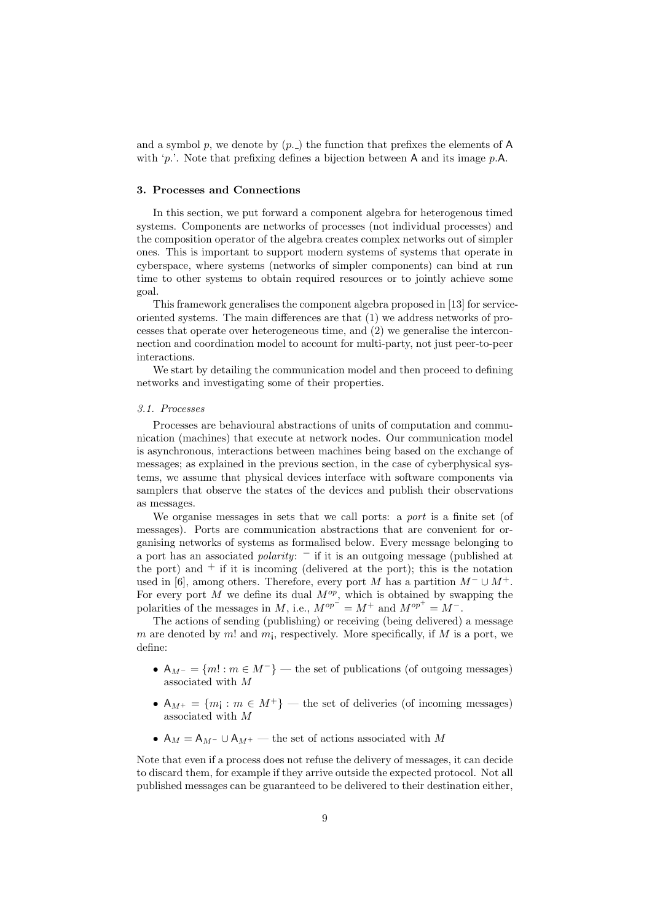and a symbol  $p$ , we denote by  $(p_1)$  the function that prefixes the elements of A with 'p.'. Note that prefixing defines a bijection between A and its image  $p.A$ .

### 3. Processes and Connections

In this section, we put forward a component algebra for heterogenous timed systems. Components are networks of processes (not individual processes) and the composition operator of the algebra creates complex networks out of simpler ones. This is important to support modern systems of systems that operate in cyberspace, where systems (networks of simpler components) can bind at run time to other systems to obtain required resources or to jointly achieve some goal.

This framework generalises the component algebra proposed in [13] for serviceoriented systems. The main differences are that (1) we address networks of processes that operate over heterogeneous time, and (2) we generalise the interconnection and coordination model to account for multi-party, not just peer-to-peer interactions.

We start by detailing the communication model and then proceed to defining networks and investigating some of their properties.

## 3.1. Processes

Processes are behavioural abstractions of units of computation and communication (machines) that execute at network nodes. Our communication model is asynchronous, interactions between machines being based on the exchange of messages; as explained in the previous section, in the case of cyberphysical systems, we assume that physical devices interface with software components via samplers that observe the states of the devices and publish their observations as messages.

We organise messages in sets that we call ports: a *port* is a finite set (of messages). Ports are communication abstractions that are convenient for organising networks of systems as formalised below. Every message belonging to a port has an associated *polarity*:  $\overline{\phantom{a}}$  if it is an outgoing message (published at the port) and  $+$  if it is incoming (delivered at the port); this is the notation used in [6], among others. Therefore, every port M has a partition  $M^- \cup M^+$ . For every port M we define its dual  $M^{op}$ , which is obtained by swapping the polarities of the messages in M, i.e.,  $M^{op} = M^+$  and  $M^{op} = M^-$ .

The actions of sending (publishing) or receiving (being delivered) a message m are denoted by m! and  $m_i$ , respectively. More specifically, if M is a port, we define:

- $A_{M^-} = \{m! : m \in M^-\}$  the set of publications (of outgoing messages) associated with M
- $A_{M^+} = \{m_i : m \in M^+\}$  the set of deliveries (of incoming messages) associated with M
- $A_M = A_{M^-} \cup A_{M^+}$  the set of actions associated with M

Note that even if a process does not refuse the delivery of messages, it can decide to discard them, for example if they arrive outside the expected protocol. Not all published messages can be guaranteed to be delivered to their destination either,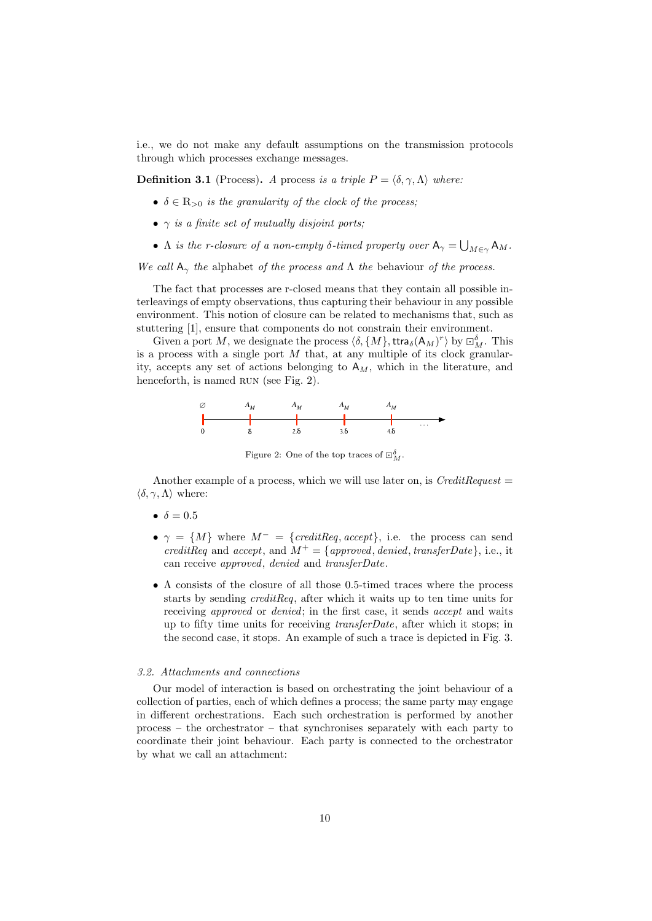i.e., we do not make any default assumptions on the transmission protocols through which processes exchange messages.

**Definition 3.1** (Process). A process is a triple  $P = \langle \delta, \gamma, \Lambda \rangle$  where:

- $\delta \in \mathbb{R}_{>0}$  is the granularity of the clock of the process;
- $\gamma$  is a finite set of mutually disjoint ports;
- A is the r-closure of a non-empty  $\delta$ -timed property over  $A_\gamma = \bigcup_{M \in \gamma} A_M$ .

We call  $A_{\gamma}$  the alphabet of the process and  $\Lambda$  the behaviour of the process.

The fact that processes are r-closed means that they contain all possible interleavings of empty observations, thus capturing their behaviour in any possible environment. This notion of closure can be related to mechanisms that, such as stuttering [1], ensure that components do not constrain their environment.

Given a port M, we designate the process  $\langle \delta, \{M\}, \text{trra}_{\delta}(A_M)^r \rangle$  by  $\Box_M^{\delta}$ . This is a process with a single port  $M$  that, at any multiple of its clock granularity, accepts any set of actions belonging to  $A_M$ , which in the literature, and henceforth, is named RUN (see Fig. 2).



Figure 2: One of the top traces of  $\Box_M^{\delta}$ .

Another example of a process, which we will use later on, is  $CreditRequest =$  $\langle \delta, \gamma, \Lambda \rangle$  where:

- $\delta = 0.5$
- $\gamma = \{M\}$  where  $M^- = \{creditReg, accept\}$ , i.e. the process can send creditReq and accept, and  $M^+ = \{approved, denied, transferDate\}$ , i.e., it can receive approved, denied and transferDate.
- $\Lambda$  consists of the closure of all those 0.5-timed traces where the process starts by sending creditReq, after which it waits up to ten time units for receiving *approved* or *denied*; in the first case, it sends *accept* and waits up to fifty time units for receiving transferDate, after which it stops; in the second case, it stops. An example of such a trace is depicted in Fig. 3.

#### 3.2. Attachments and connections

Our model of interaction is based on orchestrating the joint behaviour of a collection of parties, each of which defines a process; the same party may engage in different orchestrations. Each such orchestration is performed by another process – the orchestrator – that synchronises separately with each party to coordinate their joint behaviour. Each party is connected to the orchestrator by what we call an attachment: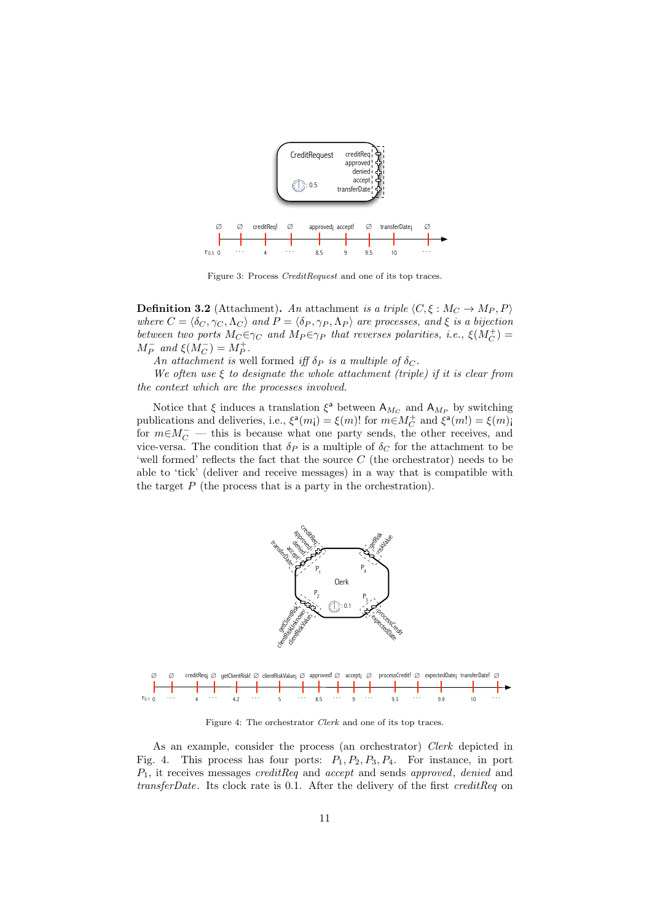

Figure 3: Process CreditRequest and one of its top traces.

**Definition 3.2** (Attachment). An attachment is a triple  $\langle C, \xi : M_C \to M_P, P \rangle$ where  $C = \langle \delta_C, \gamma_C, \Lambda_C \rangle$  and  $P = \langle \delta_P, \gamma_P, \Lambda_P \rangle$  are processes, and  $\xi$  is a bijection between two ports  $M_C \in \gamma_C$  and  $M_P \in \gamma_P$  that reverses polarities, i.e.,  $\xi(M_C^+)$  $M_P^-$  and  $\xi(M_C^-) = M_P^+$ .

An attachment is well formed iff  $\delta_P$  is a multiple of  $\delta_C$ .

We often use  $\xi$  to designate the whole attachment (triple) if it is clear from the context which are the processes involved.

Notice that  $\xi$  induces a translation  $\xi^{\mathsf{a}}$  between  $\mathsf{A}_{M_C}$  and  $\mathsf{A}_{M_P}$  by switching publications and deliveries, i.e.,  $\xi^a(m_i) = \xi(m)!$  for  $m \in M_C^+$  and  $\xi^a(m!) = \xi(m)$ ; for  $m \in M_C^-$  — this is because what one party sends, the other receives, and vice-versa. The condition that  $\delta_P$  is a multiple of  $\delta_C$  for the attachment to be 'well formed' reflects the fact that the source C (the orchestrator) needs to be able to 'tick' (deliver and receive messages) in a way that is compatible with the target  $P$  (the process that is a party in the orchestration).



Figure 4: The orchestrator *Clerk* and one of its top traces.

As an example, consider the process (an orchestrator) Clerk depicted in Fig. 4. This process has four ports:  $P_1$ ,  $P_2$ ,  $P_3$ ,  $P_4$ . For instance, in port  $P_1$ , it receives messages *creditReq* and *accept* and sends *approved*, *denied* and transferDate. Its clock rate is 0.1. After the delivery of the first creditReq on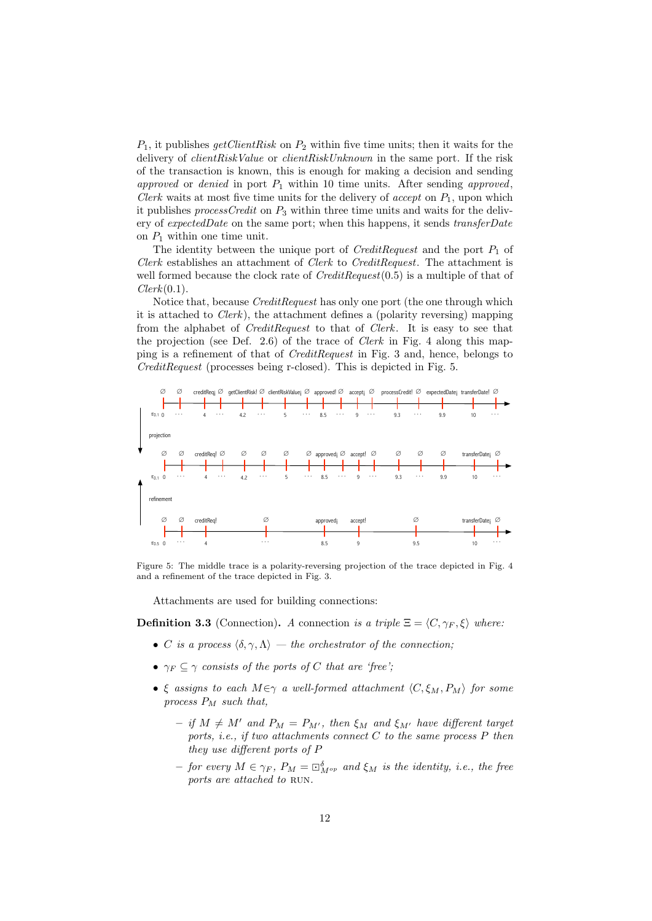$P_1$ , it publishes getClientRisk on  $P_2$  within five time units; then it waits for the delivery of *clientRiskValue* or *clientRiskUnknown* in the same port. If the risk of the transaction is known, this is enough for making a decision and sending approved or denied in port  $P_1$  within 10 time units. After sending approved, Clerk waits at most five time units for the delivery of accept on  $P_1$ , upon which it publishes process Credit on  $P_3$  within three time units and waits for the delivery of expected Date on the same port; when this happens, it sends transfer Date on  $P_1$  within one time unit.

The identity between the unique port of  $CreditRequest$  and the port  $P_1$  of Clerk establishes an attachment of Clerk to CreditRequest. The attachment is well formed because the clock rate of  $CreditRequest(0.5)$  is a multiple of that of  $Clerk(0.1)$ .

Notice that, because *CreditRequest* has only one port (the one through which it is attached to  $Clerk$ ), the attachment defines a (polarity reversing) mapping from the alphabet of *CreditRequest* to that of *Clerk*. It is easy to see that the projection (see Def. 2.6) of the trace of *Clerk* in Fig. 4 along this mapping is a refinement of that of CreditRequest in Fig. 3 and, hence, belongs to CreditRequest (processes being r-closed). This is depicted in Fig. 5.



Figure 5: The middle trace is a polarity-reversing projection of the trace depicted in Fig. 4 and a refinement of the trace depicted in Fig. 3.

Attachments are used for building connections:

**Definition 3.3** (Connection). A connection is a triple  $\Xi = \langle C, \gamma_F, \xi \rangle$  where:

- C is a process  $\langle \delta, \gamma, \Lambda \rangle$  the orchestrator of the connection;
- $\gamma_F \subseteq \gamma$  consists of the ports of C that are 'free';
- ξ assigns to each  $M \in \gamma$  a well-formed attachment  $\langle C, \xi_M, P_M \rangle$  for some process  $P_M$  such that,
	- if  $M \neq M'$  and  $P_M = P_{M'}$ , then  $\xi_M$  and  $\xi_{M'}$  have different target ports, i.e., if two attachments connect  $C$  to the same process  $P$  then they use different ports of P
	- $-$  for every  $M \in \gamma_F$ ,  $P_M = \Box_{M^{op}}^{\delta}$  and  $\xi_M$  is the identity, i.e., the free<br>norte are attached to PUN ports are attached to RUN.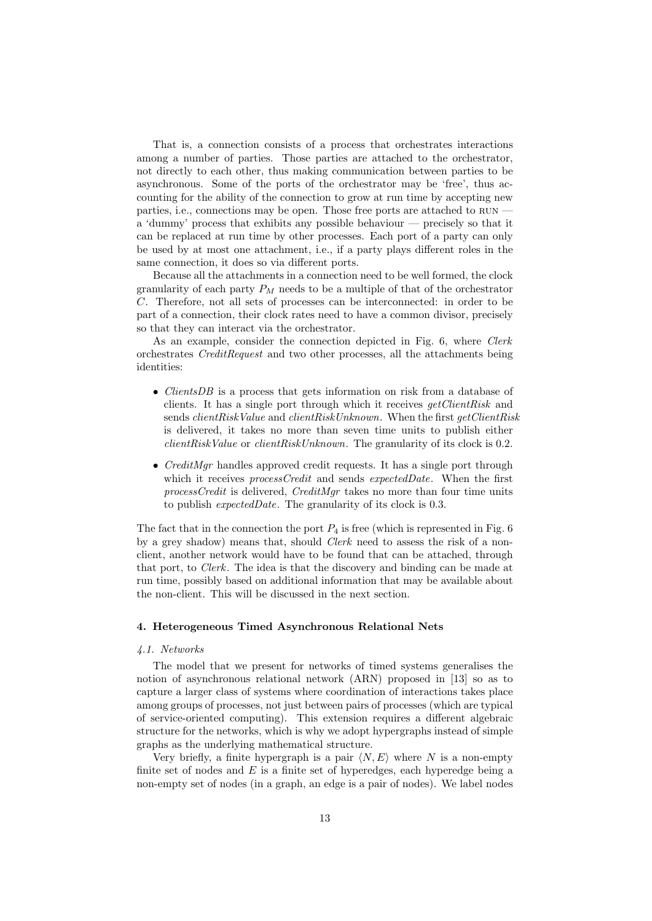That is, a connection consists of a process that orchestrates interactions among a number of parties. Those parties are attached to the orchestrator, not directly to each other, thus making communication between parties to be asynchronous. Some of the ports of the orchestrator may be 'free', thus accounting for the ability of the connection to grow at run time by accepting new parties, i.e., connections may be open. Those free ports are attached to RUN a 'dummy' process that exhibits any possible behaviour — precisely so that it can be replaced at run time by other processes. Each port of a party can only be used by at most one attachment, i.e., if a party plays different roles in the same connection, it does so via different ports.

Because all the attachments in a connection need to be well formed, the clock granularity of each party  $P_M$  needs to be a multiple of that of the orchestrator C. Therefore, not all sets of processes can be interconnected: in order to be part of a connection, their clock rates need to have a common divisor, precisely so that they can interact via the orchestrator.

As an example, consider the connection depicted in Fig. 6, where Clerk orchestrates CreditRequest and two other processes, all the attachments being identities:

- *ClientsDB* is a process that gets information on risk from a database of clients. It has a single port through which it receives  $\det ClientRisk$  and sends *clientRiskValue* and *clientRiskUnknown*. When the first *getClientRisk* is delivered, it takes no more than seven time units to publish either clientRiskValue or clientRiskUnknown. The granularity of its clock is 0.2.
- CreditMgr handles approved credit requests. It has a single port through which it receives *processCredit* and sends *expectedDate*. When the first processCredit is delivered, CreditMgr takes no more than four time units to publish expectedDate. The granularity of its clock is 0.3.

The fact that in the connection the port  $P_4$  is free (which is represented in Fig. 6 by a grey shadow) means that, should Clerk need to assess the risk of a nonclient, another network would have to be found that can be attached, through that port, to Clerk. The idea is that the discovery and binding can be made at run time, possibly based on additional information that may be available about the non-client. This will be discussed in the next section.

#### 4. Heterogeneous Timed Asynchronous Relational Nets

#### 4.1. Networks

The model that we present for networks of timed systems generalises the notion of asynchronous relational network (ARN) proposed in [13] so as to capture a larger class of systems where coordination of interactions takes place among groups of processes, not just between pairs of processes (which are typical of service-oriented computing). This extension requires a different algebraic structure for the networks, which is why we adopt hypergraphs instead of simple graphs as the underlying mathematical structure.

Very briefly, a finite hypergraph is a pair  $\langle N, E \rangle$  where N is a non-empty finite set of nodes and  $E$  is a finite set of hyperedges, each hyperedge being a non-empty set of nodes (in a graph, an edge is a pair of nodes). We label nodes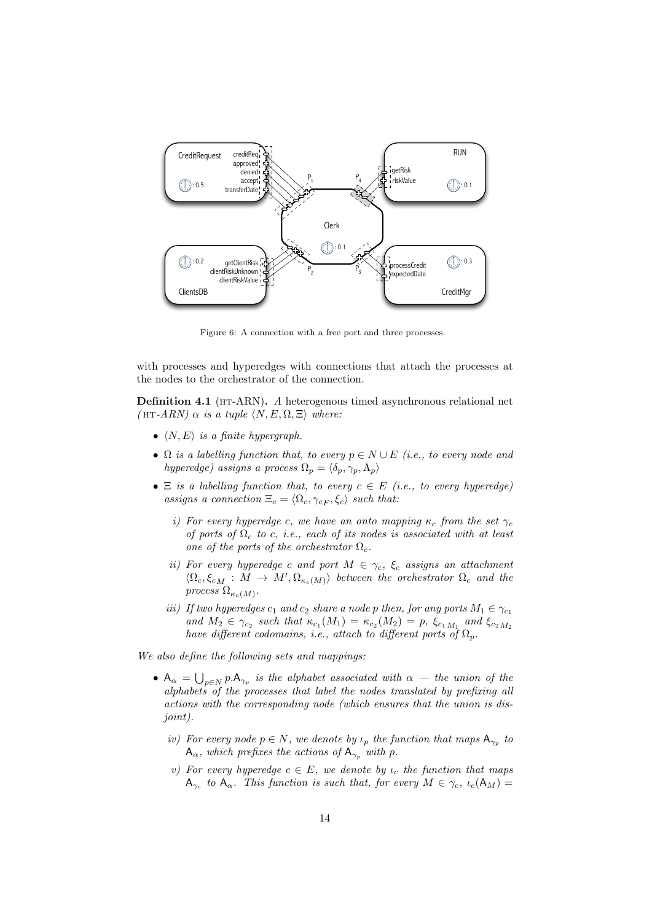

Figure 6: A connection with a free port and three processes.

with processes and hyperedges with connections that attach the processes at the nodes to the orchestrator of the connection.

Definition 4.1 (HT-ARN). A heterogenous timed asynchronous relational net ( HT-ARN)  $\alpha$  is a tuple  $\langle N, E, \Omega, \Xi \rangle$  where:

- $\langle N, E \rangle$  is a finite hypergraph.
- $\Omega$  is a labelling function that, to every  $p \in N \cup E$  (i.e., to every node and hyperedge) assigns a process  $\Omega_p = \langle \delta_p, \gamma_p, \Lambda_p \rangle$
- $\Xi$  is a labelling function that, to every  $c \in E$  (i.e., to every hyperedge) assigns a connection  $\Xi_c = \langle \Omega_c, \gamma_{cF}, \xi_c \rangle$  such that:
	- i) For every hyperedge c, we have an onto mapping  $\kappa_c$  from the set  $\gamma_c$ of ports of  $\Omega_c$  to c, i.e., each of its nodes is associated with at least one of the ports of the orchestrator  $\Omega_c$ .
	- ii) For every hyperedge c and port  $M \in \gamma_c$ ,  $\xi_c$  assigns an attachment  $\langle \Omega_c, \xi_{cM} : M \to M', \Omega_{\kappa_c(M)} \rangle$  between the orchestrator  $\Omega_c$  and the process  $\Omega_{\kappa_c(M)}$ .
	- iii) If two hyperedges  $c_1$  and  $c_2$  share a node p then, for any ports  $M_1 \in \gamma_{c_1}$ and  $M_2 \in \gamma_{c_2}$  such that  $\kappa_{c_1}(M_1) = \kappa_{c_2}(M_2) = p$ ,  $\xi_{c_1M_1}$  and  $\xi_{c_2M_2}$ have different codomains, i.e., attach to different ports of  $\Omega_p$ .

We also define the following sets and mappings:

- $A_{\alpha} = \bigcup_{p \in N} p A_{\gamma_p}$  is the alphabet associated with  $\alpha$  the union of the alphabets of the processes that label the nodes translated by prefixing all actions with the corresponding node (which ensures that the union is disjoint).
	- iv) For every node  $p \in N$ , we denote by  $\iota_p$  the function that maps  $A_{\gamma_p}$  to  $A_{\alpha}$ , which prefixes the actions of  $A_{\gamma_p}$  with p.
	- v) For every hyperedge  $c \in E$ , we denote by  $\iota_c$  the function that maps  $A_{\gamma_c}$  to  $A_{\alpha}$ . This function is such that, for every  $M \in \gamma_c$ ,  $\iota_c(A_M) =$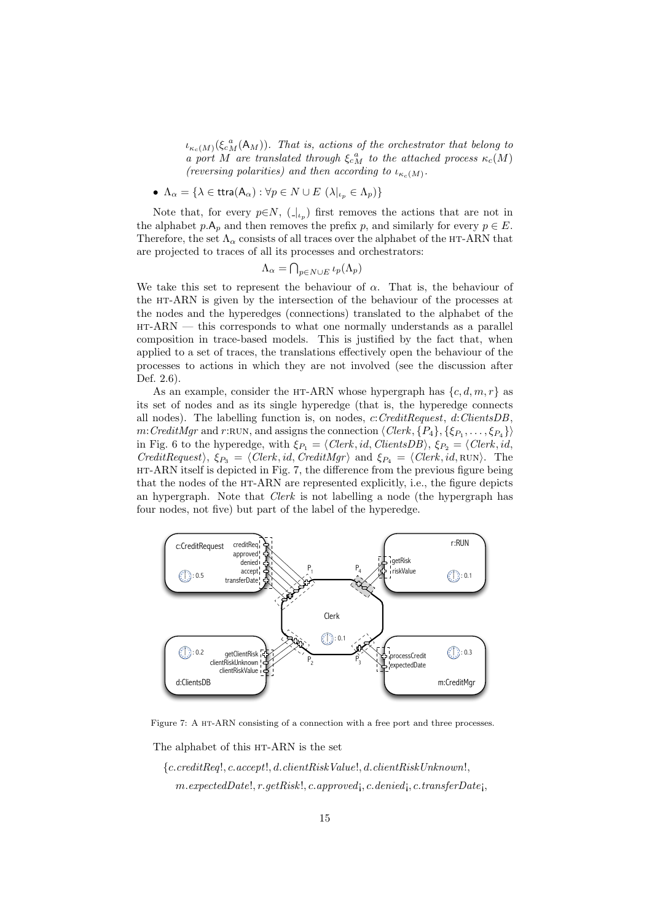$\iota_{\kappa_c(M)}(\xi_{cM}^{\ a}(\mathsf{A}_M)).$  That is, actions of the orchestrator that belong to a port M are translated through  $\xi_{cM}^a$  to the attached process  $\kappa_c(M)$ (reversing polarities) and then according to  $\iota_{\kappa_c(M)}$ .

• 
$$
\Lambda_{\alpha} = \{ \lambda \in \text{ttra}(\mathsf{A}_{\alpha}) : \forall p \in N \cup E \ (\lambda|_{\iota_p} \in \Lambda_p) \}
$$

Note that, for every  $p \in N$ ,  $\left(\frac{1}{p}\right)$  first removes the actions that are not in the alphabet  $p.A_p$  and then removes the prefix p, and similarly for every  $p \in E$ . Therefore, the set  $\Lambda_{\alpha}$  consists of all traces over the alphabet of the HT-ARN that are projected to traces of all its processes and orchestrators:

$$
\Lambda_{\alpha} = \bigcap_{p \in N \cup E} \iota_p(\Lambda_p)
$$

We take this set to represent the behaviour of  $\alpha$ . That is, the behaviour of the ht-ARN is given by the intersection of the behaviour of the processes at the nodes and the hyperedges (connections) translated to the alphabet of the  $HT-ARN$  — this corresponds to what one normally understands as a parallel composition in trace-based models. This is justified by the fact that, when applied to a set of traces, the translations effectively open the behaviour of the processes to actions in which they are not involved (see the discussion after Def. 2.6).

As an example, consider the HT-ARN whose hypergraph has  $\{c, d, m, r\}$  as its set of nodes and as its single hyperedge (that is, the hyperedge connects all nodes). The labelling function is, on nodes,  $c: CreditRequest, d: ClientsDB$ ,  $m: CreditMgr$  and  $r: RUN$ , and assigns the connection  $\langle Clark, {P_4}, {G_1}, \ldots, {G_{P_4}} \rangle$ in Fig. 6 to the hyperedge, with  $\xi_{P_1} = \langle \text{Clerk}, id, \text{ClientsDB} \rangle, \xi_{P_2} = \langle \text{Clerk}, id, \text{ClientsDB} \rangle$ CreditRequest),  $\xi_{P_3} = \langle Clerk, id, CreditMgr \rangle$  and  $\xi_{P_4} = \langle Clerk, id, RUN \rangle$ . The ht-ARN itself is depicted in Fig. 7, the difference from the previous figure being that the nodes of the ht-ARN are represented explicitly, i.e., the figure depicts an hypergraph. Note that *Clerk* is not labelling a node (the hypergraph has four nodes, not five) but part of the label of the hyperedge.



Figure 7: A HT-ARN consisting of a connection with a free port and three processes.

The alphabet of this HT-ARN is the set

{c.creditReq!, c.accept!, d.clientRiskValue!, d.clientRiskUnknown!,  $m$ .expectedDate!,  $r$ .getRisk!, c.approved;, c.denied;, c.transferDate;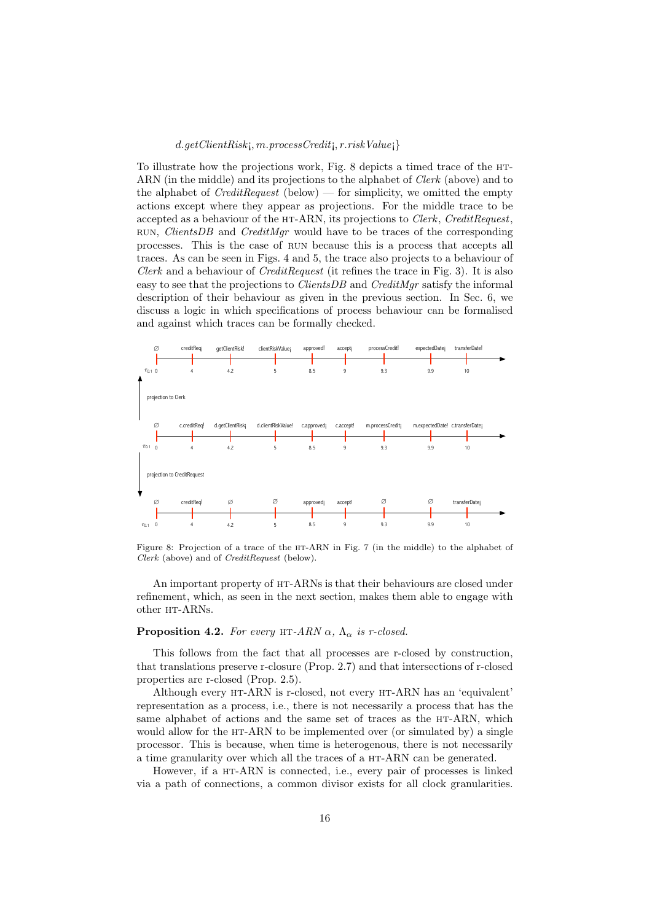#### $d.getClientRisk; m. processCredit; r. riskValue;$

To illustrate how the projections work, Fig. 8 depicts a timed trace of the ht-ARN (in the middle) and its projections to the alphabet of *Clerk* (above) and to the alphabet of  $CreditRequest$  (below) — for simplicity, we omitted the empty actions except where they appear as projections. For the middle trace to be accepted as a behaviour of the HT-ARN, its projections to Clerk, CreditRequest, run, ClientsDB and CreditMgr would have to be traces of the corresponding processes. This is the case of run because this is a process that accepts all traces. As can be seen in Figs. 4 and 5, the trace also projects to a behaviour of Clerk and a behaviour of  $CreditRequest$  (it refines the trace in Fig. 3). It is also easy to see that the projections to *ClientsDB* and *CreditMar* satisfy the informal description of their behaviour as given in the previous section. In Sec. 6, we discuss a logic in which specifications of process behaviour can be formalised and against which traces can be formally checked.



Figure 8: Projection of a trace of the HT-ARN in Fig. 7 (in the middle) to the alphabet of Clerk (above) and of CreditRequest (below).

An important property of ht-ARNs is that their behaviours are closed under refinement, which, as seen in the next section, makes them able to engage with other HT-ARNs.

#### **Proposition 4.2.** For every HT-ARN  $\alpha$ ,  $\Lambda_{\alpha}$  is r-closed.

This follows from the fact that all processes are r-closed by construction, that translations preserve r-closure (Prop. 2.7) and that intersections of r-closed properties are r-closed (Prop. 2.5).

Although every ht-ARN is r-closed, not every ht-ARN has an 'equivalent' representation as a process, i.e., there is not necessarily a process that has the same alphabet of actions and the same set of traces as the HT-ARN, which would allow for the HT-ARN to be implemented over (or simulated by) a single processor. This is because, when time is heterogenous, there is not necessarily a time granularity over which all the traces of a ht-ARN can be generated.

However, if a ht-ARN is connected, i.e., every pair of processes is linked via a path of connections, a common divisor exists for all clock granularities.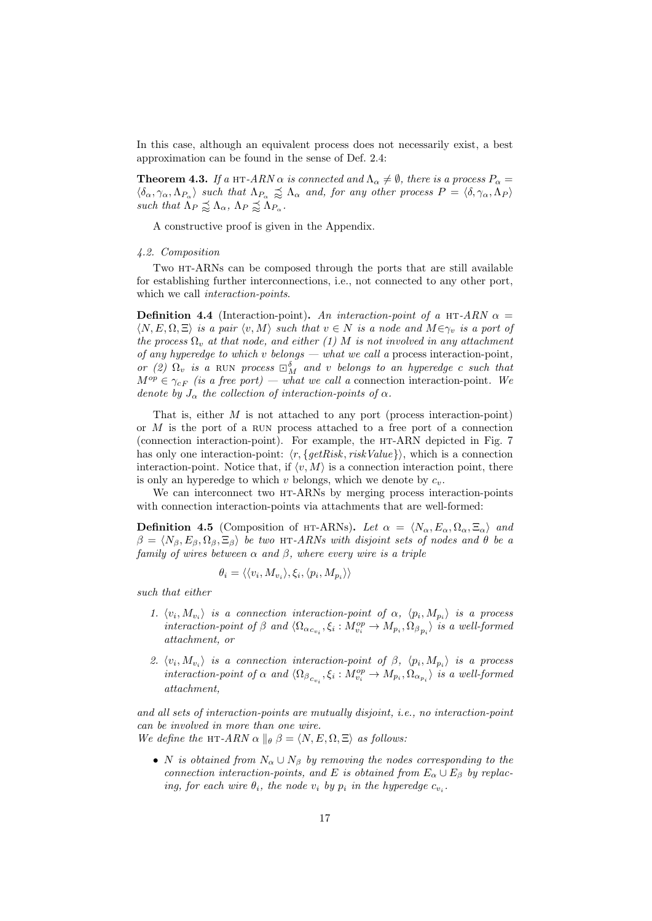In this case, although an equivalent process does not necessarily exist, a best approximation can be found in the sense of Def. 2.4:

**Theorem 4.3.** If a HT-ARN  $\alpha$  is connected and  $\Lambda_{\alpha} \neq \emptyset$ , there is a process  $P_{\alpha} =$  $\langle \delta_\alpha, \gamma_\alpha, \Lambda_{P_\alpha} \rangle$  such that  $\Lambda_{P_\alpha} \precsim \Lambda_\alpha$  and, for any other process  $P = \langle \delta, \gamma_\alpha, \Lambda_P \rangle$ such that  $\Lambda_P \precsim \Lambda_\alpha$ ,  $\Lambda_P \precsim \Lambda_{P_\alpha}$ .

A constructive proof is given in the Appendix.

## 4.2. Composition

Two HT-ARNs can be composed through the ports that are still available for establishing further interconnections, i.e., not connected to any other port, which we call *interaction-points*.

**Definition 4.4** (Interaction-point). An interaction-point of a HT-ARN  $\alpha$  =  $\langle N, E, \Omega, \Xi \rangle$  is a pair  $\langle v, M \rangle$  such that  $v \in N$  is a node and  $M \in \gamma_v$  is a port of the process  $\Omega_n$  at that node, and either (1) M is not involved in any attachment of any hyperedge to which v belongs  $-\omega$  what we call a process interaction-point, or (2)  $\Omega_v$  is a RUN process  $\Box_M^{\delta}$  and v belongs to an hyperedge c such that  $M^{op} \subset \mathcal{U}$  (is a free part) what we call a connection interaction point. We  $M^{op} \in \gamma_{cF}$  (is a free port) — what we call a connection interaction-point. We denote by  $J_{\alpha}$  the collection of interaction-points of  $\alpha$ .

That is, either  $M$  is not attached to any port (process interaction-point) or  $M$  is the port of a RUN process attached to a free port of a connection (connection interaction-point). For example, the HT-ARN depicted in Fig. 7 has only one interaction-point:  $\langle r, \{getRisk, riskValue \} \rangle$ , which is a connection interaction-point. Notice that, if  $\langle v, M \rangle$  is a connection interaction point, there is only an hyperedge to which v belongs, which we denote by  $c_v$ .

We can interconnect two HT-ARNs by merging process interaction-points with connection interaction-points via attachments that are well-formed:

**Definition 4.5** (Composition of HT-ARNs). Let  $\alpha = \langle N_{\alpha}, E_{\alpha}, \Omega_{\alpha}, \Xi_{\alpha} \rangle$  and  $\beta = \langle N_\beta, E_\beta, \Omega_\beta, \Xi_\beta \rangle$  be two HT-ARNs with disjoint sets of nodes and  $\theta$  be a family of wires between  $\alpha$  and  $\beta$ , where every wire is a triple

$$
\theta_i = \langle \langle v_i, M_{v_i} \rangle, \xi_i, \langle p_i, M_{p_i} \rangle \rangle
$$

such that either

- 1.  $\langle v_i, M_{v_i} \rangle$  is a connection interaction-point of  $\alpha$ ,  $\langle p_i, M_{p_i} \rangle$  is a process interaction-point of  $\beta$  and  $\langle \Omega_{\alpha c_{v_i}}, \xi_i : M_{v_i}^{op} \to M_{p_i}, \Omega_{\beta p_i} \rangle$  is a well-formed attachment, or
- 2.  $\langle v_i, M_{v_i} \rangle$  is a connection interaction-point of  $\beta$ ,  $\langle p_i, M_{p_i} \rangle$  is a process interaction-point of  $\alpha$  and  $\langle \Omega_{\beta_{c_{v_i}}}, \xi_i : M_{v_i}^{op} \to M_{p_i}, \Omega_{\alpha_{p_i}} \rangle$  is a well-formed attachment,

and all sets of interaction-points are mutually disjoint, i.e., no interaction-point can be involved in more than one wire.

We define the HT-ARN  $\alpha \parallel_{\theta} \beta = \langle N, E, \Omega, \Xi \rangle$  as follows:

• N is obtained from  $N_{\alpha} \cup N_{\beta}$  by removing the nodes corresponding to the connection interaction-points, and E is obtained from  $E_{\alpha} \cup E_{\beta}$  by replacing, for each wire  $\theta_i$ , the node  $v_i$  by  $p_i$  in the hyperedge  $c_{v_i}$ .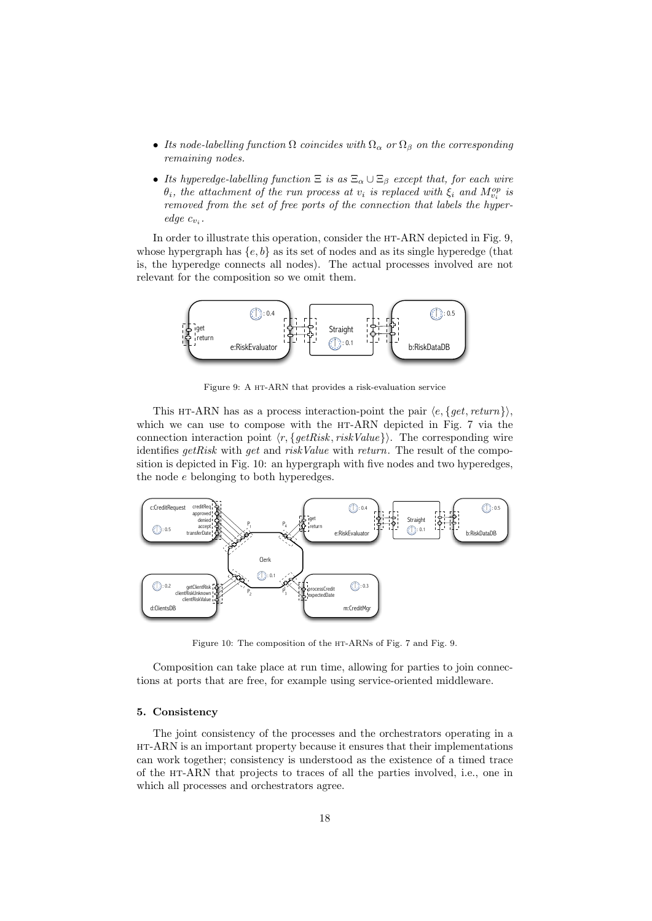- Its node-labelling function  $\Omega$  coincides with  $\Omega_{\alpha}$  or  $\Omega_{\beta}$  on the corresponding remaining nodes.
- Its hyperedge-labelling function  $\Xi$  is as  $\Xi_{\alpha} \cup \Xi_{\beta}$  except that, for each wire  $\theta_i$ , the attachment of the run process at  $v_i$  is replaced with  $\xi_i$  and  $M_{v_i}^{op}$  is removed from the set of free ports of the connection that labels the hyper $edge c_{v_i}.$

In order to illustrate this operation, consider the ht-ARN depicted in Fig. 9, whose hypergraph has  $\{e, b\}$  as its set of nodes and as its single hyperedge (that is, the hyperedge connects all nodes). The actual processes involved are not relevant for the composition so we omit them.



Figure 9: A HT-ARN that provides a risk-evaluation service

This HT-ARN has as a process interaction-point the pair  $\langle e, \{get, return\}\rangle$ , which we can use to compose with the HT-ARN depicted in Fig. 7 via the connection interaction point  $\langle r, \{getRisk, riskValue\}\rangle$ . The corresponding wire identifies getRisk with get and riskValue with return. The result of the composition is depicted in Fig. 10: an hypergraph with five nodes and two hyperedges, the node e belonging to both hyperedges.



Figure 10: The composition of the ht-ARNs of Fig. 7 and Fig. 9.

Composition can take place at run time, allowing for parties to join connections at ports that are free, for example using service-oriented middleware.

## 5. Consistency

The joint consistency of the processes and the orchestrators operating in a ht-ARN is an important property because it ensures that their implementations can work together; consistency is understood as the existence of a timed trace of the ht-ARN that projects to traces of all the parties involved, i.e., one in which all processes and orchestrators agree.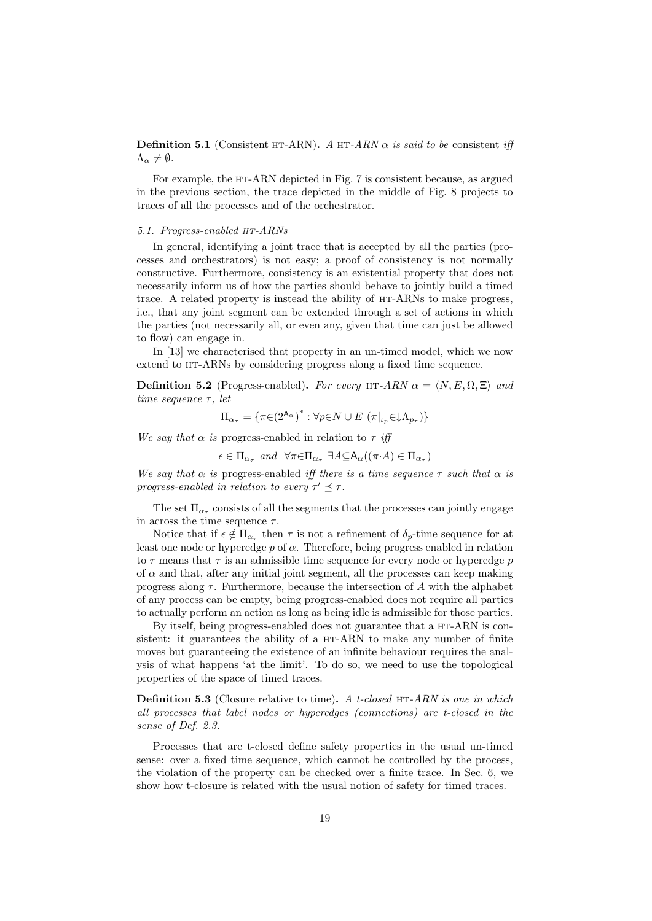Definition 5.1 (Consistent HT-ARN). A HT-ARN  $\alpha$  is said to be consistent iff  $\Lambda_{\alpha}\neq\emptyset$ .

For example, the HT-ARN depicted in Fig. 7 is consistent because, as argued in the previous section, the trace depicted in the middle of Fig. 8 projects to traces of all the processes and of the orchestrator.

## 5.1. Progress-enabled HT-ARNs

In general, identifying a joint trace that is accepted by all the parties (processes and orchestrators) is not easy; a proof of consistency is not normally constructive. Furthermore, consistency is an existential property that does not necessarily inform us of how the parties should behave to jointly build a timed trace. A related property is instead the ability of HT-ARNs to make progress, i.e., that any joint segment can be extended through a set of actions in which the parties (not necessarily all, or even any, given that time can just be allowed to flow) can engage in.

In [13] we characterised that property in an un-timed model, which we now extend to HT-ARNs by considering progress along a fixed time sequence.

**Definition 5.2** (Progress-enabled). For every HT-ARN  $\alpha = \langle N, E, \Omega, \Xi \rangle$  and time sequence  $\tau$ , let

$$
\Pi_{\alpha_{\tau}} = \{ \pi \in (2^{\mathsf{A}_{\alpha}})^{*} : \forall p \in N \cup E \, (\pi|_{\iota_p} \in \downarrow \Lambda_{p_{\tau}}) \}
$$

We say that  $\alpha$  is progress-enabled in relation to  $\tau$  iff

$$
\epsilon \in \Pi_{\alpha_{\tau}} \text{ and } \forall \pi \in \Pi_{\alpha_{\tau}} \exists A \subseteq A_{\alpha}((\pi \cdot A) \in \Pi_{\alpha_{\tau}})
$$

We say that  $\alpha$  is progress-enabled iff there is a time sequence  $\tau$  such that  $\alpha$  is progress-enabled in relation to every  $\tau' \preceq \tau$ .

The set  $\Pi_{\alpha_{\tau}}$  consists of all the segments that the processes can jointly engage in across the time sequence  $\tau$ .

Notice that if  $\epsilon \notin \Pi_{\alpha_{\tau}}$  then  $\tau$  is not a refinement of  $\delta_p$ -time sequence for at least one node or hyperedge  $p$  of  $\alpha$ . Therefore, being progress enabled in relation to  $\tau$  means that  $\tau$  is an admissible time sequence for every node or hyperedge p of  $\alpha$  and that, after any initial joint segment, all the processes can keep making progress along  $\tau$ . Furthermore, because the intersection of A with the alphabet of any process can be empty, being progress-enabled does not require all parties to actually perform an action as long as being idle is admissible for those parties.

By itself, being progress-enabled does not guarantee that a HT-ARN is consistent: it guarantees the ability of a HT-ARN to make any number of finite moves but guaranteeing the existence of an infinite behaviour requires the analysis of what happens 'at the limit'. To do so, we need to use the topological properties of the space of timed traces.

**Definition 5.3** (Closure relative to time). A t-closed HT-ARN is one in which all processes that label nodes or hyperedges (connections) are t-closed in the sense of Def. 2.3.

Processes that are t-closed define safety properties in the usual un-timed sense: over a fixed time sequence, which cannot be controlled by the process, the violation of the property can be checked over a finite trace. In Sec. 6, we show how t-closure is related with the usual notion of safety for timed traces.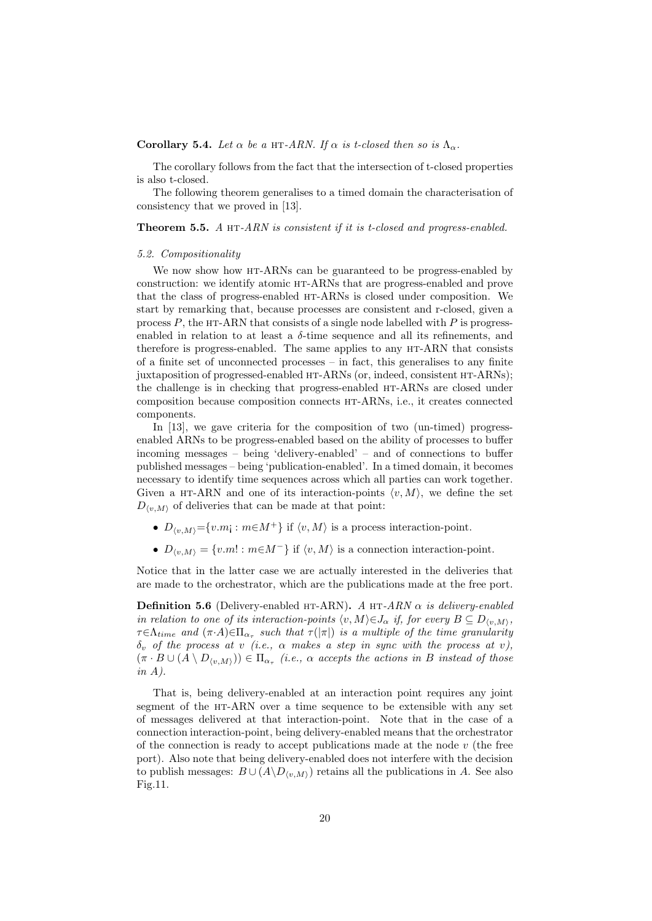#### Corollary 5.4. Let  $\alpha$  be a HT-ARN. If  $\alpha$  is t-closed then so is  $\Lambda_{\alpha}$ .

The corollary follows from the fact that the intersection of t-closed properties is also t-closed.

The following theorem generalises to a timed domain the characterisation of consistency that we proved in [13].

**Theorem 5.5.** A HT-ARN is consistent if it is t-closed and progress-enabled.

#### 5.2. Compositionality

We now show how HT-ARNs can be guaranteed to be progress-enabled by construction: we identify atomic HT-ARNs that are progress-enabled and prove that the class of progress-enabled ht-ARNs is closed under composition. We start by remarking that, because processes are consistent and r-closed, given a process  $P$ , the HT-ARN that consists of a single node labelled with  $P$  is progressenabled in relation to at least a  $\delta$ -time sequence and all its refinements, and therefore is progress-enabled. The same applies to any ht-ARN that consists of a finite set of unconnected processes – in fact, this generalises to any finite juxtaposition of progressed-enabled ht-ARNs (or, indeed, consistent ht-ARNs); the challenge is in checking that progress-enabled HT-ARNs are closed under composition because composition connects ht-ARNs, i.e., it creates connected components.

In [13], we gave criteria for the composition of two (un-timed) progressenabled ARNs to be progress-enabled based on the ability of processes to buffer incoming messages – being 'delivery-enabled' – and of connections to buffer published messages – being 'publication-enabled'. In a timed domain, it becomes necessary to identify time sequences across which all parties can work together. Given a HT-ARN and one of its interaction-points  $\langle v, M \rangle$ , we define the set  $D_{\langle v,M\rangle}$  of deliveries that can be made at that point:

- $D_{\langle v,M \rangle} = \{v.m_i : m \in M^+\}$  if  $\langle v, M \rangle$  is a process interaction-point.
- $D_{(v,M)} = \{v.m! : m \in M^-\}$  if  $\langle v, M \rangle$  is a connection interaction-point.

Notice that in the latter case we are actually interested in the deliveries that are made to the orchestrator, which are the publications made at the free port.

**Definition 5.6** (Delivery-enabled HT-ARN). A HT-ARN  $\alpha$  is delivery-enabled in relation to one of its interaction-points  $\langle v, M \rangle \in J_\alpha$  if, for every  $B \subseteq D_{\langle v, M \rangle}$ ,  $\tau \in \Lambda_{time}$  and  $(\pi \cdot A) \in \Pi_{\alpha_{\tau}}$  such that  $\tau(|\pi|)$  is a multiple of the time granularity  $\delta_v$  of the process at v (i.e.,  $\alpha$  makes a step in sync with the process at v),  $(\pi \cdot B \cup (A \setminus D_{\langle v,M \rangle})) \in \Pi_{\alpha_{\tau}}$  (i.e.,  $\alpha$  accepts the actions in B instead of those  $in A$ ).

That is, being delivery-enabled at an interaction point requires any joint segment of the HT-ARN over a time sequence to be extensible with any set of messages delivered at that interaction-point. Note that in the case of a connection interaction-point, being delivery-enabled means that the orchestrator of the connection is ready to accept publications made at the node  $v$  (the free port). Also note that being delivery-enabled does not interfere with the decision to publish messages:  $B \cup (A \backslash D_{\langle v,M \rangle})$  retains all the publications in A. See also Fig.11.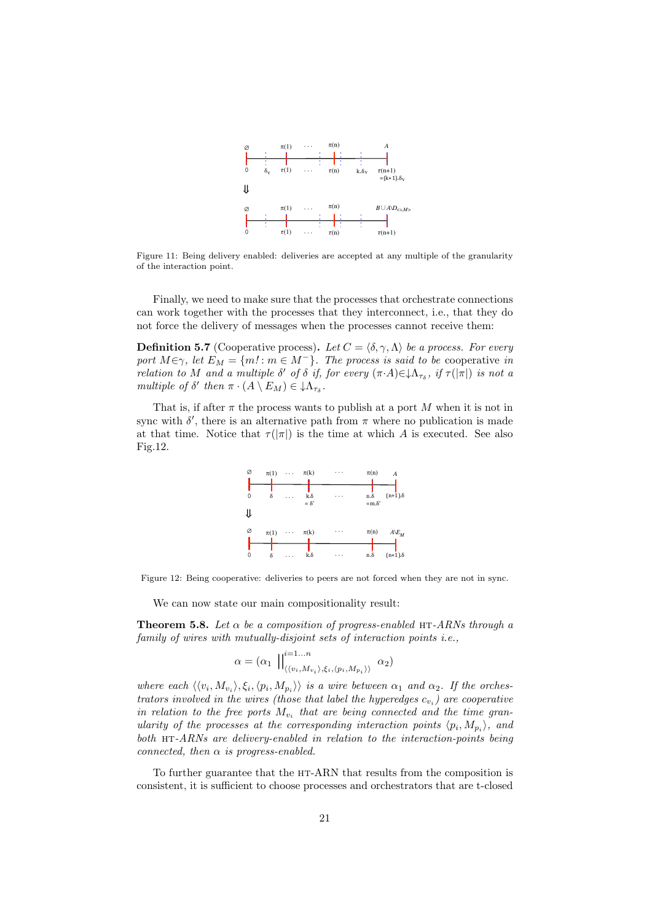

Figure 11: Being delivery enabled: deliveries are accepted at any multiple of the granularity of the interaction point.

Finally, we need to make sure that the processes that orchestrate connections can work together with the processes that they interconnect, i.e., that they do not force the delivery of messages when the processes cannot receive them:

**Definition 5.7** (Cooperative process). Let  $C = \langle \delta, \gamma, \Lambda \rangle$  be a process. For every port  $M \in \gamma$ , let  $E_M = \{m! : m \in M^-\}$ . The process is said to be cooperative in relation to M and a multiple  $\delta'$  of  $\delta$  if, for every  $(\pi \cdot A) \in \downarrow \Lambda_{\tau_{\delta}}$ , if  $\tau(|\pi|)$  is not a multiple of  $\delta'$  then  $\pi \cdot (A \setminus E_M) \in \downarrow \Lambda_{\tau_{\delta}}$ .

That is, if after  $\pi$  the process wants to publish at a port M when it is not in sync with  $\delta'$ , there is an alternative path from  $\pi$  where no publication is made at that time. Notice that  $\tau(|\pi|)$  is the time at which A is executed. See also Fig.12.



Figure 12: Being cooperative: deliveries to peers are not forced when they are not in sync.

We can now state our main compositionality result:

**Theorem 5.8.** Let  $\alpha$  be a composition of progress-enabled HT-ARNs through a family of wires with mutually-disjoint sets of interaction points i.e.,

$$
\alpha = (\alpha_1 \parallel_{\langle \langle v_i, M_{v_i} \rangle, \xi_i, \langle p_i, M_{p_i} \rangle)}^{i=1...n} \alpha_2)
$$

where each  $\langle\langle v_i, M_{v_i} \rangle, \xi_i, \langle p_i, M_{p_i} \rangle\rangle$  is a wire between  $\alpha_1$  and  $\alpha_2$ . If the orchestrators involved in the wires (those that label the hyperedges  $c_{v_i}$ ) are cooperative in relation to the free ports  $M_{v_i}$  that are being connected and the time granularity of the processes at the corresponding interaction points  $\langle p_i, M_{p_i} \rangle$ , and both HT-ARNs are delivery-enabled in relation to the interaction-points being connected, then  $\alpha$  is progress-enabled.

To further guarantee that the HT-ARN that results from the composition is consistent, it is sufficient to choose processes and orchestrators that are t-closed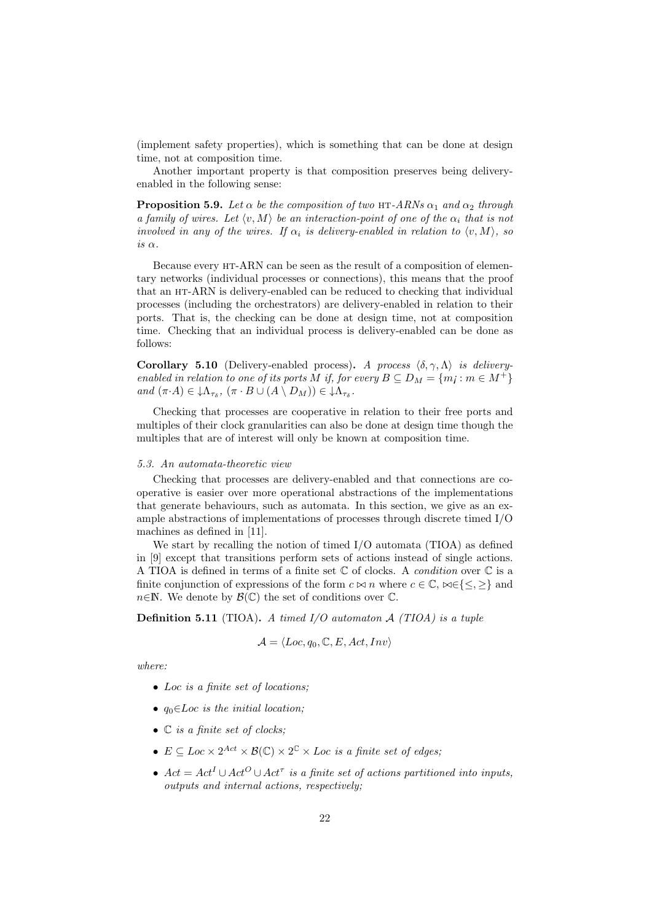(implement safety properties), which is something that can be done at design time, not at composition time.

Another important property is that composition preserves being deliveryenabled in the following sense:

**Proposition 5.9.** Let  $\alpha$  be the composition of two HT-ARNs  $\alpha_1$  and  $\alpha_2$  through a family of wires. Let  $\langle v, M \rangle$  be an interaction-point of one of the  $\alpha_i$  that is not involved in any of the wires. If  $\alpha_i$  is delivery-enabled in relation to  $\langle v, M \rangle$ , so is α.

Because every ht-ARN can be seen as the result of a composition of elementary networks (individual processes or connections), this means that the proof that an ht-ARN is delivery-enabled can be reduced to checking that individual processes (including the orchestrators) are delivery-enabled in relation to their ports. That is, the checking can be done at design time, not at composition time. Checking that an individual process is delivery-enabled can be done as follows:

Corollary 5.10 (Delivery-enabled process). A process  $\langle \delta, \gamma, \Lambda \rangle$  is deliveryenabled in relation to one of its ports M if, for every  $B \subseteq D_M = \{m_j : m \in M^+\}$ and  $(\pi \cdot A) \in \downarrow \Lambda_{\tau_{\delta}}$ ,  $(\pi \cdot B \cup (A \setminus D_M)) \in \downarrow \Lambda_{\tau_{\delta}}$ .

Checking that processes are cooperative in relation to their free ports and multiples of their clock granularities can also be done at design time though the multiples that are of interest will only be known at composition time.

## 5.3. An automata-theoretic view

Checking that processes are delivery-enabled and that connections are cooperative is easier over more operational abstractions of the implementations that generate behaviours, such as automata. In this section, we give as an example abstractions of implementations of processes through discrete timed I/O machines as defined in [11].

We start by recalling the notion of timed I/O automata (TIOA) as defined in [9] except that transitions perform sets of actions instead of single actions. A TIOA is defined in terms of a finite set  $\mathbb C$  of clocks. A *condition* over  $\mathbb C$  is a finite conjunction of expressions of the form  $c \bowtie n$  where  $c \in \mathbb{C}$ ,  $\bowtie \in \{\leq, \geq\}$  and  $n\in\mathbb{N}$ . We denote by  $\mathcal{B}(\mathbb{C})$  the set of conditions over  $\mathbb{C}$ .

**Definition 5.11** (TIOA). A timed  $I/O$  automaton  $A$  (TIOA) is a tuple

$$
\mathcal{A} = \langle Loc, q_0, \mathbb{C}, E, Act, Inv \rangle
$$

where:

- Loc is a finite set of locations;
- $q_0 \in Loc$  is the initial location;
- $\mathbb C$  is a finite set of clocks:
- $E \subseteq Loc \times 2^{Act} \times \mathcal{B}(\mathbb{C}) \times 2^{\mathbb{C}} \times Loc$  is a finite set of edges,
- $Act = Act^I \cup Act^O \cup Act^{\tau}$  is a finite set of actions partitioned into inputs, outputs and internal actions, respectively;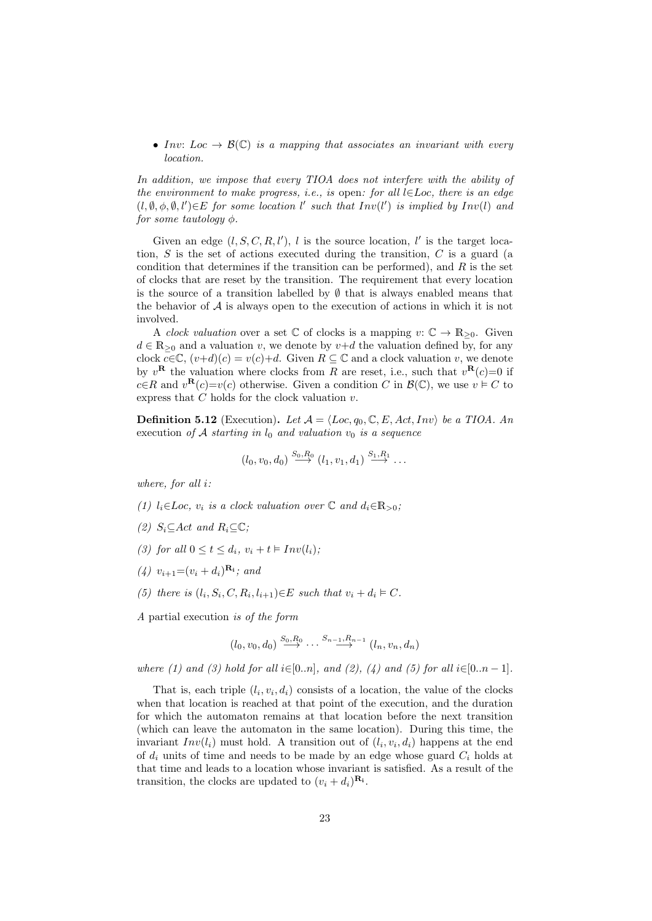• Inv: Loc  $\rightarrow$   $\mathcal{B}(\mathbb{C})$  is a mapping that associates an invariant with every location.

In addition, we impose that every TIOA does not interfere with the ability of the environment to make progress, i.e., is open: for all  $l \in Loc$ , there is an edge  $(l, \emptyset, \phi, \emptyset, l') \in E$  for some location l' such that  $Inv(l')$  is implied by  $Inv(l)$  and for some tautology  $\phi$ .

Given an edge  $(l, S, C, R, l')$ , l is the source location, l' is the target location,  $S$  is the set of actions executed during the transition,  $C$  is a guard (a condition that determines if the transition can be performed), and  $R$  is the set of clocks that are reset by the transition. The requirement that every location is the source of a transition labelled by  $\emptyset$  that is always enabled means that the behavior of  $A$  is always open to the execution of actions in which it is not involved.

A clock valuation over a set  $\mathbb C$  of clocks is a mapping  $v: \mathbb C \to \mathbb R_{\geq 0}$ . Given  $d \in \mathbb{R}_{\geq 0}$  and a valuation v, we denote by  $v+d$  the valuation defined by, for any clock  $c \in \mathbb{C}$ ,  $(v+d)(c) = v(c)+d$ . Given  $R \subseteq \mathbb{C}$  and a clock valuation v, we denote by  $v^{\mathbf{R}}$  the valuation where clocks from R are reset, i.e., such that  $v^{\mathbf{R}}(c)=0$  if  $c \in R$  and  $v^{\mathbf{R}}(c) = v(c)$  otherwise. Given a condition C in  $\mathcal{B}(\mathbb{C})$ , we use  $v \models C$  to express that  $C$  holds for the clock valuation  $v$ .

**Definition 5.12** (Execution). Let  $A = \langle Loc, q_0, \mathbb{C}, E, Act, Inv \rangle$  be a TIOA. An execution of A starting in  $l_0$  and valuation  $v_0$  is a sequence

$$
(l_0, v_0, d_0) \stackrel{S_0, R_0}{\longrightarrow} (l_1, v_1, d_1) \stackrel{S_1, R_1}{\longrightarrow} \dots
$$

where, for all i:

(1)  $l_i \in Loc$ ,  $v_i$  is a clock valuation over  $\mathbb C$  and  $d_i \in \mathbb R_{>0}$ ;

- (2)  $S_i \subseteq Act$  and  $R_i \subseteq \mathbb{C}$ :
- (3) for all  $0 \le t \le d_i, v_i + t \in Inv(l_i);$
- $(4)$   $v_{i+1} = (v_i + d_i)^{\mathbf{R_i}}$ ; and
- (5) there is  $(l_i, S_i, C, R_i, l_{i+1}) \in E$  such that  $v_i + d_i \models C$ .

A partial execution is of the form

$$
(l_0, v_0, d_0) \stackrel{S_0, R_0}{\longrightarrow} \cdots \stackrel{S_{n-1}, R_{n-1}}{\longrightarrow} (l_n, v_n, d_n)
$$

where (1) and (3) hold for all  $i \in [0..n]$ , and (2), (4) and (5) for all  $i \in [0..n-1]$ .

That is, each triple  $(l_i, v_i, d_i)$  consists of a location, the value of the clocks when that location is reached at that point of the execution, and the duration for which the automaton remains at that location before the next transition (which can leave the automaton in the same location). During this time, the invariant  $Inv(l_i)$  must hold. A transition out of  $(l_i, v_i, d_i)$  happens at the end of  $d_i$  units of time and needs to be made by an edge whose guard  $C_i$  holds at that time and leads to a location whose invariant is satisfied. As a result of the transition, the clocks are updated to  $(v_i + d_i)^{\mathbf{R_i}}$ .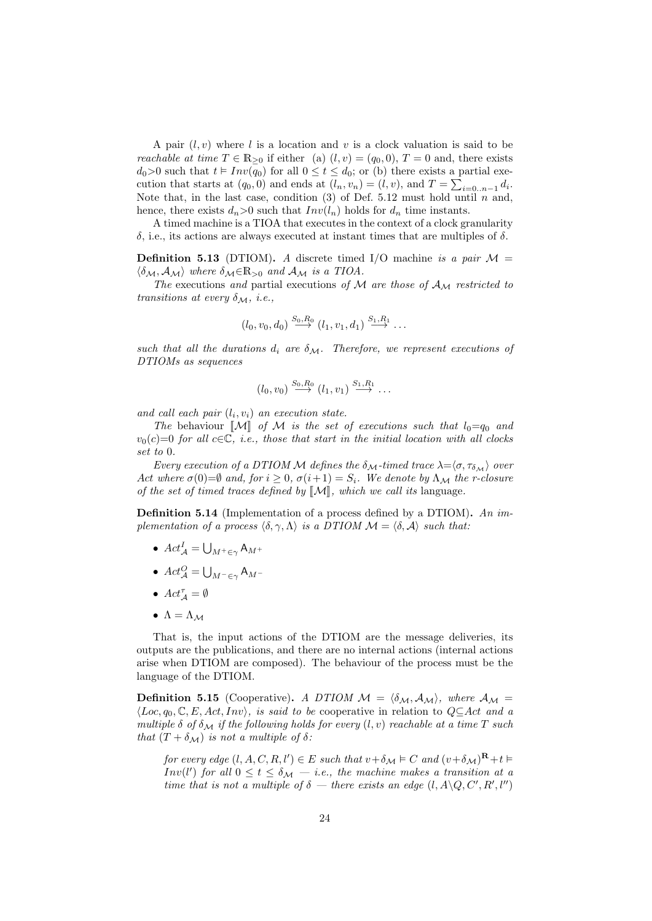A pair  $(l, v)$  where l is a location and v is a clock valuation is said to be reachable at time  $T \in \mathbb{R}_{\geq 0}$  if either (a)  $(l, v) = (q_0, 0), T = 0$  and, there exists  $d_0>0$  such that  $t \in Inv(q_0)$  for all  $0 \le t \le d_0$ ; or (b) there exists a partial execution that starts at  $(q_0, 0)$  and ends at  $(l_n, v_n) = (l, v)$ , and  $T = \sum_{i=0...n-1} d_i$ . Note that, in the last case, condition (3) of Def. 5.12 must hold until n and, hence, there exists  $d_n>0$  such that  $Inv(l_n)$  holds for  $d_n$  time instants.

A timed machine is a TIOA that executes in the context of a clock granularity δ, i.e., its actions are always executed at instant times that are multiples of δ.

**Definition 5.13** (DTIOM). A discrete timed I/O machine is a pair  $M =$  $\langle \delta_M, \mathcal{A}_M \rangle$  where  $\delta_M \in \mathbb{R}_{>0}$  and  $\mathcal{A}_M$  is a TIOA.

The executions and partial executions of M are those of  $A_M$  restricted to transitions at every  $\delta_{\mathcal{M}}$ , i.e.,

$$
(l_0, v_0, d_0) \stackrel{S_0, R_0}{\longrightarrow} (l_1, v_1, d_1) \stackrel{S_1, R_1}{\longrightarrow} \dots
$$

such that all the durations  $d_i$  are  $\delta_M$ . Therefore, we represent executions of DTIOMs as sequences

$$
(l_0, v_0) \stackrel{S_0, R_0}{\longrightarrow} (l_1, v_1) \stackrel{S_1, R_1}{\longrightarrow} \dots
$$

and call each pair  $(l_i, v_i)$  an execution state.

The behaviour  $\mathbb{M}$  of M is the set of executions such that  $l_0=q_0$  and  $v_0(c)=0$  for all  $c\in\mathbb{C}$ , i.e., those that start in the initial location with all clocks set to 0.

Every execution of a DTIOM M defines the  $\delta_{\mathcal{M}}$ -timed trace  $\lambda = \langle \sigma, \tau_{\delta_M} \rangle$  over Act where  $\sigma(0)=\emptyset$  and, for  $i>0$ ,  $\sigma(i+1)=S_i$ . We denote by  $\Lambda_M$  the r-closure of the set of timed traces defined by  $\llbracket \mathcal{M} \rrbracket$ , which we call its language.

**Definition 5.14** (Implementation of a process defined by a DTIOM). An implementation of a process  $\langle \delta, \gamma, \Lambda \rangle$  is a DTIOM  $\mathcal{M} = \langle \delta, \mathcal{A} \rangle$  such that:

- $Act_{\mathcal{A}}^{I}=\bigcup_{M^+\in\gamma}\mathsf{A}_{M^+}$
- $Act_{\mathcal{A}}^{O} = \bigcup_{M^{-} \in \gamma} A_{M^{-}}$
- $Act_{\mathcal{A}}^{\tau}=\emptyset$
- $\Lambda = \Lambda_{\mathcal{M}}$

That is, the input actions of the DTIOM are the message deliveries, its outputs are the publications, and there are no internal actions (internal actions arise when DTIOM are composed). The behaviour of the process must be the language of the DTIOM.

**Definition 5.15** (Cooperative). A DTIOM  $M = \langle \delta_M, A_M \rangle$ , where  $A_M =$  $\langle Loc, q_0, \mathbb{C}, E, Act, Inv \rangle$ , is said to be cooperative in relation to  $Q \subseteq Act$  and a multiple  $\delta$  of  $\delta_M$  if the following holds for every  $(l, v)$  reachable at a time T such that  $(T + \delta_{\mathcal{M}})$  is not a multiple of  $\delta$ :

for every edge  $(l, A, C, R, l') \in E$  such that  $v + \delta_M \models C$  and  $(v + \delta_M)^{\mathbf{R}} + t \models$ Inv(l') for all  $0 \le t \le \delta_{\mathcal{M}} - i.e.,$  the machine makes a transition at a time that is not a multiple of  $\delta$  — there exists an edge  $(l, A \backslash Q, C', R', l'')$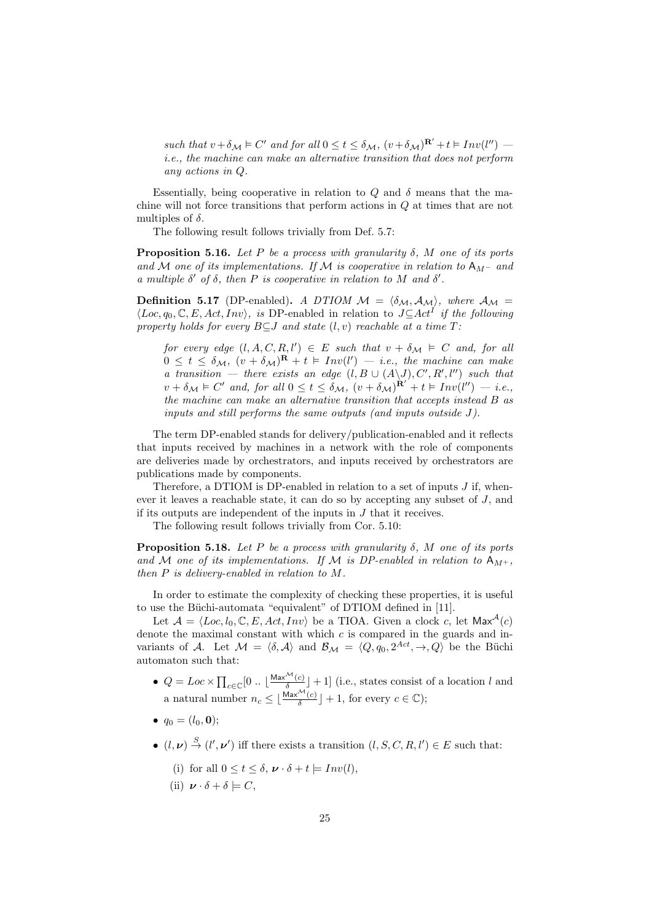such that  $v + \delta_M \models C'$  and for all  $0 \le t \le \delta_M$ ,  $(v + \delta_M)^{\mathbf{R}'} + t \models Inv(l'')$  i.e., the machine can make an alternative transition that does not perform any actions in Q.

Essentially, being cooperative in relation to  $Q$  and  $\delta$  means that the machine will not force transitions that perform actions in Q at times that are not multiples of  $\delta$ .

The following result follows trivially from Def. 5.7:

**Proposition 5.16.** Let P be a process with granularity  $\delta$ , M one of its ports and M one of its implementations. If M is cooperative in relation to  $A_{M-}$  and a multiple  $\delta'$  of  $\delta$ , then P is cooperative in relation to M and  $\delta'$ .

**Definition 5.17** (DP-enabled). A DTIOM  $M = \langle \delta_M, A_M \rangle$ , where  $A_M$  $\langle Loc, q_0, \mathbb{C}, E, Act, Inv \rangle$ , is DP-enabled in relation to  $J \subseteq Act^{\hat{I}}$  if the following property holds for every  $B\subseteq J$  and state  $(l, v)$  reachable at a time  $T$ :

for every edge  $(l, A, C, R, l') \in E$  such that  $v + \delta_M \models C$  and, for all  $0 \leq t \leq \delta_{\mathcal{M}}, \ (v + \delta_{\mathcal{M}})^{\mathbf{R}} + t \models Inv(l') - i.e., \ the \ machine \ can \ make$ a transition — there exists an edge  $(l, B \cup (A \backslash J), C', R', l'')$  such that  $v + \delta_{\mathcal{M}} \models C'$  and, for all  $0 \leq t \leq \delta_{\mathcal{M}}, (v + \delta_{\mathcal{M}})^{\mathbf{R}'} + t \models Inv(l'') - i.e.,$ the machine can make an alternative transition that accepts instead B as inputs and still performs the same outputs (and inputs outside J).

The term DP-enabled stands for delivery/publication-enabled and it reflects that inputs received by machines in a network with the role of components are deliveries made by orchestrators, and inputs received by orchestrators are publications made by components.

Therefore, a DTIOM is DP-enabled in relation to a set of inputs  $J$  if, whenever it leaves a reachable state, it can do so by accepting any subset of  $J$ , and if its outputs are independent of the inputs in  $J$  that it receives.

The following result follows trivially from Cor. 5.10:

**Proposition 5.18.** Let P be a process with granularity  $\delta$ , M one of its ports and M one of its implementations. If M is DP-enabled in relation to  $A_{M^+}$ , then P is delivery-enabled in relation to M.

In order to estimate the complexity of checking these properties, it is useful to use the Büchi-automata "equivalent" of DTIOM defined in [11].

Let  $A = \langle Loc, l_0, \mathbb{C}, E, Act, Inv \rangle$  be a TIOA. Given a clock c, let Max<sup>A</sup>(c) denote the maximal constant with which  $c$  is compared in the guards and invariants of A. Let  $\mathcal{M} = \langle \delta, \mathcal{A} \rangle$  and  $\mathcal{B}_{\mathcal{M}} = \langle Q, q_0, 2^{Act}, \rightarrow, Q \rangle$  be the Büchi automaton such that:

- $\bullet \ \ Q = Loc \times \prod_{c \in \mathbb{C}} [0 \ .. \ \lfloor \frac{\mathsf{Max}^{\mathcal{M}}(c)}{\delta} ]$  $\frac{c}{\delta}$  + 1] (i.e., states consist of a location l and a natural number  $n_c \leq \lfloor \frac{\text{Max}^{\mathcal{M}}(c)}{\delta} \rfloor + 1$ , for every  $c \in \mathbb{C}$ );
- $q_0 = (l_0, 0);$
- $(l, \nu) \stackrel{S}{\rightarrow} (l', \nu')$  iff there exists a transition  $(l, S, C, R, l') \in E$  such that:
	- (i) for all  $0 \le t \le \delta$ ,  $\boldsymbol{\nu} \cdot \delta + t \models Inv(l)$ ,
	- (ii)  $\boldsymbol{\nu} \cdot \boldsymbol{\delta} + \boldsymbol{\delta} \models C$ .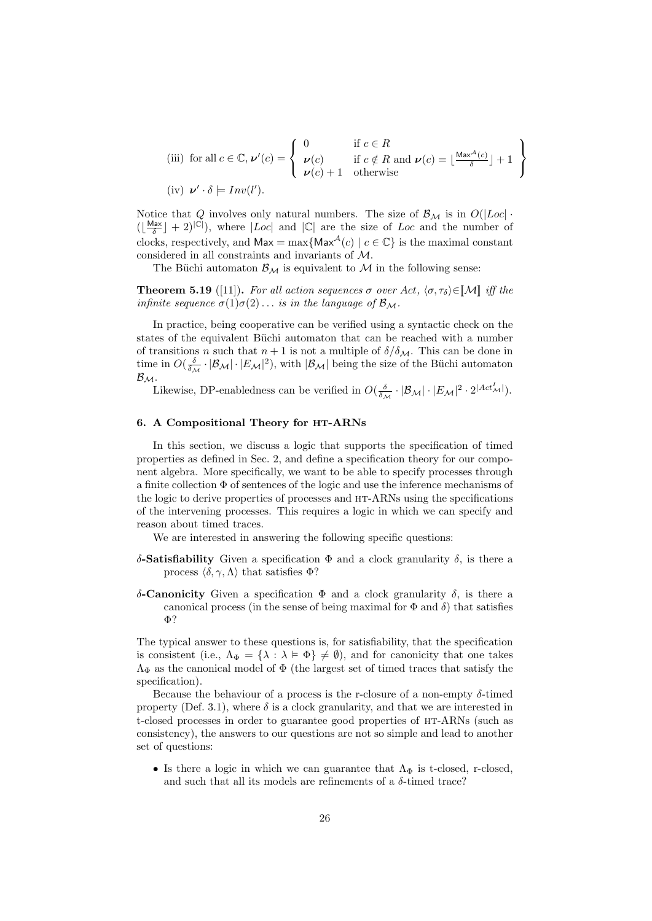(iii) for all 
$$
c \in \mathbb{C}
$$
,  $\nu'(c) = \begin{cases} 0 & \text{if } c \in R \\ \nu(c) & \text{if } c \notin R \text{ and } \nu(c) = \lfloor \frac{\text{Max}^{\mathcal{A}}(c)}{\delta} \rfloor + 1 \\ \nu(c) + 1 & \text{otherwise} \end{cases}$   
(iv)  $\nu' \cdot \delta = Inv(l').$ 

Notice that Q involves only natural numbers. The size of  $\mathcal{B}_{\mathcal{M}}$  is in  $O(|Loc| \cdot )$  $(\lfloor \frac{Max}{\delta} \rfloor + 2)^{|\mathbb{C}|}$ , where  $|Loc|$  and  $|\mathbb{C}|$  are the size of *Loc* and the number of clocks, respectively, and  $\mathsf{Max} = \max\{\mathsf{Max}^{\mathcal{A}}(c) \mid c \in \mathbb{C}\}\$ is the maximal constant considered in all constraints and invariants of M.

The Büchi automaton  $\mathcal{B}_\mathcal{M}$  is equivalent to  $\mathcal M$  in the following sense:

**Theorem 5.19** ([11]). For all action sequences  $\sigma$  over Act,  $\langle \sigma, \tau_{\delta} \rangle \in \llbracket \mathcal{M} \rrbracket$  iff the infinite sequence  $\sigma(1)\sigma(2) \ldots$  is in the language of  $\mathcal{B}_M$ .

In practice, being cooperative can be verified using a syntactic check on the states of the equivalent Büchi automaton that can be reached with a number of transitions n such that  $n + 1$  is not a multiple of  $\delta/\delta_{\mathcal{M}}$ . This can be done in time in  $O(\frac{\delta}{\delta_{\mathcal{M}}} \cdot |\mathcal{B}_{\mathcal{M}}| \cdot |E_{\mathcal{M}}|^2)$ , with  $|\mathcal{B}_{\mathcal{M}}|$  being the size of the Büchi automaton  $\mathcal{B}_\mathcal{M}$ .

Likewise, DP-enabledness can be verified in  $O(\frac{\delta}{\delta M} \cdot |\mathcal{B}_M| \cdot |E_M|^2 \cdot 2^{|Act_M^I|}).$ 

## 6. A Compositional Theory for HT-ARNs

In this section, we discuss a logic that supports the specification of timed properties as defined in Sec. 2, and define a specification theory for our component algebra. More specifically, we want to be able to specify processes through a finite collection  $\Phi$  of sentences of the logic and use the inference mechanisms of the logic to derive properties of processes and ht-ARNs using the specifications of the intervening processes. This requires a logic in which we can specify and reason about timed traces.

We are interested in answering the following specific questions:

- δ-Satisfiability Given a specification Φ and a clock granularity δ, is there a process  $\langle \delta, \gamma, \Lambda \rangle$  that satisfies Φ?
- δ-Canonicity Given a specification Φ and a clock granularity δ, is there a canonical process (in the sense of being maximal for  $\Phi$  and  $\delta$ ) that satisfies Φ?

The typical answer to these questions is, for satisfiability, that the specification is consistent (i.e.,  $\Lambda_{\Phi} = {\lambda : \lambda \models \Phi} \neq \emptyset$ ), and for canonicity that one takes  $\Lambda_{\Phi}$  as the canonical model of  $\Phi$  (the largest set of timed traces that satisfy the specification).

Because the behaviour of a process is the r-closure of a non-empty  $\delta$ -timed property (Def. 3.1), where  $\delta$  is a clock granularity, and that we are interested in t-closed processes in order to guarantee good properties of ht-ARNs (such as consistency), the answers to our questions are not so simple and lead to another set of questions:

• Is there a logic in which we can guarantee that  $\Lambda_{\Phi}$  is t-closed, r-closed, and such that all its models are refinements of a  $\delta$ -timed trace?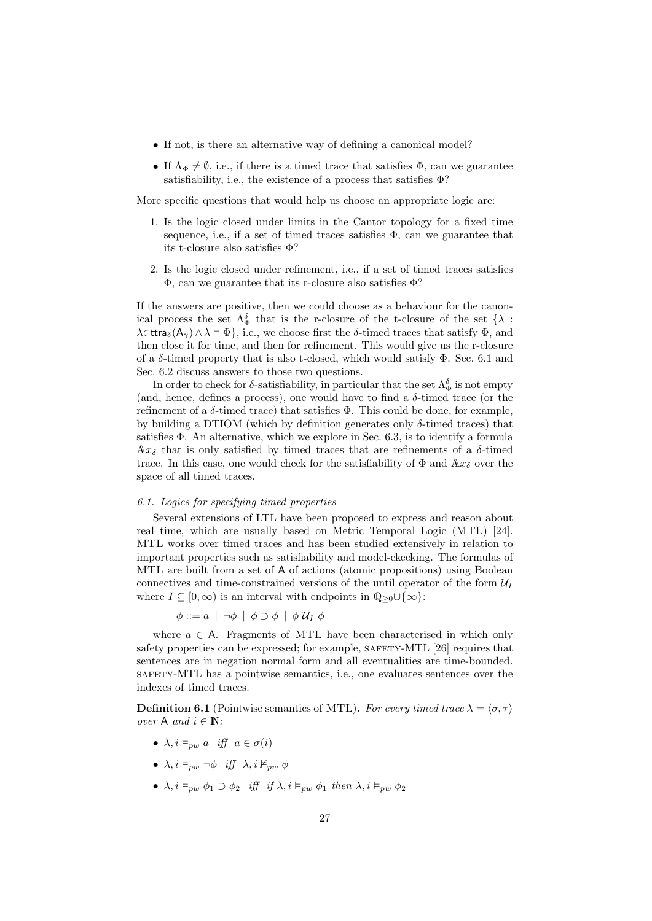- If not, is there an alternative way of defining a canonical model?
- If  $\Lambda_{\Phi} \neq \emptyset$ , i.e., if there is a timed trace that satisfies  $\Phi$ , can we guarantee satisfiability, i.e., the existence of a process that satisfies Φ?

More specific questions that would help us choose an appropriate logic are:

- 1. Is the logic closed under limits in the Cantor topology for a fixed time sequence, i.e., if a set of timed traces satisfies  $\Phi$ , can we guarantee that its t-closure also satisfies Φ?
- 2. Is the logic closed under refinement, i.e., if a set of timed traces satisfies Φ, can we guarantee that its r-closure also satisfies Φ?

If the answers are positive, then we could choose as a behaviour for the canonical process the set  $\Lambda_{\Phi}^{\delta}$  that is the r-closure of the t-closure of the set  $\{\lambda :$  $\lambda \in \text{trra}_{\delta}(A_{\gamma}) \wedge \lambda \models \Phi$ , i.e., we choose first the δ-timed traces that satisfy  $\Phi$ , and then close it for time, and then for refinement. This would give us the r-closure of a  $\delta$ -timed property that is also t-closed, which would satisfy  $\Phi$ . Sec. 6.1 and Sec. 6.2 discuss answers to those two questions.

In order to check for  $\delta$ -satisfiability, in particular that the set  $\Lambda_{\Phi}^{\delta}$  is not empty (and, hence, defines a process), one would have to find a  $\delta$ -timed trace (or the refinement of a  $\delta$ -timed trace) that satisfies  $\Phi$ . This could be done, for example, by building a DTIOM (which by definition generates only  $\delta$ -timed traces) that satisfies  $\Phi$ . An alternative, which we explore in Sec. 6.3, is to identify a formula  $Ax_{\delta}$  that is only satisfied by timed traces that are refinements of a  $\delta$ -timed trace. In this case, one would check for the satisfiability of  $\Phi$  and  $Ax_{\delta}$  over the space of all timed traces.

#### 6.1. Logics for specifying timed properties

Several extensions of LTL have been proposed to express and reason about real time, which are usually based on Metric Temporal Logic (MTL) [24]. MTL works over timed traces and has been studied extensively in relation to important properties such as satisfiability and model-ckecking. The formulas of MTL are built from a set of A of actions (atomic propositions) using Boolean connectives and time-constrained versions of the until operator of the form  $\mathcal{U}_I$ where  $I \subseteq [0, \infty)$  is an interval with endpoints in  $\mathbb{Q}_{\geq 0} \cup \{\infty\}$ :

 $\phi ::= a \mid \neg \phi \mid \phi \supset \phi \mid \phi \mathcal{U}_I \phi$ 

where  $a \in A$ . Fragments of MTL have been characterised in which only safety properties can be expressed; for example, safety-MTL [26] requires that sentences are in negation normal form and all eventualities are time-bounded. safety-MTL has a pointwise semantics, i.e., one evaluates sentences over the indexes of timed traces.

**Definition 6.1** (Pointwise semantics of MTL). For every timed trace  $\lambda = \langle \sigma, \tau \rangle$ over A and  $i \in \mathbb{N}$ :

- $\lambda, i \vDash_{pw} a$  iff  $a \in \sigma(i)$
- $\lambda, i \vDash_{pw} \neg \phi \text{ iff } \lambda, i \nvDash_{pw} \phi$
- $\lambda, i \vDash_{pw} \phi_1 \supset \phi_2$  iff if  $\lambda, i \vDash_{pw} \phi_1$  then  $\lambda, i \vDash_{pw} \phi_2$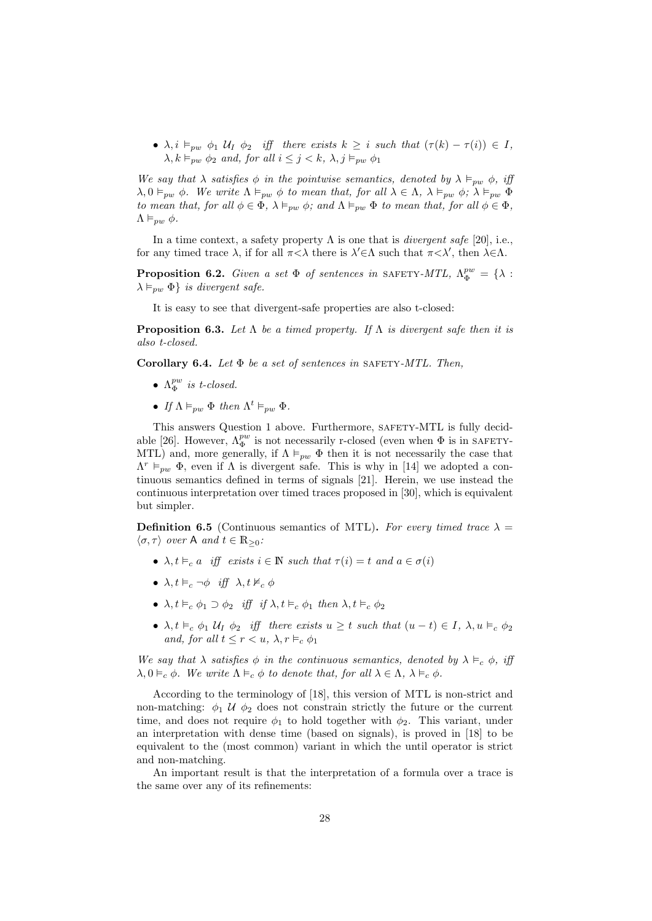•  $\lambda, i \vDash_{pw} \phi_1 U_I \phi_2$  iff there exists  $k \geq i$  such that  $(\tau(k) - \tau(i)) \in I$ ,  $\lambda, k \vDash_{pw} \phi_2$  and, for all  $i \leq j \leq k$ ,  $\lambda, j \vDash_{pw} \phi_1$ 

We say that  $\lambda$  satisfies  $\phi$  in the pointwise semantics, denoted by  $\lambda \vDash_{pw} \phi$ , iff  $\lambda, 0 \vDash_{pw} \phi$ . We write  $\Lambda \vDash_{pw} \phi$  to mean that, for all  $\lambda \in \Lambda$ ,  $\lambda \vDash_{pw} \phi$ ;  $\lambda \vDash_{pw} \Phi$ to mean that, for all  $\phi \in \Phi$ ,  $\lambda \models_{pw} \phi$ ; and  $\Lambda \models_{pw} \Phi$  to mean that, for all  $\phi \in \Phi$ ,  $\Lambda \vDash_{pw} \phi$ .

In a time context, a safety property  $\Lambda$  is one that is *divergent safe* [20], i.e., for any timed trace  $\lambda$ , if for all  $\pi < \lambda$  there is  $\lambda' \in \Lambda$  such that  $\pi < \lambda'$ , then  $\lambda \in \Lambda$ .

**Proposition 6.2.** Given a set  $\Phi$  of sentences in SAFETY-MTL,  $\Lambda_{\Phi}^{pw} = {\lambda : \mathbb{R}^n}$  $\lambda \vDash_{pw} \Phi$  is divergent safe.

It is easy to see that divergent-safe properties are also t-closed:

**Proposition 6.3.** Let  $\Lambda$  be a timed property. If  $\Lambda$  is divergent safe then it is also t-closed.

Corollary 6.4. Let  $\Phi$  be a set of sentences in SAFETY-MTL. Then,

- $\Lambda_{\Phi}^{pw}$  is t-closed.
- If  $\Lambda \vDash_{pw} \Phi$  then  $\Lambda^t \vDash_{pw} \Phi$ .

This answers Question 1 above. Furthermore, SAFETY-MTL is fully decidable [26]. However,  $\Lambda_{\Phi}^{pw}$  is not necessarily r-closed (even when  $\Phi$  is in SAFETY-MTL) and, more generally, if  $\Lambda \models_{pw} \Phi$  then it is not necessarily the case that  $\Lambda^r \vDash_{pw} \Phi$ , even if  $\Lambda$  is divergent safe. This is why in [14] we adopted a continuous semantics defined in terms of signals [21]. Herein, we use instead the continuous interpretation over timed traces proposed in [30], which is equivalent but simpler.

**Definition 6.5** (Continuous semantics of MTL). For every timed trace  $\lambda =$  $\langle \sigma, \tau \rangle$  over A and  $t \in \mathbb{R}_{\geq 0}$ :

- $\lambda, t \vDash_c a$  iff exists  $i \in \mathbb{N}$  such that  $\tau(i) = t$  and  $a \in \sigma(i)$
- $\lambda, t \vDash_c \neg \phi \text{ iff } \lambda, t \nvDash_c \phi$
- $\lambda, t \vDash_c \phi_1 \supset \phi_2$  iff if  $\lambda, t \vDash_c \phi_1$  then  $\lambda, t \vDash_c \phi_2$
- $\lambda, t \vDash_c \phi_1 U_I \phi_2$  iff there exists  $u \geq t$  such that  $(u t) \in I$ ,  $\lambda, u \vDash_c \phi_2$ and, for all  $t \leq r \leq u$ ,  $\lambda$ ,  $r \vDash_{\alpha} \phi_1$

We say that  $\lambda$  satisfies  $\phi$  in the continuous semantics, denoted by  $\lambda \vDash_c \phi$ , iff  $\lambda, 0 \vDash_c \phi$ . We write  $\Lambda \vDash_c \phi$  to denote that, for all  $\lambda \in \Lambda$ ,  $\lambda \vDash_c \phi$ .

According to the terminology of [18], this version of MTL is non-strict and non-matching:  $\phi_1$  U  $\phi_2$  does not constrain strictly the future or the current time, and does not require  $\phi_1$  to hold together with  $\phi_2$ . This variant, under an interpretation with dense time (based on signals), is proved in [18] to be equivalent to the (most common) variant in which the until operator is strict and non-matching.

An important result is that the interpretation of a formula over a trace is the same over any of its refinements: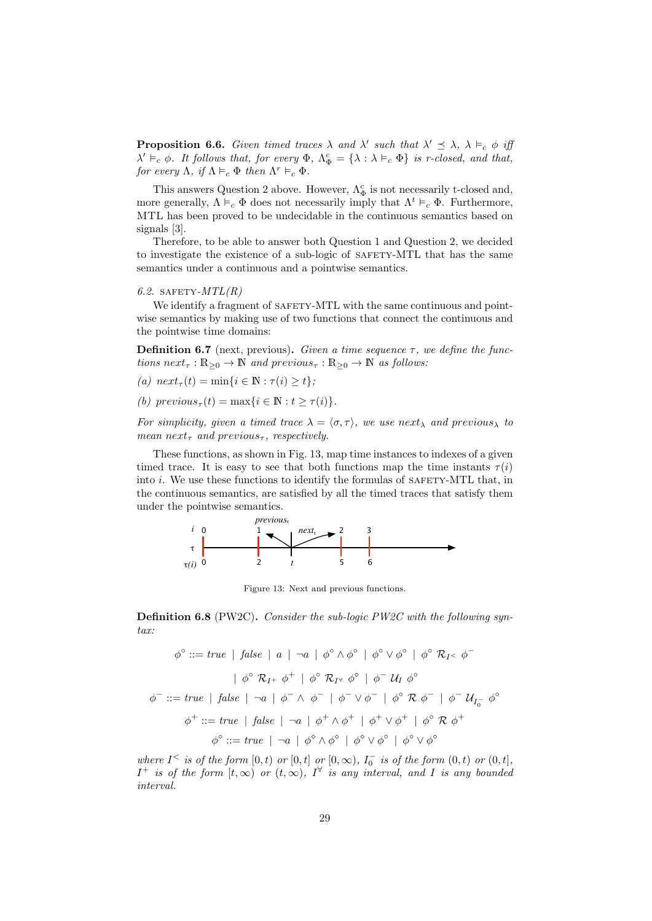**Proposition 6.6.** Given timed traces  $\lambda$  and  $\lambda'$  such that  $\lambda' \leq \lambda$ ,  $\lambda \models_c \phi$  if  $\lambda' \vDash_{c} \phi$ . It follows that, for every  $\Phi$ ,  $\Lambda_{\Phi}^{c} = {\lambda : \lambda \vDash_{c} \Phi}$  is r-closed, and that, for every  $\Lambda$ , if  $\Lambda \vDash_c \Phi$  then  $\Lambda^r \vDash_c \Phi$ .

This answers Question 2 above. However,  $\Lambda^c_{\Phi}$  is not necessarily t-closed and, more generally,  $\Lambda \models_c \Phi$  does not necessarily imply that  $\Lambda^t \models_c \Phi$ . Furthermore, MTL has been proved to be undecidable in the continuous semantics based on signals [3].

Therefore, to be able to answer both Question 1 and Question 2, we decided to investigate the existence of a sub-logic of SAFETY-MTL that has the same semantics under a continuous and a pointwise semantics.

#### 6.2. SAFETY- $MTL(R)$

We identify a fragment of SAFETY-MTL with the same continuous and pointwise semantics by making use of two functions that connect the continuous and the pointwise time domains:

**Definition 6.7** (next, previous). Given a time sequence  $\tau$ , we define the functions  $next_\tau : \mathbb{R}_{\geq 0} \to \mathbb{N}$  and  $previous_\tau : \mathbb{R}_{\geq 0} \to \mathbb{N}$  as follows:

(a)  $next_{\tau}(t) = \min\{i \in \mathbb{N} : \tau(i) \geq t\};$ 

(b)  $previous_{\tau}(t) = \max\{i \in \mathbb{N} : t \geq \tau(i)\}.$ 

For simplicity, given a timed trace  $\lambda = \langle \sigma, \tau \rangle$ , we use next<sub> $\lambda$ </sub> and previous<sub> $\lambda$ </sub> to mean next<sub>τ</sub> and previous<sub>τ</sub>, respectively.

These functions, as shown in Fig. 13, map time instances to indexes of a given timed trace. It is easy to see that both functions map the time instants  $\tau(i)$ into i. We use these functions to identify the formulas of SAFETY-MTL that, in the continuous semantics, are satisfied by all the timed traces that satisfy them under the pointwise semantics.



Figure 13: Next and previous functions.

Definition 6.8 (PW2C). Consider the sub-logic PW2C with the following syntax:

$$
\phi^{\circ} ::= true \mid false \mid a \mid \neg a \mid \phi^{\circ} \land \phi^{\circ} \mid \phi^{\circ} \lor \phi^{\circ} \mid \phi^{\circ} \mathcal{R}_{I} < \phi^{-}
$$
\n
$$
\mid \phi^{\circ} \mathcal{R}_{I^{+}} \phi^{+} \mid \phi^{\circ} \mathcal{R}_{I^{V}} \phi^{\circ} \mid \phi^{-} \mathcal{U}_{I} \phi^{\circ}
$$
\n
$$
\phi^{-} ::= true \mid false \mid \neg a \mid \phi^{-} \land \phi^{-} \mid \phi^{-} \lor \phi^{-} \mid \phi^{\circ} \mathcal{R} \phi^{-} \mid \phi^{-} \mathcal{U}_{I_{0}^{-}} \phi^{\circ}
$$
\n
$$
\phi^{+} ::= true \mid false \mid \neg a \mid \phi^{+} \land \phi^{+} \mid \phi^{+} \lor \phi^{+} \mid \phi^{\circ} \mathcal{R} \phi^{+}
$$
\n
$$
\phi^{\circ} ::= true \mid \neg a \mid \phi^{\circ} \land \phi^{\circ} \mid \phi^{\circ} \lor \phi^{\circ} \mid \phi^{\circ} \lor \phi^{\circ}
$$

where  $I^{\leq}$  is of the form  $[0, t]$  or  $[0, t]$  or  $[0, \infty)$ ,  $I_0^-$  is of the form  $(0, t)$  or  $(0, t]$ ,  $I^+$  is of the form  $[t,\infty)$  or  $(t,\infty)$ ,  $I^{\forall}$  is any interval, and I is any bounded interval.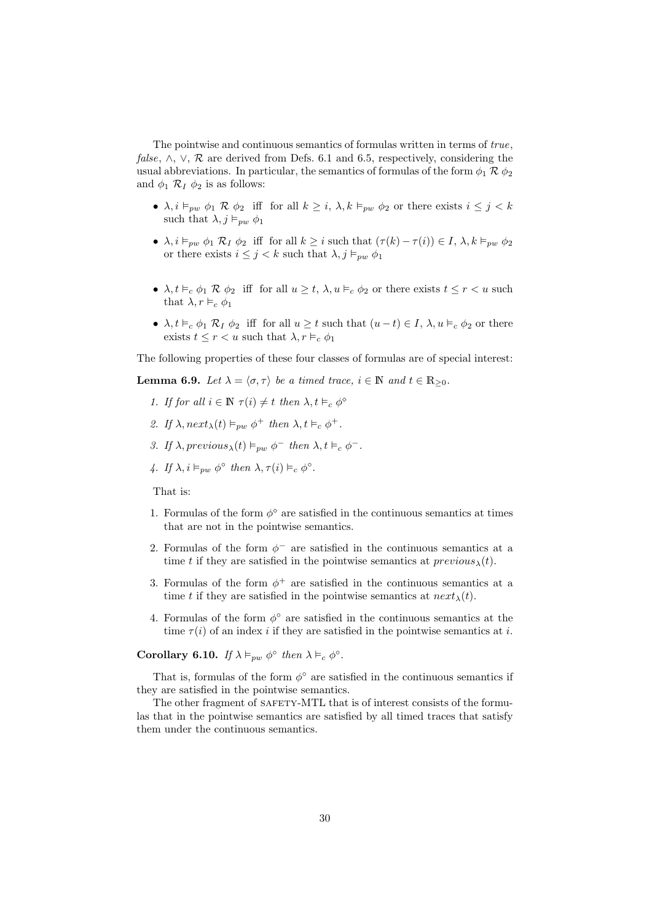The pointwise and continuous semantics of formulas written in terms of true, false,  $\wedge$ ,  $\vee$ ,  $\mathcal R$  are derived from Defs. 6.1 and 6.5, respectively, considering the usual abbreviations. In particular, the semantics of formulas of the form  $\phi_1 \mathcal{R} \phi_2$ and  $\phi_1$   $\mathcal{R}_I$   $\phi_2$  is as follows:

- $\lambda, i \vDash_{pw} \phi_1 \mathcal{R} \phi_2$  iff for all  $k \geq i$ ,  $\lambda, k \vDash_{pw} \phi_2$  or there exists  $i \leq j < k$ such that  $\lambda, j \vDash_{pw} \phi_1$
- $\lambda, i \vDash_{pw} \phi_1 \mathcal{R}_I \phi_2$  iff for all  $k \geq i$  such that  $(\tau(k) \tau(i)) \in I, \lambda, k \vDash_{pw} \phi_2$ or there exists  $i \leq j < k$  such that  $\lambda, j \vDash_{pw} \phi_1$
- $\lambda, t \vDash_c \phi_1 \mathcal{R} \phi_2$  iff for all  $u \geq t$ ,  $\lambda, u \vDash_c \phi_2$  or there exists  $t \leq r < u$  such that  $\lambda, r \vDash_c \phi_1$
- $\lambda, t \vDash_c \phi_1 \mathcal{R}_I \phi_2$  iff for all  $u \geq t$  such that  $(u t) \in I$ ,  $\lambda, u \vDash_c \phi_2$  or there exists  $t \leq r < u$  such that  $\lambda, r \vDash_c \phi_1$

The following properties of these four classes of formulas are of special interest:

**Lemma 6.9.** Let  $\lambda = \langle \sigma, \tau \rangle$  be a timed trace,  $i \in \mathbb{N}$  and  $t \in \mathbb{R}_{\geq 0}$ .

- 1. If for all  $i \in \mathbb{N} \tau(i) \neq t$  then  $\lambda, t \vDash_c \phi^{\diamond}$
- 2. If  $\lambda, next_{\lambda}(t) \vDash_{pw} \phi^+$  then  $\lambda, t \vDash_{c} \phi^+$ .
- 3. If  $\lambda$ , previous $\chi(t) \vDash_{pw} \phi^-$  then  $\lambda$ ,  $t \vDash_{c} \phi^-$ .
- 4. If  $\lambda, i \vDash_{pw} \phi^\circ$  then  $\lambda, \tau(i) \vDash_c \phi^\circ$ .

That is:

- 1. Formulas of the form  $\phi^{\diamond}$  are satisfied in the continuous semantics at times that are not in the pointwise semantics.
- 2. Formulas of the form  $\phi^-$  are satisfied in the continuous semantics at a time t if they are satisfied in the pointwise semantics at  $previous_{\lambda}(t)$ .
- 3. Formulas of the form  $\phi^+$  are satisfied in the continuous semantics at a time t if they are satisfied in the pointwise semantics at  $next_{\lambda}(t)$ .
- 4. Formulas of the form  $\phi^{\circ}$  are satisfied in the continuous semantics at the time  $\tau(i)$  of an index i if they are satisfied in the pointwise semantics at i.

## **Corollary 6.10.** If  $\lambda \models_{pw} \phi^\circ$  then  $\lambda \models_c \phi^\circ$ .

That is, formulas of the form  $\phi^{\circ}$  are satisfied in the continuous semantics if they are satisfied in the pointwise semantics.

The other fragment of SAFETY-MTL that is of interest consists of the formulas that in the pointwise semantics are satisfied by all timed traces that satisfy them under the continuous semantics.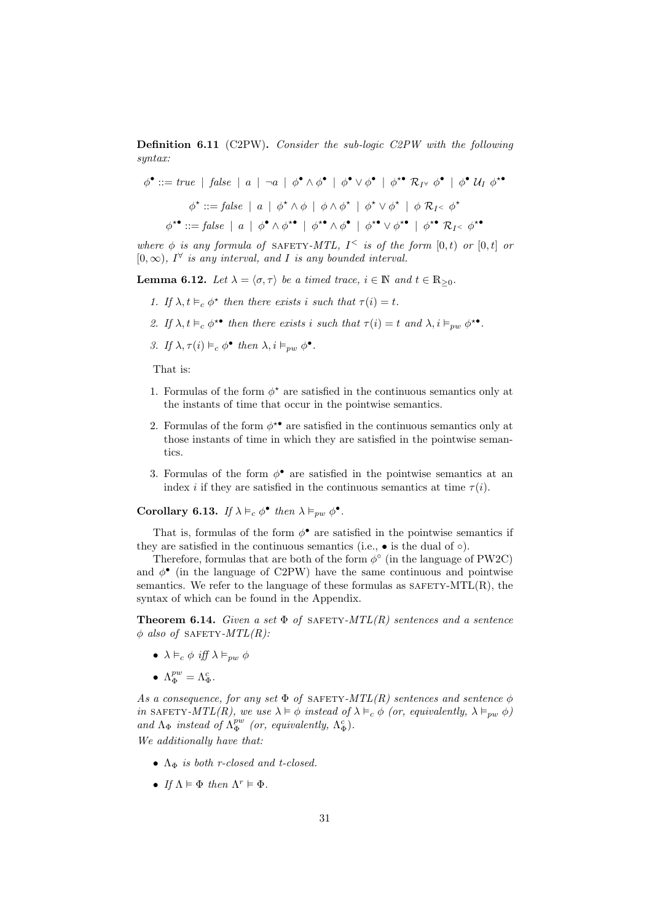Definition 6.11 (C2PW). Consider the sub-logic C2PW with the following syntax:

$$
\phi^{\bullet} ::= true \mid false \mid a \mid \neg a \mid \phi^{\bullet} \wedge \phi^{\bullet} \mid \phi^{\bullet} \vee \phi^{\bullet} \mid \phi^{\star \bullet} \mathcal{R}_{I^{\vee}} \phi^{\bullet} \mid \phi^{\bullet} \mathcal{U}_{I} \phi^{\star \bullet}
$$

$$
\phi^{\star} ::= false \mid a \mid \phi^{\star} \wedge \phi \mid \phi \wedge \phi^{\star} \mid \phi^{\star} \vee \phi^{\star} \mid \phi \mathcal{R}_{I^{\lt}} \phi^{\star}
$$

$$
\phi^{\star \bullet} ::= false \mid a \mid \phi^{\bullet} \wedge \phi^{\star \bullet} \mid \phi^{\star \bullet} \wedge \phi^{\bullet} \mid \phi^{\star \bullet} \vee \phi^{\star \bullet} \mid \phi^{\star \bullet} \mathcal{R}_{I^{\lt}} \phi^{\star \bullet}
$$

where  $\phi$  is any formula of SAFETY-MTL,  $I^{\lt}$  is of the form  $[0,t]$  or  $[0,t]$  or  $[0, \infty)$ ,  $I^{\forall}$  is any interval, and I is any bounded interval.

**Lemma 6.12.** Let  $\lambda = \langle \sigma, \tau \rangle$  be a timed trace,  $i \in \mathbb{N}$  and  $t \in \mathbb{R}_{\geq 0}$ .

- 1. If  $\lambda, t \vDash_c \phi^*$  then there exists i such that  $\tau(i) = t$ .
- 2. If  $\lambda, t \vDash_c \phi^{**}$  then there exists i such that  $\tau(i) = t$  and  $\lambda, i \vDash_{pw} \phi^{**}$ .
- 3. If  $\lambda, \tau(i) \vDash_c \phi^{\bullet}$  then  $\lambda, i \vDash_{pw} \phi^{\bullet}$ .

That is:

- 1. Formulas of the form  $\phi^*$  are satisfied in the continuous semantics only at the instants of time that occur in the pointwise semantics.
- 2. Formulas of the form  $\phi^{\star\bullet}$  are satisfied in the continuous semantics only at those instants of time in which they are satisfied in the pointwise semantics.
- 3. Formulas of the form  $\phi^{\bullet}$  are satisfied in the pointwise semantics at an index i if they are satisfied in the continuous semantics at time  $\tau(i)$ .

Corollary 6.13. If  $\lambda \vDash_c \phi^{\bullet}$  then  $\lambda \vDash_{pw} \phi^{\bullet}$ .

That is, formulas of the form  $\phi^{\bullet}$  are satisfied in the pointwise semantics if they are satisfied in the continuous semantics (i.e.,  $\bullet$  is the dual of  $\circ$ ).

Therefore, formulas that are both of the form  $\phi^{\circ}$  (in the language of PW2C) and  $\phi^{\bullet}$  (in the language of C2PW) have the same continuous and pointwise semantics. We refer to the language of these formulas as  $S$ AFETY-MTL $(R)$ , the syntax of which can be found in the Appendix.

**Theorem 6.14.** Given a set  $\Phi$  of SAFETY-MTL(R) sentences and a sentence  $\phi$  also of SAFETY- $MTL(R)$ :

- $\lambda \vDash_c \phi$  iff  $\lambda \vDash_{pw} \phi$
- $\Lambda_{\Phi}^{pw} = \Lambda_{\Phi}^c$ .

As a consequence, for any set  $\Phi$  of SAFETY-MTL(R) sentences and sentence  $\phi$ in SAFETY-MTL(R), we use  $\lambda \models \phi$  instead of  $\lambda \models_c \phi$  (or, equivalently,  $\lambda \models_{pw} \phi$ ) and  $\Lambda_{\Phi}$  instead of  $\Lambda_{\Phi}^{pw}$  (or, equivalently,  $\Lambda_{\Phi}^{c}$ ).

We additionally have that:

- $\Lambda_{\Phi}$  is both r-closed and t-closed.
- If  $\Lambda \models \Phi$  then  $\Lambda^r \models \Phi$ .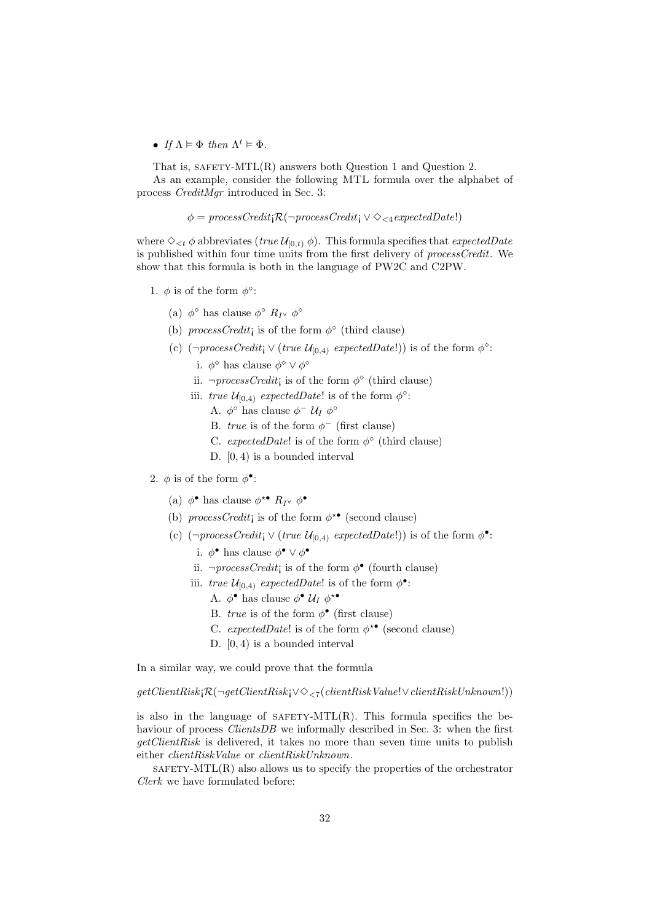• If  $\Lambda \models \Phi$  then  $\Lambda^t \models \Phi$ .

That is,  $S$ AFETY-MTL $(R)$  answers both Question 1 and Question 2.

As an example, consider the following MTL formula over the alphabet of process CreditMgr introduced in Sec. 3:

 $\phi = processCredit \mathcal{R}(\neg processCredit \mathcal{V} \diamond_{\leq 4} expectedDate!)$ 

where  $\Diamond_{\leq t} \phi$  abbreviates (true  $\mathcal{U}_{[0,t)}$   $\phi$ ). This formula specifies that expected Date is published within four time units from the first delivery of *processCredit*. We show that this formula is both in the language of PW2C and C2PW.

- 1.  $\phi$  is of the form  $\phi^{\circ}$ :
	- (a)  $\phi^\circ$  has clause  $\phi^\circ$   $R_{I^\forall}$   $\phi^\diamond$
	- (b) processCredit is of the form  $\phi^{\circ}$  (third clause)
	- (c)  $(\neg processCredit \vee (true U_{[0,4)} expectedDate!) )$  is of the form  $\phi^{\circ}$ :
		- i.  $\phi^{\diamond}$  has clause  $\phi^{\diamond} \vee \phi^{\diamond}$
		- ii.  $\neg processCredit$  is of the form  $\phi^{\diamond}$  (third clause)
		- iii. true  $\mathcal{U}_{[0,4)}$  expected Date! is of the form  $\phi^{\circ}$ :
			- A.  $\phi^{\circ}$  has clause  $\phi^ \mathcal{U}_I$   $\phi^{\circ}$
			- B. true is of the form  $\phi^-$  (first clause)
			- C. expected Date! is of the form  $\phi^{\circ}$  (third clause)
			- D. [0, 4) is a bounded interval

## 2.  $\phi$  is of the form  $\phi^{\bullet}$ :

- (a)  $\phi^{\bullet}$  has clause  $\phi^{\star \bullet}$   $R_{I^{\forall}}$   $\phi^{\bullet}$
- (b) processCredit is of the form  $\phi^{\star \bullet}$  (second clause)
- (c)  $(\neg processCredit \vee (true U_{[0,4)} expectedDate!) )$  is of the form  $\phi^{\bullet}$ :
	- i.  $\phi^{\bullet}$  has clause  $\phi^{\bullet} \vee \phi^{\bullet}$
	- ii.  $\neg processCredit$  is of the form  $\phi^{\bullet}$  (fourth clause)
	- iii. true  $\mathcal{U}_{[0,4)}$  expected Date! is of the form  $\phi^{\bullet}$ :
		- A.  $\phi^{\bullet}$  has clause  $\phi^{\bullet}$   $\mathcal{U}_I$   $\phi^{\star \bullet}$
		- B. true is of the form  $\phi^{\bullet}$  (first clause)
		- C. expectedDate! is of the form  $\phi^{\star\bullet}$  (second clause)
		- D. [0, 4) is a bounded interval

In a similar way, we could prove that the formula

getClientRisk¡R(¬getClientRisk¡∨✸<7(clientRiskValue!∨clientRiskUnknown!))

is also in the language of  $S$ AFETY-MTL $(R)$ . This formula specifies the behaviour of process *ClientsDB* we informally described in Sec. 3: when the first  $getClientRisk$  is delivered, it takes no more than seven time units to publish either clientRiskValue or clientRiskUnknown.

 $S$ AFETY-MTL $(R)$  also allows us to specify the properties of the orchestrator Clerk we have formulated before: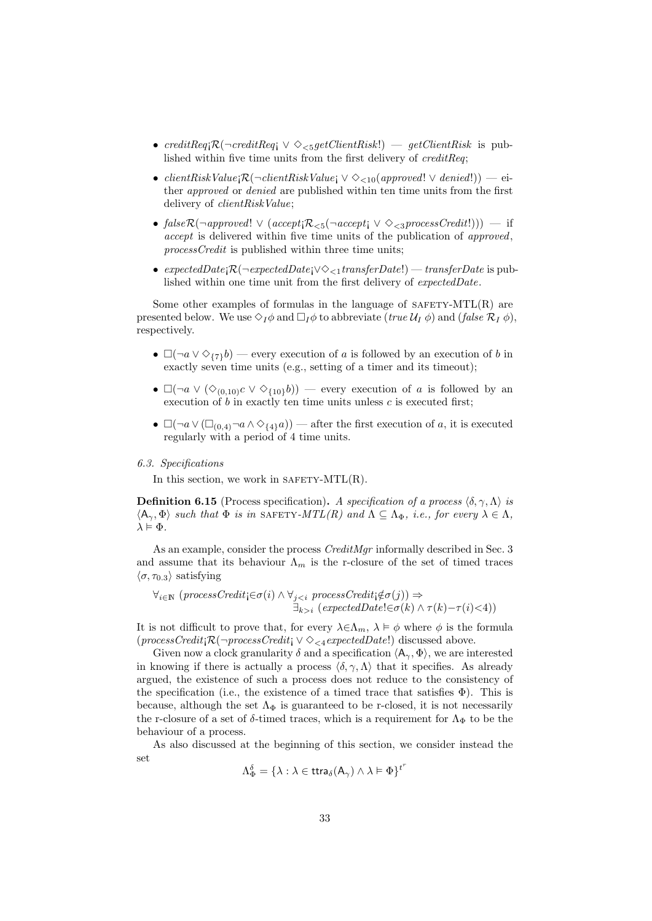- creditReq; $\mathcal{R}(\neg \text{creditReg}_i \lor \Diamond_{< 5} \text{getClientRisk}!)$  getClientRisk is published within five time units from the first delivery of  $creditReg;$
- clientRiskValue; $\mathcal{R}(\neg clientRiskValue \vee \Diamond_{\leq 10}(approved! \vee denied!))$  either approved or denied are published within ten time units from the first delivery of *clientRiskValue*;
- falseR( $\neg$ approved!  $\vee$  (accept<sub>i</sub> $\mathcal{R}_{\leq 5}(\neg \text{accept}_i \vee \Diamond_{\leq 3} \text{processCredit}()) =$  if accept is delivered within five time units of the publication of approved, process Credit is published within three time units;
- expectedDate; $\mathcal{R}(\neg expectedDate \lor \Diamond_{\leq 1} transferDate!)$  transferDate is published within one time unit from the first delivery of expectedDate.

Some other examples of formulas in the language of  $S$ AFETY-MTL $(R)$  are presented below. We use  $\Diamond_I \phi$  and  $\Box_I \phi$  to abbreviate (true  $\mathcal{U}_I \phi$ ) and (false  $\mathcal{R}_I \phi$ ), respectively.

- $\Box(\neg a \vee \Diamond_{\{7\}}b)$  every execution of a is followed by an execution of b in exactly seven time units (e.g., setting of a timer and its timeout);
- $\Box(\neg a \vee (\Diamond_{(0,10)}c \vee \Diamond_{\{10\}}b))$  every execution of a is followed by an execution of  $\bar{b}$  in exactly ten time units unless  $c$  is executed first;
- $\Box(\neg a \vee (\Box_{(0,4)}\neg a \wedge \Diamond_{\{4\}}a))$  after the first execution of a, it is executed regularly with a period of 4 time units.

#### 6.3. Specifications

In this section, we work in  $S$ AFETY-MTL $(R)$ .

**Definition 6.15** (Process specification). A specification of a process  $\langle \delta, \gamma, \Lambda \rangle$  is  $\langle A_{\gamma}, \Phi \rangle$  such that  $\Phi$  is in SAFETY-MTL(R) and  $\Lambda \subseteq \Lambda_{\Phi}$ , i.e., for every  $\lambda \in \Lambda$ ,  $\lambda \models \Phi$ .

As an example, consider the process *CreditMar* informally described in Sec. 3 and assume that its behaviour  $\Lambda_m$  is the r-closure of the set of timed traces  $\langle \sigma, \tau_{0.3} \rangle$  satisfying

 $\forall_{i\in\mathbb{N}}\ (processCredit \in \sigma(i) \land \forall_{j$  $\exists_{k>i}$  (expectedDate! $\in \sigma(k) \wedge \tau(k)-\tau(i) < 4$ ))

It is not difficult to prove that, for every  $\lambda \in \Lambda_m$ ,  $\lambda \models \phi$  where  $\phi$  is the formula  $(processCredit; R(\neg processCredit; \vee \Diamond_{\leq 4} expectedDate!)$  discussed above.

Given now a clock granularity  $\delta$  and a specification  $\langle A_{\gamma}, \Phi \rangle$ , we are interested in knowing if there is actually a process  $\langle \delta, \gamma, \Lambda \rangle$  that it specifies. As already argued, the existence of such a process does not reduce to the consistency of the specification (i.e., the existence of a timed trace that satisfies  $\Phi$ ). This is because, although the set  $\Lambda_{\Phi}$  is guaranteed to be r-closed, it is not necessarily the r-closure of a set of  $\delta$ -timed traces, which is a requirement for  $\Lambda_{\Phi}$  to be the behaviour of a process.

As also discussed at the beginning of this section, we consider instead the set r

$$
\Lambda_\Phi^\delta = \{\lambda : \lambda \in \mathsf{ttra}_\delta(\mathsf{A}_\gamma) \land \lambda \vDash \Phi\}^t
$$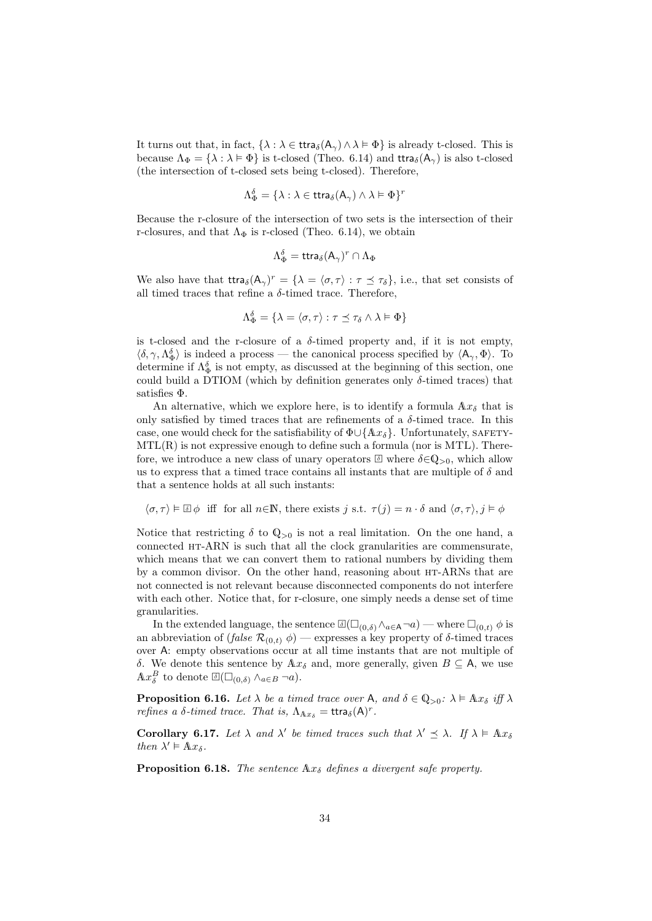It turns out that, in fact,  $\{\lambda : \lambda \in \text{trra}_{\delta}(A_{\gamma}) \wedge \lambda \models \Phi\}$  is already t-closed. This is because  $\Lambda_{\Phi} = {\lambda : \lambda \models \Phi}$  is t-closed (Theo. 6.14) and ttra $_{\delta}$ (A<sub> $_{\gamma}$ </sub>) is also t-closed (the intersection of t-closed sets being t-closed). Therefore,

$$
\Lambda_\Phi^\delta = \{\lambda : \lambda \in \mathsf{ttra}_\delta(\mathsf{A}_\gamma) \land \lambda \vDash \Phi\}^r
$$

Because the r-closure of the intersection of two sets is the intersection of their r-closures, and that  $\Lambda_{\Phi}$  is r-closed (Theo. 6.14), we obtain

$$
\Lambda_\Phi^\delta=\mathsf{ttra}_\delta(\mathsf{A}_\gamma)^r\cap\Lambda_\Phi
$$

We also have that  $\text{trra}_{\delta}(\mathsf{A}_{\gamma})^r = \{\lambda = \langle \sigma, \tau \rangle : \tau \preceq \tau_{\delta}\},$  i.e., that set consists of all timed traces that refine a  $\delta$ -timed trace. Therefore,

$$
\Lambda_\Phi^\delta = \{ \lambda = \langle \sigma, \tau \rangle : \tau \preceq \tau_\delta \wedge \lambda \vDash \Phi \}
$$

is t-closed and the r-closure of a  $\delta$ -timed property and, if it is not empty,  $\langle \delta, \gamma, \Lambda_{\Phi}^{\delta} \rangle$  is indeed a process — the canonical process specified by  $\langle A_{\gamma}, \Phi \rangle$ . To determine if  $\Lambda_{\Phi}^{\delta}$  is not empty, as discussed at the beginning of this section, one could build a DTIOM (which by definition generates only  $\delta$ -timed traces) that satisfies Φ.

An alternative, which we explore here, is to identify a formula  $Ax_{\delta}$  that is only satisfied by timed traces that are refinements of a  $\delta$ -timed trace. In this case, one would check for the satisfiability of  $\Phi \cup {\bf{A}} x_{\delta}$ . Unfortunately, SAFETY- $MTL(R)$  is not expressive enough to define such a formula (nor is  $MTL$ ). Therefore, we introduce a new class of unary operators  $\mathbb{Z}$  where  $\delta \in \mathbb{Q}_{>0}$ , which allow us to express that a timed trace contains all instants that are multiple of  $\delta$  and that a sentence holds at all such instants:

 $\langle \sigma, \tau \rangle \models \Box \phi$  iff for all  $n \in \mathbb{N}$ , there exists j s.t.  $\tau(j) = n \cdot \delta$  and  $\langle \sigma, \tau \rangle$ ,  $j \models \phi$ 

Notice that restricting  $\delta$  to  $\mathbb{Q}_{>0}$  is not a real limitation. On the one hand, a connected ht-ARN is such that all the clock granularities are commensurate, which means that we can convert them to rational numbers by dividing them by a common divisor. On the other hand, reasoning about HT-ARNs that are not connected is not relevant because disconnected components do not interfere with each other. Notice that, for r-closure, one simply needs a dense set of time granularities.

In the extended language, the sentence  $\mathbb{E}(\Box_{(0,\delta)} \land_{a \in A} \neg a)$  — where  $\Box_{(0,t)} \phi$  is an abbreviation of  $(false \mathcal{R}_{(0,t)} \phi)$  — expresses a key property of  $\delta$ -timed traces over A: empty observations occur at all time instants that are not multiple of δ. We denote this sentence by  $\mathbb{A}x_\delta$  and, more generally, given  $B \subseteq A$ , we use  $\mathbf{A} x_{\delta}^{B}$  to denote  $\mathbb{E}(\Box_{(0,\delta)} \wedge_{a \in B} \neg a)$ .

**Proposition 6.16.** Let  $\lambda$  be a timed trace over A, and  $\delta \in \mathbb{Q}_{>0}$ :  $\lambda \models \mathbb{A}x_{\delta}$  iff  $\lambda$ *refines a δ-timed trace. That is,*  $\Lambda_{A x_{\delta}} = \text{ttra}_{\delta}(A)^{r}$ .

**Corollary 6.17.** Let  $\lambda$  and  $\lambda'$  be timed traces such that  $\lambda' \leq \lambda$ . If  $\lambda \models \mathbb{A}x_{\delta}$ then  $\lambda' \vDash Ax_{\delta}$ .

**Proposition 6.18.** The sentence  $Ax_{\delta}$  defines a divergent safe property.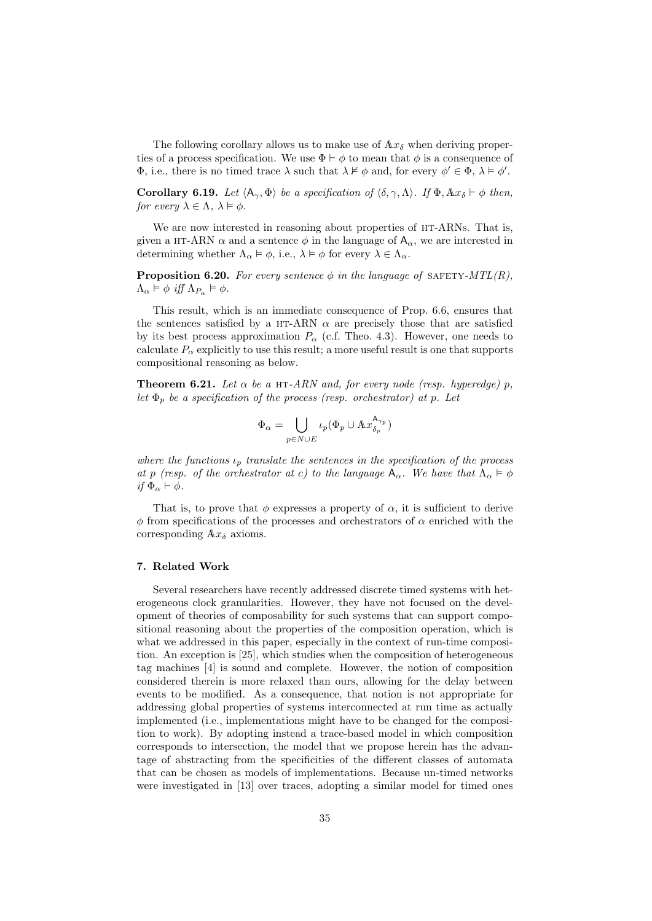The following corollary allows us to make use of  $Ax_{\delta}$  when deriving properties of a process specification. We use  $\Phi \vdash \phi$  to mean that  $\phi$  is a consequence of  $\Phi$ , i.e., there is no timed trace  $\lambda$  such that  $\lambda \nvDash \phi$  and, for every  $\phi' \in \Phi$ ,  $\lambda \vDash \phi'$ .

Corollary 6.19. Let  $\langle A_{\gamma}, \Phi \rangle$  be a specification of  $\langle \delta, \gamma, \Lambda \rangle$ . If  $\Phi, Ax_{\delta} \vdash \phi$  then, for every  $\lambda \in \Lambda$ ,  $\lambda \models \phi$ .

We are now interested in reasoning about properties of HT-ARNs. That is, given a HT-ARN  $\alpha$  and a sentence  $\phi$  in the language of  $A_{\alpha}$ , we are interested in determining whether  $\Lambda_{\alpha} \models \phi$ , i.e.,  $\lambda \models \phi$  for every  $\lambda \in \Lambda_{\alpha}$ .

**Proposition 6.20.** For every sentence  $\phi$  in the language of SAFETY-MTL(R),  $\Lambda_{\alpha} \models \phi \text{ iff } \Lambda_{P_{\alpha}} \models \phi.$ 

This result, which is an immediate consequence of Prop. 6.6, ensures that the sentences satisfied by a HT-ARN  $\alpha$  are precisely those that are satisfied by its best process approximation  $P_{\alpha}$  (c.f. Theo. 4.3). However, one needs to calculate  $P_{\alpha}$  explicitly to use this result; a more useful result is one that supports compositional reasoning as below.

**Theorem 6.21.** Let  $\alpha$  be a HT-ARN and, for every node (resp. hyperedge) p, let  $\Phi_p$  be a specification of the process (resp. orchestrator) at p. Let

$$
\Phi_{\alpha} = \bigcup_{p \in N \cup E} \iota_p(\Phi_p \cup \mathbb{A}x_{\delta_p}^{\mathsf{A}_{\gamma_p}})
$$

where the functions  $\iota_p$  translate the sentences in the specification of the process at p (resp. of the orchestrator at c) to the language  $A_{\alpha}$ . We have that  $\Lambda_{\alpha} \models \phi$ if  $\Phi_{\alpha} \vdash \phi$ .

That is, to prove that  $\phi$  expresses a property of  $\alpha$ , it is sufficient to derive  $\phi$  from specifications of the processes and orchestrators of  $\alpha$  enriched with the corresponding  $Ax_{\delta}$  axioms.

#### 7. Related Work

Several researchers have recently addressed discrete timed systems with heterogeneous clock granularities. However, they have not focused on the development of theories of composability for such systems that can support compositional reasoning about the properties of the composition operation, which is what we addressed in this paper, especially in the context of run-time composition. An exception is [25], which studies when the composition of heterogeneous tag machines [4] is sound and complete. However, the notion of composition considered therein is more relaxed than ours, allowing for the delay between events to be modified. As a consequence, that notion is not appropriate for addressing global properties of systems interconnected at run time as actually implemented (i.e., implementations might have to be changed for the composition to work). By adopting instead a trace-based model in which composition corresponds to intersection, the model that we propose herein has the advantage of abstracting from the specificities of the different classes of automata that can be chosen as models of implementations. Because un-timed networks were investigated in [13] over traces, adopting a similar model for timed ones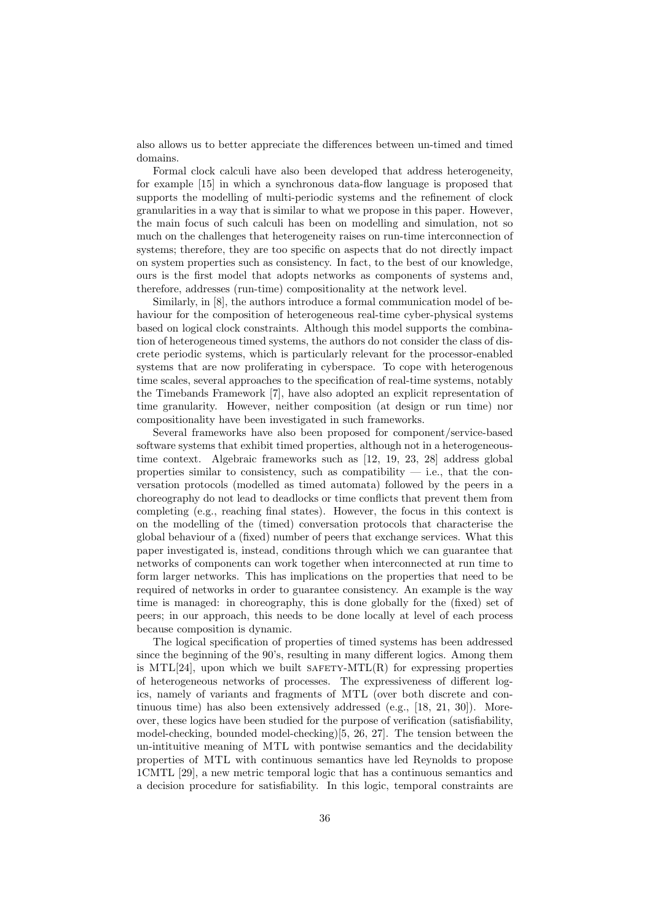also allows us to better appreciate the differences between un-timed and timed domains.

Formal clock calculi have also been developed that address heterogeneity, for example [15] in which a synchronous data-flow language is proposed that supports the modelling of multi-periodic systems and the refinement of clock granularities in a way that is similar to what we propose in this paper. However, the main focus of such calculi has been on modelling and simulation, not so much on the challenges that heterogeneity raises on run-time interconnection of systems; therefore, they are too specific on aspects that do not directly impact on system properties such as consistency. In fact, to the best of our knowledge, ours is the first model that adopts networks as components of systems and, therefore, addresses (run-time) compositionality at the network level.

Similarly, in [8], the authors introduce a formal communication model of behaviour for the composition of heterogeneous real-time cyber-physical systems based on logical clock constraints. Although this model supports the combination of heterogeneous timed systems, the authors do not consider the class of discrete periodic systems, which is particularly relevant for the processor-enabled systems that are now proliferating in cyberspace. To cope with heterogenous time scales, several approaches to the specification of real-time systems, notably the Timebands Framework [7], have also adopted an explicit representation of time granularity. However, neither composition (at design or run time) nor compositionality have been investigated in such frameworks.

Several frameworks have also been proposed for component/service-based software systems that exhibit timed properties, although not in a heterogeneoustime context. Algebraic frameworks such as [12, 19, 23, 28] address global properties similar to consistency, such as compatibility  $-$  i.e., that the conversation protocols (modelled as timed automata) followed by the peers in a choreography do not lead to deadlocks or time conflicts that prevent them from completing (e.g., reaching final states). However, the focus in this context is on the modelling of the (timed) conversation protocols that characterise the global behaviour of a (fixed) number of peers that exchange services. What this paper investigated is, instead, conditions through which we can guarantee that networks of components can work together when interconnected at run time to form larger networks. This has implications on the properties that need to be required of networks in order to guarantee consistency. An example is the way time is managed: in choreography, this is done globally for the (fixed) set of peers; in our approach, this needs to be done locally at level of each process because composition is dynamic.

The logical specification of properties of timed systems has been addressed since the beginning of the 90's, resulting in many different logics. Among them is  $MTL[24]$ , upon which we built  $S$ AFETY-MTL $(R)$  for expressing properties of heterogeneous networks of processes. The expressiveness of different logics, namely of variants and fragments of MTL (over both discrete and continuous time) has also been extensively addressed (e.g., [18, 21, 30]). Moreover, these logics have been studied for the purpose of verification (satisfiability, model-checking, bounded model-checking)[5, 26, 27]. The tension between the un-intituitive meaning of MTL with pontwise semantics and the decidability properties of MTL with continuous semantics have led Reynolds to propose 1CMTL [29], a new metric temporal logic that has a continuous semantics and a decision procedure for satisfiability. In this logic, temporal constraints are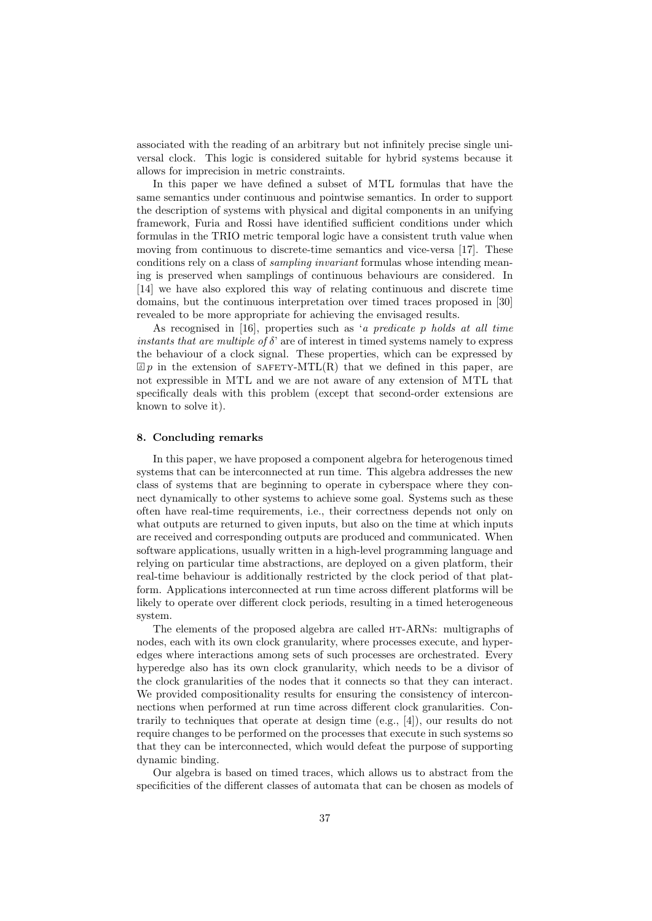associated with the reading of an arbitrary but not infinitely precise single universal clock. This logic is considered suitable for hybrid systems because it allows for imprecision in metric constraints.

In this paper we have defined a subset of MTL formulas that have the same semantics under continuous and pointwise semantics. In order to support the description of systems with physical and digital components in an unifying framework, Furia and Rossi have identified sufficient conditions under which formulas in the TRIO metric temporal logic have a consistent truth value when moving from continuous to discrete-time semantics and vice-versa [17]. These conditions rely on a class of sampling invariant formulas whose intending meaning is preserved when samplings of continuous behaviours are considered. In [14] we have also explored this way of relating continuous and discrete time domains, but the continuous interpretation over timed traces proposed in [30] revealed to be more appropriate for achieving the envisaged results.

As recognised in [16], properties such as 'a predicate p holds at all time instants that are multiple of  $\delta'$  are of interest in timed systems namely to express the behaviour of a clock signal. These properties, which can be expressed by  $\overline{\omega}$  p in the extension of SAFETY-MTL(R) that we defined in this paper, are not expressible in MTL and we are not aware of any extension of MTL that specifically deals with this problem (except that second-order extensions are known to solve it).

#### 8. Concluding remarks

In this paper, we have proposed a component algebra for heterogenous timed systems that can be interconnected at run time. This algebra addresses the new class of systems that are beginning to operate in cyberspace where they connect dynamically to other systems to achieve some goal. Systems such as these often have real-time requirements, i.e., their correctness depends not only on what outputs are returned to given inputs, but also on the time at which inputs are received and corresponding outputs are produced and communicated. When software applications, usually written in a high-level programming language and relying on particular time abstractions, are deployed on a given platform, their real-time behaviour is additionally restricted by the clock period of that platform. Applications interconnected at run time across different platforms will be likely to operate over different clock periods, resulting in a timed heterogeneous system.

The elements of the proposed algebra are called ht-ARNs: multigraphs of nodes, each with its own clock granularity, where processes execute, and hyperedges where interactions among sets of such processes are orchestrated. Every hyperedge also has its own clock granularity, which needs to be a divisor of the clock granularities of the nodes that it connects so that they can interact. We provided compositionality results for ensuring the consistency of interconnections when performed at run time across different clock granularities. Contrarily to techniques that operate at design time (e.g., [4]), our results do not require changes to be performed on the processes that execute in such systems so that they can be interconnected, which would defeat the purpose of supporting dynamic binding.

Our algebra is based on timed traces, which allows us to abstract from the specificities of the different classes of automata that can be chosen as models of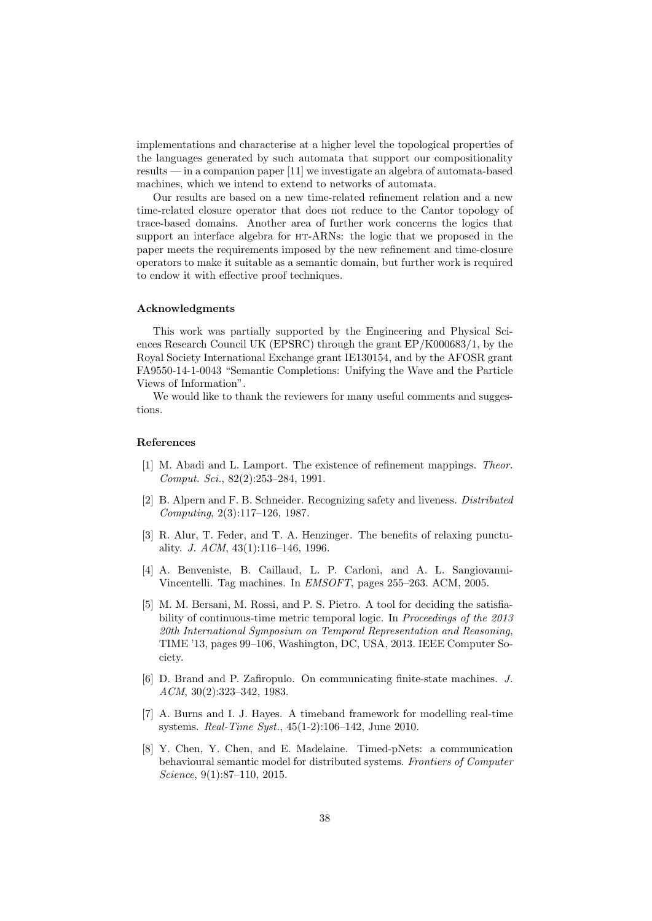implementations and characterise at a higher level the topological properties of the languages generated by such automata that support our compositionality results — in a companion paper [11] we investigate an algebra of automata-based machines, which we intend to extend to networks of automata.

Our results are based on a new time-related refinement relation and a new time-related closure operator that does not reduce to the Cantor topology of trace-based domains. Another area of further work concerns the logics that support an interface algebra for HT-ARNs: the logic that we proposed in the paper meets the requirements imposed by the new refinement and time-closure operators to make it suitable as a semantic domain, but further work is required to endow it with effective proof techniques.

#### Acknowledgments

This work was partially supported by the Engineering and Physical Sciences Research Council UK (EPSRC) through the grant EP/K000683/1, by the Royal Society International Exchange grant IE130154, and by the AFOSR grant FA9550-14-1-0043 "Semantic Completions: Unifying the Wave and the Particle Views of Information".

We would like to thank the reviewers for many useful comments and suggestions.

#### References

- [1] M. Abadi and L. Lamport. The existence of refinement mappings. Theor. Comput. Sci., 82(2):253–284, 1991.
- [2] B. Alpern and F. B. Schneider. Recognizing safety and liveness. Distributed Computing, 2(3):117–126, 1987.
- [3] R. Alur, T. Feder, and T. A. Henzinger. The benefits of relaxing punctuality. J. ACM, 43(1):116–146, 1996.
- [4] A. Benveniste, B. Caillaud, L. P. Carloni, and A. L. Sangiovanni-Vincentelli. Tag machines. In EMSOFT, pages 255–263. ACM, 2005.
- [5] M. M. Bersani, M. Rossi, and P. S. Pietro. A tool for deciding the satisfiability of continuous-time metric temporal logic. In *Proceedings of the 2013* 20th International Symposium on Temporal Representation and Reasoning, TIME '13, pages 99–106, Washington, DC, USA, 2013. IEEE Computer Society.
- [6] D. Brand and P. Zafiropulo. On communicating finite-state machines. J. ACM, 30(2):323–342, 1983.
- [7] A. Burns and I. J. Hayes. A timeband framework for modelling real-time systems. Real-Time Syst., 45(1-2):106–142, June 2010.
- [8] Y. Chen, Y. Chen, and E. Madelaine. Timed-pNets: a communication behavioural semantic model for distributed systems. Frontiers of Computer Science, 9(1):87–110, 2015.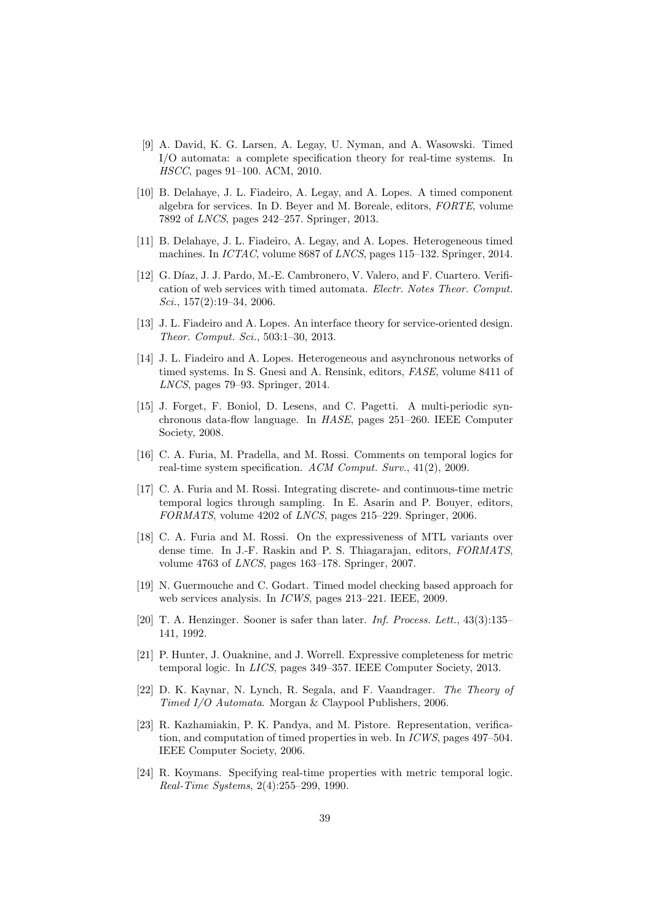- [9] A. David, K. G. Larsen, A. Legay, U. Nyman, and A. Wasowski. Timed I/O automata: a complete specification theory for real-time systems. In HSCC, pages 91–100. ACM, 2010.
- [10] B. Delahaye, J. L. Fiadeiro, A. Legay, and A. Lopes. A timed component algebra for services. In D. Beyer and M. Boreale, editors, FORTE, volume 7892 of LNCS, pages 242–257. Springer, 2013.
- [11] B. Delahaye, J. L. Fiadeiro, A. Legay, and A. Lopes. Heterogeneous timed machines. In ICTAC, volume 8687 of LNCS, pages 115–132. Springer, 2014.
- [12] G. Díaz, J. J. Pardo, M.-E. Cambronero, V. Valero, and F. Cuartero. Verification of web services with timed automata. Electr. Notes Theor. Comput. Sci., 157(2):19-34, 2006.
- [13] J. L. Fiadeiro and A. Lopes. An interface theory for service-oriented design. Theor. Comput. Sci., 503:1–30, 2013.
- [14] J. L. Fiadeiro and A. Lopes. Heterogeneous and asynchronous networks of timed systems. In S. Gnesi and A. Rensink, editors, FASE, volume 8411 of LNCS, pages 79–93. Springer, 2014.
- [15] J. Forget, F. Boniol, D. Lesens, and C. Pagetti. A multi-periodic synchronous data-flow language. In HASE, pages 251–260. IEEE Computer Society, 2008.
- [16] C. A. Furia, M. Pradella, and M. Rossi. Comments on temporal logics for real-time system specification. ACM Comput. Surv., 41(2), 2009.
- [17] C. A. Furia and M. Rossi. Integrating discrete- and continuous-time metric temporal logics through sampling. In E. Asarin and P. Bouyer, editors, FORMATS, volume 4202 of LNCS, pages 215–229. Springer, 2006.
- [18] C. A. Furia and M. Rossi. On the expressiveness of MTL variants over dense time. In J.-F. Raskin and P. S. Thiagarajan, editors, FORMATS, volume 4763 of LNCS, pages 163–178. Springer, 2007.
- [19] N. Guermouche and C. Godart. Timed model checking based approach for web services analysis. In ICWS, pages 213–221. IEEE, 2009.
- [20] T. A. Henzinger. Sooner is safer than later. Inf. Process. Lett., 43(3):135– 141, 1992.
- [21] P. Hunter, J. Ouaknine, and J. Worrell. Expressive completeness for metric temporal logic. In LICS, pages 349–357. IEEE Computer Society, 2013.
- [22] D. K. Kaynar, N. Lynch, R. Segala, and F. Vaandrager. The Theory of Timed I/O Automata. Morgan & Claypool Publishers, 2006.
- [23] R. Kazhamiakin, P. K. Pandya, and M. Pistore. Representation, verification, and computation of timed properties in web. In ICWS, pages 497–504. IEEE Computer Society, 2006.
- [24] R. Koymans. Specifying real-time properties with metric temporal logic. Real-Time Systems, 2(4):255–299, 1990.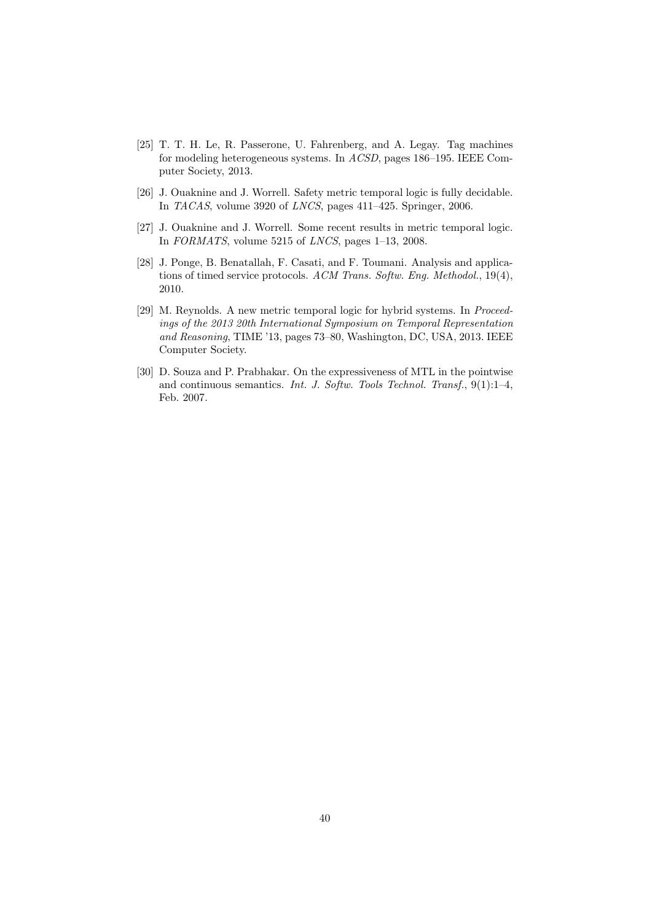- [25] T. T. H. Le, R. Passerone, U. Fahrenberg, and A. Legay. Tag machines for modeling heterogeneous systems. In ACSD, pages 186–195. IEEE Computer Society, 2013.
- [26] J. Ouaknine and J. Worrell. Safety metric temporal logic is fully decidable. In TACAS, volume 3920 of LNCS, pages 411–425. Springer, 2006.
- [27] J. Ouaknine and J. Worrell. Some recent results in metric temporal logic. In FORMATS, volume 5215 of LNCS, pages 1–13, 2008.
- [28] J. Ponge, B. Benatallah, F. Casati, and F. Toumani. Analysis and applications of timed service protocols. ACM Trans. Softw. Eng. Methodol., 19(4), 2010.
- [29] M. Reynolds. A new metric temporal logic for hybrid systems. In Proceedings of the 2013 20th International Symposium on Temporal Representation and Reasoning, TIME '13, pages 73–80, Washington, DC, USA, 2013. IEEE Computer Society.
- [30] D. Souza and P. Prabhakar. On the expressiveness of MTL in the pointwise and continuous semantics. Int. J. Softw. Tools Technol. Transf., 9(1):1–4, Feb. 2007.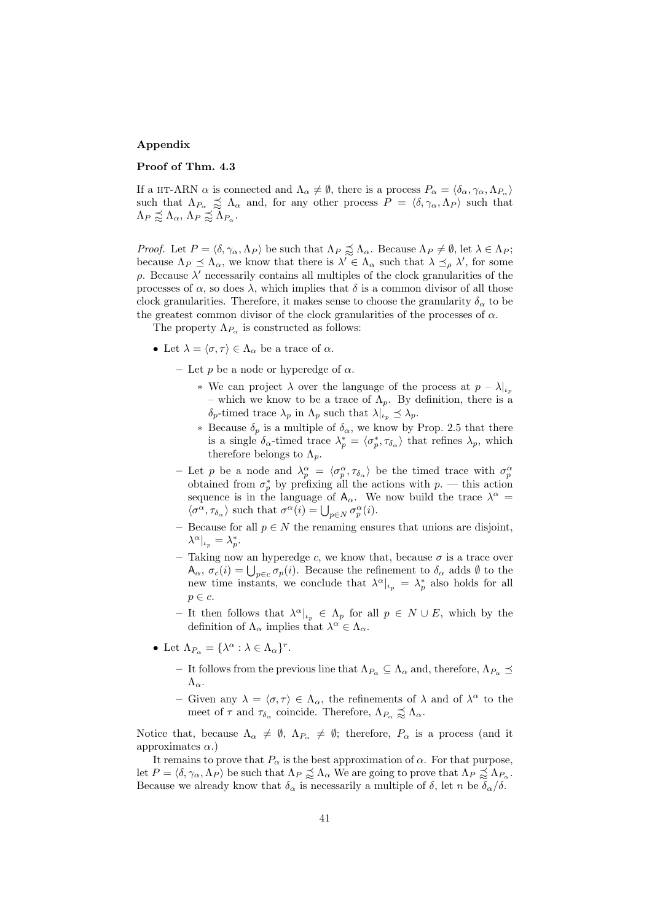## Appendix

#### Proof of Thm. 4.3

If a HT-ARN  $\alpha$  is connected and  $\Lambda_{\alpha} \neq \emptyset$ , there is a process  $P_{\alpha} = \langle \delta_{\alpha}, \gamma_{\alpha}, \Lambda_{P_{\alpha}} \rangle$ such that  $\Lambda_{P_{\alpha}} \precsim \Lambda_{\alpha}$  and, for any other process  $P = \langle \delta, \gamma_{\alpha}, \Lambda_{P} \rangle$  such that  $\Lambda_P \precsim \Lambda_\alpha, \, \Lambda_P \precsim \widetilde{\Lambda}_{P_\alpha}.$ 

*Proof.* Let  $P = \langle \delta, \gamma_\alpha, \Lambda_P \rangle$  be such that  $\Lambda_P \precsim \Lambda_\alpha$ . Because  $\Lambda_P \neq \emptyset$ , let  $\lambda \in \Lambda_P$ ; because  $\Lambda_P \preceq \Lambda_\alpha$ , we know that there is  $\lambda' \in \Lambda_\alpha$  such that  $\lambda \preceq_\rho \lambda'$ , for some  $\rho$ . Because  $\lambda'$  necessarily contains all multiples of the clock granularities of the processes of  $\alpha$ , so does  $\lambda$ , which implies that  $\delta$  is a common divisor of all those clock granularities. Therefore, it makes sense to choose the granularity  $\delta_{\alpha}$  to be the greatest common divisor of the clock granularities of the processes of  $\alpha$ .

The property  $\Lambda_{P_{\alpha}}$  is constructed as follows:

• Let  $\lambda = \langle \sigma, \tau \rangle \in \Lambda_{\alpha}$  be a trace of  $\alpha$ .

– Let p be a node or hyperedge of  $\alpha$ .

- $∗$  We can project  $λ$  over the language of the process at  $p λ|_{\iota_p}$ – which we know to be a trace of  $\Lambda_p$ . By definition, there is a  $\delta_p$ -timed trace  $\lambda_p$  in  $\Lambda_p$  such that  $\lambda|_{\iota_p} \preceq \lambda_p$ .
- ∗ Because δ<sup>p</sup> is a multiple of δα, we know by Prop. 2.5 that there is a single  $\delta_{\alpha}$ -timed trace  $\lambda_p^* = \langle \sigma_p^*, \tau_{\delta_{\alpha}} \rangle$  that refines  $\lambda_p$ , which therefore belongs to  $\Lambda_p$ .
- Let p be a node and  $\lambda_p^{\alpha} = \langle \sigma_p^{\alpha}, \tau_{\delta_{\alpha}} \rangle$  be the timed trace with  $\sigma_p^{\alpha}$  obtained from  $\sigma_p^*$  by prefixing all the actions with p. this action sequence is in the language of  $A_{\alpha}$ . We now build the trace  $\lambda^{\alpha}$  =  $\langle \sigma^\alpha, \tau_{\delta_\alpha} \rangle$  such that  $\sigma^\alpha(i) = \bigcup_{p \in N} \sigma^\alpha_p(i)$ .
- Because for all  $p \in N$  the renaming ensures that unions are disjoint,  $\lambda^{\alpha}|_{\iota_p} = \lambda_p^*$ .
- Taking now an hyperedge  $c$ , we know that, because  $\sigma$  is a trace over  $A_{\alpha}, \sigma_c(i) = \bigcup_{p \in c} \sigma_p(i)$ . Because the refinement to  $\delta_{\alpha}$  adds  $\emptyset$  to the new time instants, we conclude that  $\lambda^{\alpha}|_{\iota_p} = \lambda_p^*$  also holds for all  $p \in c$ .
- It then follows that  $\lambda^{\alpha}|_{\iota_p}$  ∈  $\Lambda_p$  for all  $p ∈ N ∪ E$ , which by the definition of  $\Lambda_{\alpha}$  implies that  $\lambda^{\alpha} \in \Lambda_{\alpha}$ .
- Let  $\Lambda_{P_{\alpha}} = {\lambda^{\alpha} : \lambda \in \Lambda_{\alpha}}^r.$ 
	- It follows from the previous line that  $\Lambda_{P_{\alpha}} \subseteq \Lambda_{\alpha}$  and, therefore,  $\Lambda_{P_{\alpha}} \preceq$  $\Lambda_{\alpha}$ .
	- Given any  $\lambda = \langle \sigma, \tau \rangle \in \Lambda_{\alpha}$ , the refinements of  $\lambda$  and of  $\lambda^{\alpha}$  to the meet of  $\tau$  and  $\tau_{\delta_{\alpha}}$  coincide. Therefore,  $\Lambda_{P_{\alpha}} \precsim \Lambda_{\alpha}$ .

Notice that, because  $\Lambda_{\alpha} \neq \emptyset$ ,  $\Lambda_{P_{\alpha}} \neq \emptyset$ ; therefore,  $P_{\alpha}$  is a process (and it approximates  $\alpha$ .)

It remains to prove that  $P_{\alpha}$  is the best approximation of  $\alpha$ . For that purpose, let  $P = \langle \delta, \gamma_\alpha, \Lambda_P \rangle$  be such that  $\Lambda_P \precsim \Lambda_\alpha$  We are going to prove that  $\Lambda_P \precsim \Lambda_{P_\alpha}$ . Because we already know that  $\delta_{\alpha}$  is necessarily a multiple of  $\delta$ , let n be  $\delta_{\alpha}/\delta$ .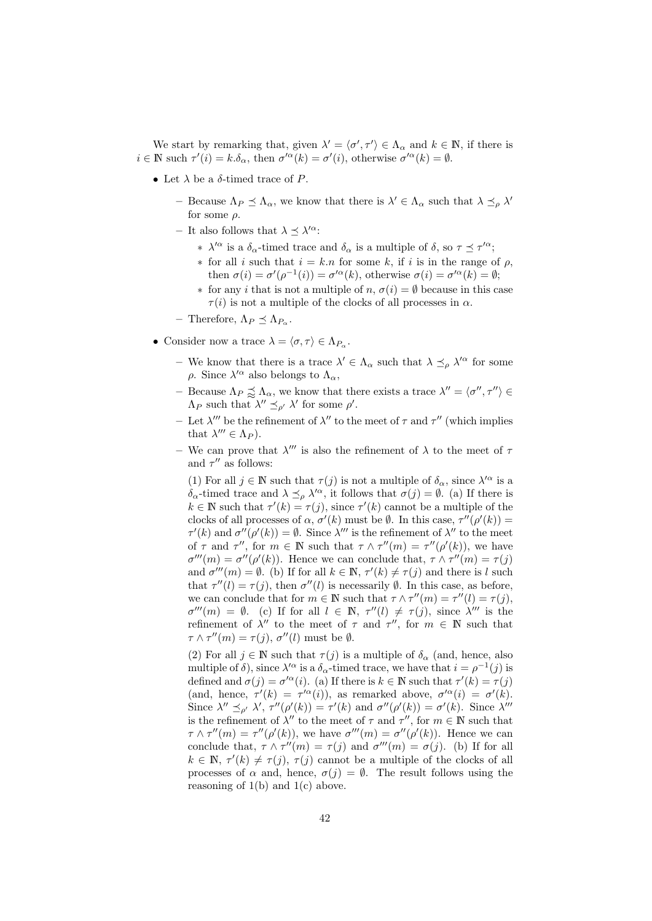We start by remarking that, given  $\lambda' = \langle \sigma', \tau' \rangle \in \Lambda_{\alpha}$  and  $k \in \mathbb{N}$ , if there is  $i \in \mathbb{N}$  such  $\tau'(i) = k \cdot \delta_{\alpha}$ , then  $\sigma'^{\alpha}(k) = \sigma'(i)$ , otherwise  $\sigma'^{\alpha}(k) = \emptyset$ .

- Let  $\lambda$  be a  $\delta$ -timed trace of P.
	- Because  $\Lambda_P \preceq \Lambda_\alpha$ , we know that there is  $\lambda' \in \Lambda_\alpha$  such that  $\lambda \preceq_\rho \lambda'$ for some  $\rho$ .
	- It also follows that  $\lambda \preceq \lambda'^{\alpha}$ :
		- <sup>∗</sup>  $\lambda'^{\alpha}$  is a δ<sub>α</sub>-timed trace and δ<sub>α</sub> is a multiple of δ, so  $\tau \leq \tau'^{\alpha}$ ;
		- ∗ for all i such that i = k.n for some k, if i is in the range of ρ, then  $\sigma(i) = \sigma'(\rho^{-1}(i)) = \sigma'^{\alpha}(k)$ , otherwise  $\sigma(i) = \sigma'^{\alpha}(k) = \emptyset$ ;
		- ∗ for any i that is not a multiple of n, σ(i) = ∅ because in this case  $\tau(i)$  is not a multiple of the clocks of all processes in  $\alpha$ .
	- Therefore,  $\Lambda_P \preceq \Lambda_{P_\alpha}$ .
- Consider now a trace  $\lambda = \langle \sigma, \tau \rangle \in \Lambda_{P_{\alpha}}$ .
	- We know that there is a trace  $\lambda' \in \Lambda_\alpha$  such that  $\lambda \preceq_\rho \lambda'^\alpha$  for some  $ρ$ . Since  $λ'^α$  also belongs to  $Λ_α$ ,
	- Because  $\Lambda_P \precsim \Lambda_\alpha$ , we know that there exists a trace  $\lambda'' = \langle \sigma'', \tau'' \rangle \in$  $\Lambda_P$  such that  $\lambda'' \preceq_{\rho'} \lambda'$  for some  $\rho'$ .
	- Let  $\lambda'''$  be the refinement of  $\lambda''$  to the meet of  $\tau$  and  $\tau''$  (which implies that  $\lambda''' \in \Lambda_P$ ).
	- We can prove that  $\lambda'''$  is also the refinement of  $\lambda$  to the meet of  $\tau$ and  $\tau''$  as follows:

(1) For all  $j \in \mathbb{N}$  such that  $\tau(j)$  is not a multiple of  $\delta_{\alpha}$ , since  $\lambda'^{\alpha}$  is a  $\delta_{\alpha}$ -timed trace and  $\lambda \preceq_{\rho} \lambda'^{\alpha}$ , it follows that  $\sigma(j) = \emptyset$ . (a) If there is  $k \in \mathbb{N}$  such that  $\tau'(k) = \tau(j)$ , since  $\tau'(k)$  cannot be a multiple of the clocks of all processes of  $\alpha$ ,  $\sigma'(k)$  must be  $\emptyset$ . In this case,  $\tau''(\rho'(k)) =$  $\tau'(k)$  and  $\sigma''(\rho'(k)) = \emptyset$ . Since  $\lambda'''$  is the refinement of  $\lambda''$  to the meet of  $\tau$  and  $\tau''$ , for  $m \in \mathbb{N}$  such that  $\tau \wedge \tau''(m) = \tau''(\rho'(k))$ , we have  $\sigma'''(m) = \sigma''(\rho'(k))$ . Hence we can conclude that,  $\tau \wedge \tau''(m) = \tau(j)$ and  $\sigma'''(m) = \emptyset$ . (b) If for all  $k \in \mathbb{N}$ ,  $\tau'(k) \neq \tau(j)$  and there is l such that  $\tau''(l) = \tau(j)$ , then  $\sigma''(l)$  is necessarily  $\emptyset$ . In this case, as before, we can conclude that for  $m \in \mathbb{N}$  such that  $\tau \wedge \tau''(m) = \tau''(l) = \tau(j)$ ,  $\sigma'''(m) = \emptyset$ . (c) If for all  $l \in \mathbb{N}$ ,  $\tau''(l) \neq \tau(j)$ , since  $\lambda'''$  is the refinement of  $\lambda''$  to the meet of  $\tau$  and  $\tau''$ , for  $m \in \mathbb{N}$  such that  $\tau \wedge \tau''(m) = \tau(j), \sigma''(l)$  must be  $\emptyset$ .

(2) For all  $j \in \mathbb{N}$  such that  $\tau(j)$  is a multiple of  $\delta_{\alpha}$  (and, hence, also multiple of  $\delta$ ), since  $\lambda'^{\alpha}$  is a  $\delta_{\alpha}$ -timed trace, we have that  $i = \rho^{-1}(j)$  is defined and  $\sigma(j) = \sigma'^{\alpha}(i)$ . (a) If there is  $k \in \mathbb{N}$  such that  $\tau'(k) = \tau(j)$ (and, hence,  $\tau'(k) = \tau'^{\alpha}(i)$ ), as remarked above,  $\sigma'^{\alpha}(i) = \sigma'(k)$ . Since  $\lambda'' \preceq_{\rho'} \lambda'$ ,  $\tau''(\rho'(k)) = \tau'(k)$  and  $\sigma''(\rho'(k)) = \sigma'(k)$ . Since  $\lambda'''$ is the refinement of  $\lambda''$  to the meet of  $\tau$  and  $\tau''$ , for  $m \in \mathbb{N}$  such that  $\tau \wedge \tau''(m) = \tau''(\rho'(k))$ , we have  $\sigma'''(m) = \sigma''(\rho'(k))$ . Hence we can conclude that,  $\tau \wedge \tau''(m) = \tau(j)$  and  $\sigma'''(m) = \sigma(j)$ . (b) If for all  $k \in \mathbb{N}, \tau'(k) \neq \tau(j), \tau(j)$  cannot be a multiple of the clocks of all processes of  $\alpha$  and, hence,  $\sigma(j) = \emptyset$ . The result follows using the reasoning of 1(b) and 1(c) above.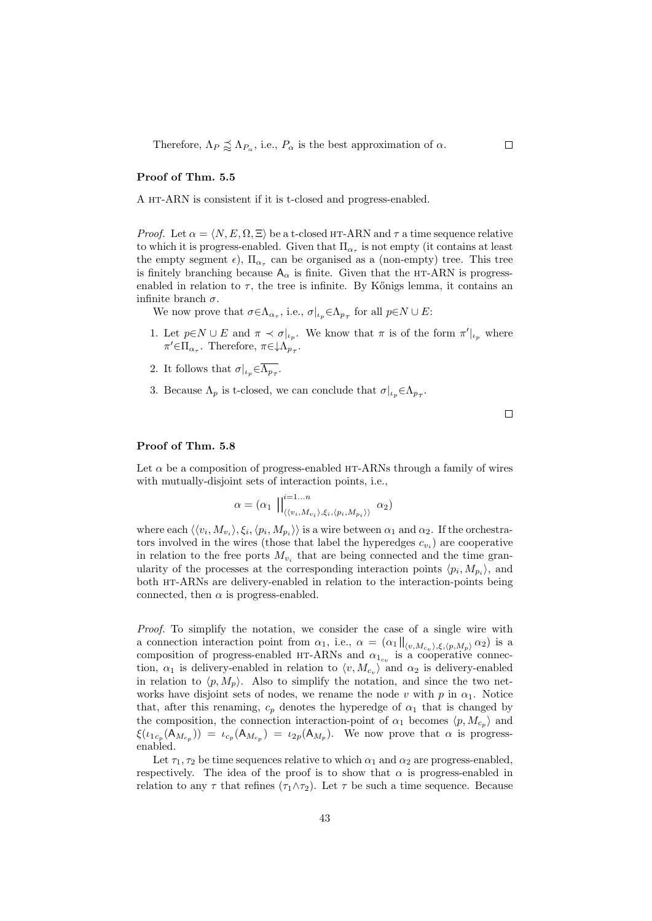#### Proof of Thm. 5.5

A HT-ARN is consistent if it is t-closed and progress-enabled.

*Proof.* Let  $\alpha = \langle N, E, \Omega, \Xi \rangle$  be a t-closed HT-ARN and  $\tau$  a time sequence relative to which it is progress-enabled. Given that  $\Pi_{\alpha_{\tau}}$  is not empty (it contains at least the empty segment  $\epsilon$ ),  $\Pi_{\alpha_{\tau}}$  can be organised as a (non-empty) tree. This tree is finitely branching because  $A_{\alpha}$  is finite. Given that the HT-ARN is progressenabled in relation to  $\tau$ , the tree is infinite. By K $\delta$ nigs lemma, it contains an infinite branch  $\sigma$ .

We now prove that  $\sigma \in \Lambda_{\alpha_{\tau}}$ , i.e.,  $\sigma|_{\iota_p} \in \Lambda_{p_{\tau}}$  for all  $p \in N \cup E$ :

- 1. Let  $p \in N \cup E$  and  $\pi \prec \sigma|_{\iota_p}$ . We know that  $\pi$  is of the form  $\pi'|_{\iota_p}$  where  $\pi' \in \Pi_{\alpha_{\tau}}$ . Therefore,  $\pi \in \downarrow \Lambda_{p_{\tau}}$ .
- 2. It follows that  $\sigma|_{\iota_p} \in \Lambda_{p_{\tau}}$ .
- 3. Because  $\Lambda_p$  is t-closed, we can conclude that  $\sigma|_{\iota_p} \in \Lambda_{p_{\tau}}$ .

 $\Box$ 

## Proof of Thm. 5.8

Let  $\alpha$  be a composition of progress-enabled HT-ARNs through a family of wires with mutually-disjoint sets of interaction points, i.e.,

$$
\alpha = (\alpha_1 \parallel_{\langle \langle v_i, M_{v_i} \rangle, \xi_i, \langle p_i, M_{p_i} \rangle)}^{\mathbf{i} = 1 \dots n} \alpha_2)
$$

where each  $\langle\langle v_i, M_{v_i} \rangle, \xi_i, \langle p_i, M_{p_i} \rangle\rangle$  is a wire between  $\alpha_1$  and  $\alpha_2$ . If the orchestrators involved in the wires (those that label the hyperedges  $c_{v_i}$ ) are cooperative in relation to the free ports  $M_{v_i}$  that are being connected and the time granularity of the processes at the corresponding interaction points  $\langle p_i, M_{p_i} \rangle$ , and both ht-ARNs are delivery-enabled in relation to the interaction-points being connected, then  $\alpha$  is progress-enabled.

Proof. To simplify the notation, we consider the case of a single wire with a connection interaction point from  $\alpha_1$ , i.e.,  $\alpha = (\alpha_1 ||_{\langle v, M_{cv} \rangle, \xi, \langle p, M_p \rangle} \alpha_2)$  is a composition of progress-enabled HT-ARNs and  $\alpha_{1_{c_v}}$  is a cooperative connection,  $\alpha_1$  is delivery-enabled in relation to  $\langle v, M_{c_v} \rangle$  and  $\alpha_2$  is delivery-enabled in relation to  $\langle p, M_p \rangle$ . Also to simplify the notation, and since the two networks have disjoint sets of nodes, we rename the node v with  $p$  in  $\alpha_1$ . Notice that, after this renaming,  $c_p$  denotes the hyperedge of  $\alpha_1$  that is changed by the composition, the connection interaction-point of  $\alpha_1$  becomes  $\langle p, M_{c_p} \rangle$  and  $\xi(\iota_{1c_p}(\mathsf{A}_{M_{c_p}})) = \iota_{c_p}(\mathsf{A}_{M_{c_p}}) = \iota_{2p}(\mathsf{A}_{M_p}).$  We now prove that  $\alpha$  is progressenabled.

Let  $\tau_1, \tau_2$  be time sequences relative to which  $\alpha_1$  and  $\alpha_2$  are progress-enabled, respectively. The idea of the proof is to show that  $\alpha$  is progress-enabled in relation to any  $\tau$  that refines ( $\tau_1 \wedge \tau_2$ ). Let  $\tau$  be such a time sequence. Because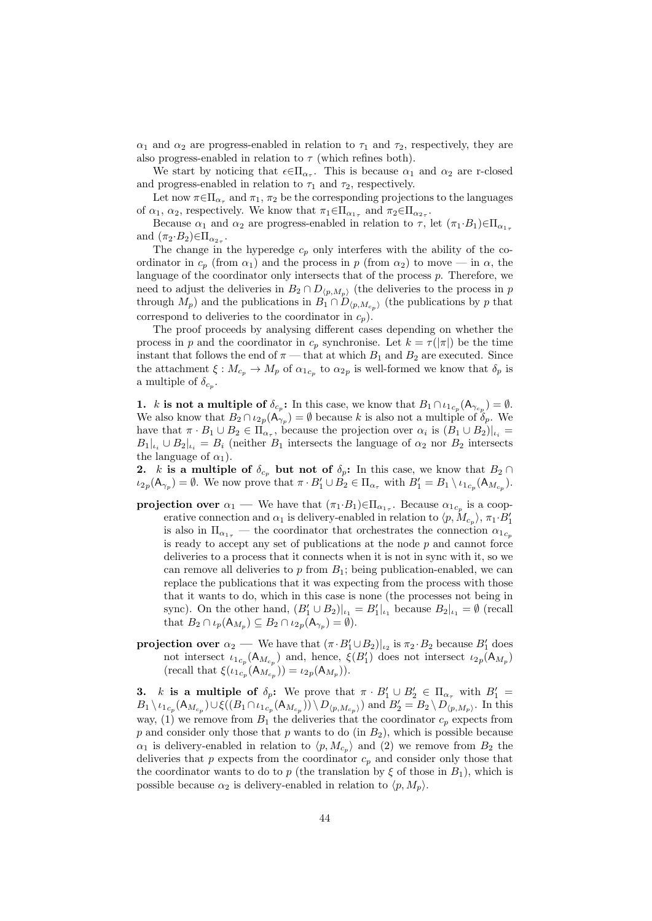$\alpha_1$  and  $\alpha_2$  are progress-enabled in relation to  $\tau_1$  and  $\tau_2$ , respectively, they are also progress-enabled in relation to  $\tau$  (which refines both).

We start by noticing that  $\epsilon \in \Pi_{\alpha_{\tau}}$ . This is because  $\alpha_1$  and  $\alpha_2$  are r-closed and progress-enabled in relation to  $\tau_1$  and  $\tau_2$ , respectively.

Let now  $\pi \in \Pi_{\alpha_{\tau}}$  and  $\pi_1$ ,  $\pi_2$  be the corresponding projections to the languages of  $\alpha_1, \alpha_2$ , respectively. We know that  $\pi_1 \in \Pi_{\alpha_{1\tau}}$  and  $\pi_2 \in \Pi_{\alpha_{2\tau}}$ .

Because  $\alpha_1$  and  $\alpha_2$  are progress-enabled in relation to  $\tau$ , let  $(\pi_1 \cdot B_1) \in \Pi_{\alpha_1}$ and  $(\pi_2 \cdot B_2) \in \Pi_{\alpha_{2\tau}}$ .

The change in the hyperedge  $c_p$  only interferes with the ability of the coordinator in  $c_p$  (from  $\alpha_1$ ) and the process in p (from  $\alpha_2$ ) to move — in  $\alpha$ , the language of the coordinator only intersects that of the process  $p$ . Therefore, we need to adjust the deliveries in  $B_2 \cap D_{\langle p,M_p \rangle}$  (the deliveries to the process in p through  $M_p$ ) and the publications in  $B_1 \cap D_{\langle p,M_{c_p}\rangle}$  (the publications by p that correspond to deliveries to the coordinator in  $c_p$ ).

The proof proceeds by analysing different cases depending on whether the process in p and the coordinator in  $c_p$  synchronise. Let  $k = \tau(|\pi|)$  be the time instant that follows the end of  $\pi$  — that at which  $B_1$  and  $B_2$  are executed. Since the attachment  $\xi: M_{c_p} \to M_p$  of  $\alpha_{1c_p}$  to  $\alpha_{2p}$  is well-formed we know that  $\delta_p$  is a multiple of  $\delta_{c_p}$ .

**1.** k is not a multiple of  $\delta_{c_p}$ : In this case, we know that  $B_1 \cap \iota_{1_{c_p}}(A_{\gamma_{c_p}}) = \emptyset$ . We also know that  $B_2 \cap \iota_{2p}(\mathsf{A}_{\gamma_p}) = \emptyset$  because k is also not a multiple of  $\delta_p$ . We have that  $\pi \cdot B_1 \cup B_2 \in \Pi_{\alpha_{\tau}}$ , because the projection over  $\alpha_i$  is  $(B_1 \cup B_2)|_{\iota_i} =$  $B_1|_{\iota_i} \cup B_2|_{\iota_i} = B_i$  (neither  $B_1$  intersects the language of  $\alpha_2$  nor  $B_2$  intersects the language of  $\alpha_1$ ).

2. k is a multiple of  $\delta_{c_p}$  but not of  $\delta_p$ : In this case, we know that  $B_2 \cap$  $\iota_{2p}(\mathsf{A}_{\gamma_p}) = \emptyset$ . We now prove that  $\pi \cdot B_1' \cup B_2 \in \Pi_{\alpha_{\tau}}$  with  $B_1' = B_1 \setminus \iota_{1c_p}(\mathsf{A}_{M_{c_p}})$ .

- **projection over**  $\alpha_1$  We have that  $(\pi_1 \cdot B_1) \in \Pi_{\alpha_1}$ . Because  $\alpha_1_{c_p}$  is a cooperative connection and  $\alpha_1$  is delivery-enabled in relation to  $\langle p, M_{c_p} \rangle$ ,  $\pi_1 \cdot B_1'$ is also in  $\Pi_{\alpha_{1\pi}}$  — the coordinator that orchestrates the connection  $\alpha_{1\alpha}$ is ready to accept any set of publications at the node  $p$  and cannot force deliveries to a process that it connects when it is not in sync with it, so we can remove all deliveries to p from  $B_1$ ; being publication-enabled, we can replace the publications that it was expecting from the process with those that it wants to do, which in this case is none (the processes not being in sync). On the other hand,  $(B'_1 \cup B_2)|_{\iota_1} = B'_1|_{\iota_1}$  because  $B_2|_{\iota_1} = \emptyset$  (recall that  $B_2 \cap \iota_p(\mathsf{A}_{M_p}) \subseteq B_2 \cap \iota_{2p}(\mathsf{A}_{\gamma_p}) = \emptyset$ .
- **projection over**  $\alpha_2$  We have that  $(\pi \cdot B_1' \cup B_2)|_{\iota_2}$  is  $\pi_2 \cdot B_2$  because  $B_1'$  does not intersect  $\iota_{1c_p}(\mathsf{A}_{M_{c_p}})$  and, hence,  $\xi(B'_1)$  does not intersect  $\iota_{2p}(\mathsf{A}_{M_p})$ (recall that  $\xi(\iota_{1c_p}(\mathsf{A}_{M_{c_p}})) = \iota_{2p}(\mathsf{A}_{M_p})$ ).

3. k is a multiple of  $\delta_p$ : We prove that  $\pi \cdot B'_1 \cup B'_2 \in \Pi_{\alpha_{\tau}}$  with  $B'_1 =$  $B_1 \setminus \iota_{1c_p}(\mathsf{A}_{M_{c_p}}) \cup \xi((B_1 \cap \iota_{1c_p}(\mathsf{A}_{M_{c_p}})) \setminus D_{\langle p,M_{c_p} \rangle})$  and  $B_2' = B_2 \setminus D_{\langle p,M_p \rangle}$ . In this way, (1) we remove from  $B_1$  the deliveries that the coordinator  $c_p$  expects from p and consider only those that p wants to do (in  $B_2$ ), which is possible because  $\alpha_1$  is delivery-enabled in relation to  $\langle p, M_{c_p} \rangle$  and (2) we remove from  $B_2$  the deliveries that  $p$  expects from the coordinator  $c_p$  and consider only those that the coordinator wants to do to p (the translation by  $\xi$  of those in  $B_1$ ), which is possible because  $\alpha_2$  is delivery-enabled in relation to  $\langle p, M_n \rangle$ .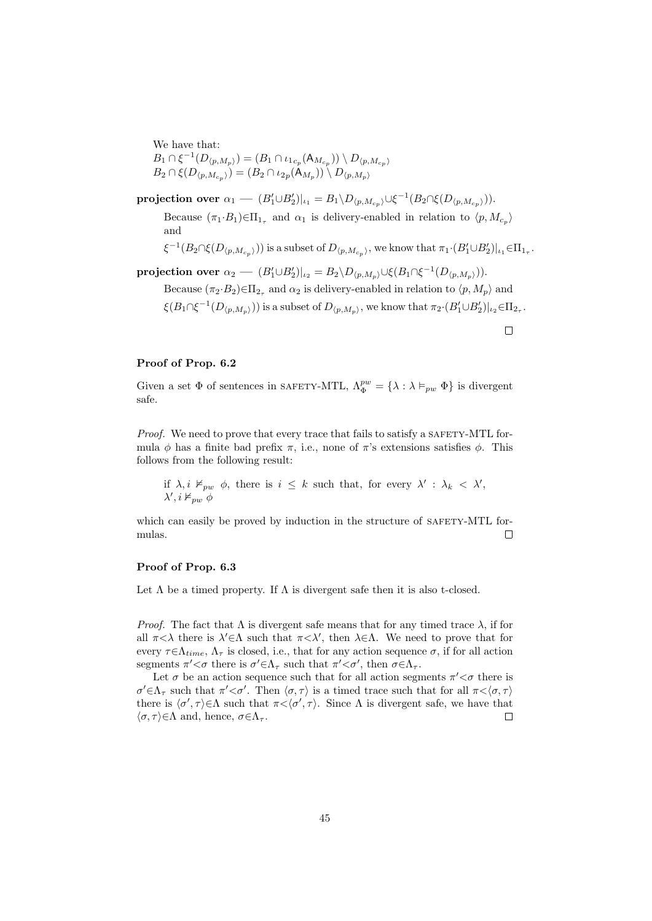We have that:  $B_1 \cap \xi^{-1}(D_{\langle p,M_p \rangle}) = (B_1 \cap \iota_{1_{c_p}}(\mathsf{A}_{M_{c_p}})) \setminus D_{\langle p,M_{c_p} \rangle}$  $B_2 \cap \xi(D_{\langle p,M_{c_p}\rangle}) = (B_2 \cap \iota_{2p}(\mathsf{A}_{M_p})) \setminus D_{\langle p,M_p\rangle}$ 

 $\text{projection over } \alpha_1 \text{ } \text{ } \text{ } \text{ } (B_1'\cup B_2')|_{\iota_1} = B_1\setminus D_{\langle p,M_{c_p}\rangle}\cup \xi^{-1}(B_2\cap \xi(D_{\langle p,M_{c_p}\rangle})).$ 

Because  $(\pi_1 \cdot B_1) \in \Pi_{1_{\tau}}$  and  $\alpha_1$  is delivery-enabled in relation to  $\langle p, M_{c_p} \rangle$ and

 $\xi^{-1}(B_2 \cap \xi(D_{\langle p,M_{c_p}\rangle}))$  is a subset of  $D_{\langle p,M_{c_p}\rangle}$ , we know that  $\pi_1 \cdot (B_1' \cup B_2')|_{\iota_1} \in \Pi_{1_{\tau}}$ .

 $\text{projection over } \alpha_2 \text{ } \text{ } \text{ } \text{ } (B_1' \cup B_2')|_{\iota_2} = B_2 \backslash D_{\langle p,M_p \rangle} \cup \xi(B_1 \cap \xi^{-1}(D_{\langle p,M_p \rangle})).$ 

Because  $(\pi_2 \cdot B_2) \in \Pi_{2_{\tau}}$  and  $\alpha_2$  is delivery-enabled in relation to  $\langle p, M_p \rangle$  and  $\xi(B_1 \cap \xi^{-1}(D_{\langle p,M_p \rangle}))$  is a subset of  $D_{\langle p,M_p \rangle}$ , we know that  $\pi_2 \cdot (B_1' \cup B_2')|_{\iota_2} \in \Pi_{2_\tau}$ .

 $\Box$ 

## Proof of Prop. 6.2

Given a set  $\Phi$  of sentences in SAFETY-MTL,  $\Lambda_{\Phi}^{pw} = {\lambda : \lambda \vDash_{pw} \Phi}$  is divergent safe.

*Proof.* We need to prove that every trace that fails to satisfy a SAFETY-MTL formula  $\phi$  has a finite bad prefix  $\pi$ , i.e., none of  $\pi$ 's extensions satisfies  $\phi$ . This follows from the following result:

if  $\lambda, i \nvDash_{pw} \phi$ , there is  $i \leq k$  such that, for every  $\lambda' : \lambda_k < \lambda'$ ,  $\lambda', i \nvDash_{pw} \phi$ 

which can easily be proved by induction in the structure of SAFETY-MTL formulas.  $\Box$ 

## Proof of Prop. 6.3

Let  $\Lambda$  be a timed property. If  $\Lambda$  is divergent safe then it is also t-closed.

*Proof.* The fact that  $\Lambda$  is divergent safe means that for any timed trace  $\lambda$ , if for all  $\pi < \lambda$  there is  $\lambda' \in \Lambda$  such that  $\pi < \lambda'$ , then  $\lambda \in \Lambda$ . We need to prove that for every  $\tau \in \Lambda_{time}$ ,  $\Lambda_{\tau}$  is closed, i.e., that for any action sequence  $\sigma$ , if for all action segments  $\pi' < \sigma$  there is  $\sigma' \in \Lambda_{\tau}$  such that  $\pi' < \sigma'$ , then  $\sigma \in \Lambda_{\tau}$ .

Let  $\sigma$  be an action sequence such that for all action segments  $\pi' < \sigma$  there is  $\sigma' \in \Lambda_{\tau}$  such that  $\pi' < \sigma'$ . Then  $\langle \sigma, \tau \rangle$  is a timed trace such that for all  $\pi < \langle \sigma, \tau \rangle$ there is  $\langle \sigma', \tau \rangle \in \Lambda$  such that  $\pi \langle \sigma', \tau \rangle$ . Since  $\Lambda$  is divergent safe, we have that  $\langle \sigma, \tau \rangle \in \Lambda$  and, hence,  $\sigma \in \Lambda_{\tau}$ . П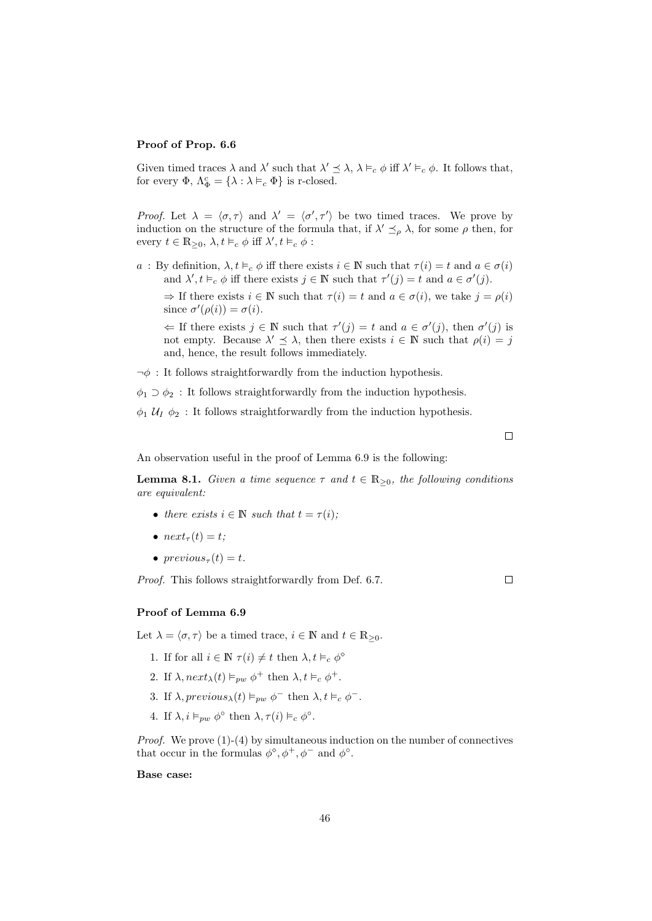#### Proof of Prop. 6.6

Given timed traces  $\lambda$  and  $\lambda'$  such that  $\lambda' \leq \lambda$ ,  $\lambda \models_c \phi$  iff  $\lambda' \models_c \phi$ . It follows that, for every  $\Phi$ ,  $\Lambda_{\Phi}^c = {\lambda : \lambda \vDash_c \Phi}$  is r-closed.

*Proof.* Let  $\lambda = \langle \sigma, \tau \rangle$  and  $\lambda' = \langle \sigma', \tau' \rangle$  be two timed traces. We prove by induction on the structure of the formula that, if  $\lambda' \preceq_{\rho} \lambda$ , for some  $\rho$  then, for every  $t \in \mathbb{R}_{\geq 0}$ ,  $\lambda, t \vDash_c \phi$  iff  $\lambda', t \vDash_c \phi$ :

a: By definition,  $\lambda, t \vDash_c \phi$  iff there exists  $i \in \mathbb{N}$  such that  $\tau(i) = t$  and  $a \in \sigma(i)$ and  $\lambda', t \vDash_c \phi$  iff there exists  $j \in \mathbb{N}$  such that  $\tau'(j) = t$  and  $a \in \sigma'(j)$ .

 $\Rightarrow$  If there exists  $i \in \mathbb{N}$  such that  $\tau(i) = t$  and  $a \in \sigma(i)$ , we take  $j = \rho(i)$ since  $\sigma'(\rho(i)) = \sigma(i)$ .

 $\Leftarrow$  If there exists  $j \in \mathbb{N}$  such that  $\tau'(j) = t$  and  $a \in \sigma'(j)$ , then  $\sigma'(j)$  is not empty. Because  $\lambda' \leq \lambda$ , then there exists  $i \in \mathbb{N}$  such that  $\rho(i) = j$ and, hence, the result follows immediately.

 $\neg \phi$ : It follows straightforwardly from the induction hypothesis.

 $\phi_1 \supset \phi_2$ : It follows straightforwardly from the induction hypothesis.

 $\phi_1$  U<sub>I</sub>  $\phi_2$ : It follows straightforwardly from the induction hypothesis.

 $\Box$ 

An observation useful in the proof of Lemma 6.9 is the following:

**Lemma 8.1.** Given a time sequence  $\tau$  and  $t \in \mathbb{R}_{\geq 0}$ , the following conditions are equivalent:

- there exists  $i \in \mathbb{N}$  such that  $t = \tau(i);$
- $next_{\tau}(t) = t$ ;
- $previous_{\tau}(t) = t$ .

Proof. This follows straightforwardly from Def. 6.7.

 $\Box$ 

#### Proof of Lemma 6.9

Let  $\lambda = \langle \sigma, \tau \rangle$  be a timed trace,  $i \in \mathbb{N}$  and  $t \in \mathbb{R}_{\geq 0}$ .

- 1. If for all  $i \in \mathbb{N} \tau(i) \neq t$  then  $\lambda, t \vDash_c \phi^{\diamond}$
- 2. If  $\lambda, next_{\lambda}(t) \vDash_{pw} \phi^+$  then  $\lambda, t \vDash_{c} \phi^+.$
- 3. If  $\lambda, \text{previous}_{\lambda}(t) \vDash_{pw} \phi^{-}$  then  $\lambda, t \vDash_{c} \phi^{-}$ .
- 4. If  $\lambda, i \vDash_{pw} \phi^\circ$  then  $\lambda, \tau(i) \vDash_{c} \phi^\circ$ .

*Proof.* We prove  $(1)-(4)$  by simultaneous induction on the number of connectives that occur in the formulas  $\phi^{\diamond}, \phi^+, \phi^-$  and  $\phi^{\diamond}$ .

## Base case: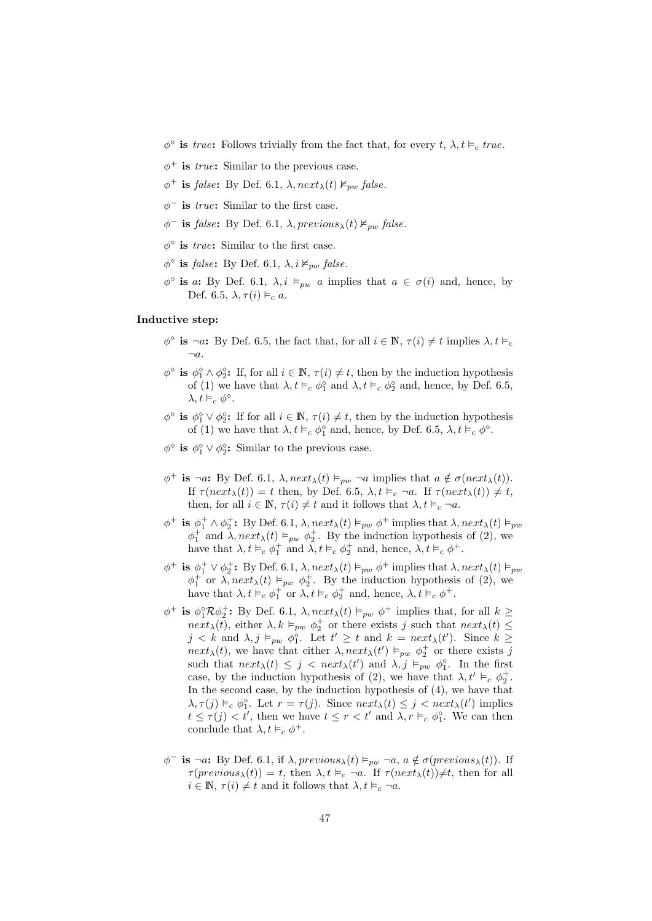$\phi^{\diamond}$  is true: Follows trivially from the fact that, for every t,  $\lambda, t \vDash_c true$ .

- $\phi^+$  is *true*: Similar to the previous case.
- $\phi^+$  is false: By Def. 6.1,  $\lambda$ ,  $next_{\lambda}(t) \nvDash_{pw} false$ .
- $\phi^-$  is true: Similar to the first case.
- $\phi^-$  is false: By Def. 6.1,  $\lambda, previous_\lambda(t) \nvDash_{pw} false$ .
- $\phi^{\circ}$  is *true*: Similar to the first case.
- $\phi^{\circ}$  is false: By Def. 6.1,  $\lambda, i \nvDash_{pw}$  false.
- $\phi^{\circ}$  is a: By Def. 6.1,  $\lambda, i \models_{pw} a$  implies that  $a \in \sigma(i)$  and, hence, by Def. 6.5,  $\lambda, \tau(i) \vDash_c a$ .

## Inductive step:

- $\phi^{\diamond}$  is  $\neg a$ : By Def. 6.5, the fact that, for all  $i \in \mathbb{N}$ ,  $\tau(i) \neq t$  implies  $\lambda, t \vDash_{\epsilon}$  $\neg a$ .
- $\phi^{\diamond}$  is  $\phi_1^{\diamond} \wedge \phi_2^{\diamond}$ : If, for all  $i \in \mathbb{N}$ ,  $\tau(i) \neq t$ , then by the induction hypothesis of (1) we have that  $\lambda, t \vDash_c \phi_1^{\diamond}$  and  $\lambda, t \vDash_c \phi_2^{\diamond}$  and, hence, by Def. 6.5,  $\lambda, t \vDash_c \phi^\diamond.$
- $\phi^{\diamond}$  is  $\phi_1^{\diamond} \vee \phi_2^{\diamond}$ : If for all  $i \in \mathbb{N}$ ,  $\tau(i) \neq t$ , then by the induction hypothesis of (1) we have that  $\lambda, t \vDash_{c} \phi_1^{\diamond}$  and, hence, by Def. 6.5,  $\lambda, t \vDash_{c} \phi^{\diamond}$ .
- $\phi^{\circ}$  is  $\phi_1^{\circ} \vee \phi_2^{\circ}$ : Similar to the previous case.
- $\phi^+$  is  $\neg a$ : By Def. 6.1,  $\lambda$ ,  $next_{\lambda}(t) \vDash_{pw} \neg a$  implies that  $a \notin \sigma(next_{\lambda}(t))$ . If  $\tau(next_{\lambda}(t)) = t$  then, by Def. 6.5,  $\lambda, t \vDash_c \neg a$ . If  $\tau(next_{\lambda}(t)) \neq t$ , then, for all  $i \in \mathbb{N}$ ,  $\tau(i) \neq t$  and it follows that  $\lambda, t \vDash_c \neg a$ .
- $\phi^+$  is  $\phi_1^+ \wedge \phi_2^+$ : By Def. 6.1,  $\lambda$ ,  $next_{\lambda}(t) \vDash_{pw} \phi^+$  implies that  $\lambda$ ,  $next_{\lambda}(t) \vDash_{pw}$  $\phi_1^+$  and  $\lambda$ ,  $next_{\lambda}(t) \vDash_{pw} \phi_2^+$ . By the induction hypothesis of (2), we have that  $\lambda, t \vDash_c \phi_1^+$  and  $\overline{\lambda}, t \vDash_c \phi_2^+$  and, hence,  $\overline{\lambda}, t \vDash_c \phi^+$ .
- $\phi^+$  is  $\phi_1^+ \vee \phi_2^+$ : By Def. 6.1,  $\lambda, next_\lambda(t) \vDash_{pw} \phi^+$  implies that  $\lambda, next_\lambda(t) \vDash_{pw}$  $\phi_1^+$  or  $\lambda$ ,  $next_\lambda(t) \vDash_{pw} \phi_2^+$ . By the induction hypothesis of (2), we have that  $\lambda, t \vDash_c \phi_1^+$  or  $\lambda, t \vDash_c \phi_2^+$  and, hence,  $\lambda, t \vDash_c \phi^+$ .
- $\phi^+$  is  $\phi_1^{\circ} \mathcal{R} \phi_2^+$ : By Def. 6.1,  $\lambda, next_\lambda(t) \models_{pw} \phi^+$  implies that, for all  $k \geq$  $\begin{cases} \n\varphi_1 \wedge \varphi_2 : \text{By Def. 6.1, } \wedge, \text{next}_{\lambda}(t) \vdash_{pw} \varphi^+ \text{ implies that, for all } \kappa \leq \n\end{cases}$   $next_{\lambda}(t)$ , either  $\lambda, k \models_{pw} \varphi_2^+$  or there exists j such that  $next_{\lambda}(t) \leq$  $j < k$  and  $\lambda, j \vDash_{pw} \phi_1^{\circ}$ . Let  $t' \geq t$  and  $k = next_{\lambda}(t')$ . Since  $k \geq$  $next_{\lambda}(t)$ , we have that either  $\lambda, next_{\lambda}(t') \vDash_{pw} \phi_2^+$  or there exists j such that  $next_{\lambda}(t) \leq j < next_{\lambda}(t')$  and  $\lambda, j \vDash_{pw} \phi_1^{\circ}$ . In the first case, by the induction hypothesis of (2), we have that  $\lambda, t' \vDash_c \phi_2^+$ . In the second case, by the induction hypothesis of (4), we have that  $\lambda, \tau(j) \vDash_c \phi_1^{\circ}$ . Let  $r = \tau(j)$ . Since  $next_{\lambda}(t) \leq j < next_{\lambda}(t')$  implies  $t \leq \tau(j) < t'$ , then we have  $t \leq r < t'$  and  $\lambda, r \vDash_c \phi_1^{\circ}$ . We can then conclude that  $\lambda, t \vDash_c \phi^+$ .
- $\phi^-$  is  $\neg a$ : By Def. 6.1, if  $\lambda, previous_\lambda(t) \vDash_{pw} \neg a, a \notin \sigma(previous_\lambda(t))$ . If  $\tau(revious_{\lambda}(t))=t$ , then  $\lambda, t \vDash_c \neg a$ . If  $\tau(next_{\lambda}(t))\neq t$ , then for all  $i \in \mathbb{N}, \tau(i) \neq t$  and it follows that  $\lambda, t \vDash_c \neg a$ .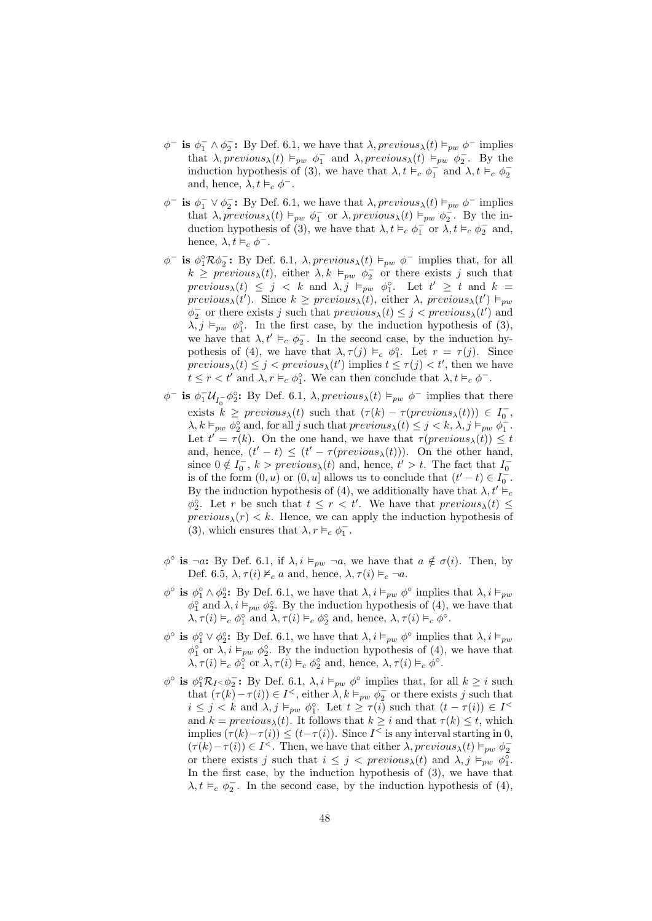- $\phi^-$  is  $\phi_1^- \wedge \phi_2^-$ : By Def. 6.1, we have that  $\lambda, previous_\lambda(t) \vDash_{pw} \phi^-$  implies that  $\lambda, previous_{\lambda}(t) \models_{pw} \phi_1^{-}$  and  $\lambda, previous_{\lambda}(t) \models_{pw} \phi_2^{-}$ . By the induction hypothesis of (3), we have that  $\lambda, t \vDash_c \phi_1^-$  and  $\lambda, t \vDash_c \phi_2^$ and, hence,  $\lambda, t \vDash_c \phi^-$ .
- $\phi^-$  is  $\phi_1^- \vee \phi_2^-$ : By Def. 6.1, we have that  $\lambda, previous_\lambda(t) \vDash_{pw} \phi^-$  implies that  $\lambda, previous_{\lambda}(t) \vDash_{pw} \phi_1^{-}$  or  $\lambda, previous_{\lambda}(t) \vDash_{pw} \phi_2^{-}$ . By the induction hypothesis of (3), we have that  $\lambda, t \vDash_c \phi_1^-$  or  $\overline{\lambda}, t \vDash_c \phi_2^-$  and, hence,  $\lambda, t \vDash_c \phi^-$ .
- $\phi^-$  is  $\phi_1^{\circ} \mathcal{R} \phi_2^-$ : By Def. 6.1,  $\lambda, previous_\lambda(t) \models_{pw} \phi^-$  implies that, for all  $k \geq previous_{\lambda}(t)$ , either  $\lambda, k \vDash_{pw} \phi_2^-$  or there exists j such that  $previous_{\lambda}(t) \leq j \leq k$  and  $\lambda, j \models_{pw} \phi_1^{\circ}$ . Let  $t' \geq t$  and  $k =$ previous<sub> $\lambda$ </sub>(t'). Since  $k \geq previous_{\lambda}(t)$ , either  $\lambda$ , previous<sub> $\lambda$ </sub>(t')  $\models_{pw}$  $\phi_2^-$  or there exists j such that  $previous_\lambda(t) \leq j < previous_\lambda(t')$  and  $\lambda, j \vDash_{pw} \phi_1^{\circ}$ . In the first case, by the induction hypothesis of (3), we have that  $\lambda, t' \vDash_c \phi_2^-$ . In the second case, by the induction hypothesis of (4), we have that  $\lambda, \tau(j) \vDash_c \phi_1^{\circ}$ . Let  $r = \tau(j)$ . Since  $previous_{\lambda}(t) \leq j < previous_{\lambda}(t')$  implies  $t \leq \tau(j) < t'$ , then we have  $t \leq r < t'$  and  $\lambda, r \vDash_c \phi_1^{\circ}$ . We can then conclude that  $\lambda, t \vDash_c \phi^-$ .
- $\phi^-$  is  $\phi_1^- \mathcal{U}_{I_0^-} \phi_2^{\circ}$ : By Def. 6.1,  $\lambda, previous_\lambda(t) \vDash_{pw} \phi^-$  implies that there exists  $k \geq previous_{\lambda}(t)$  such that  $(\tau(k) - \tau(previous_{\lambda}(t))) \in I_0^-$ ,  $\lambda, k \vDash_{pw} \phi_2^{\circ}$  and, for all j such that  $previous_{\lambda}(t) \leq j < k, \lambda, j \vDash_{pw} \phi_1^{-}$ . Let  $t' = \tau(k)$ . On the one hand, we have that  $\tau(previous_{\lambda}(t)) \leq t$ and, hence,  $(t'-t) \leq (t'-\tau(\text{previous}_{\lambda}(t)))$ . On the other hand, since  $0 \notin I_0^-$ ,  $k > \text{previous}_{\lambda}(t)$  and, hence,  $t' > t$ . The fact that  $I_0^$ is of the form  $(0, u)$  or  $(0, u]$  allows us to conclude that  $(t' - t) \in I_0$ . By the induction hypothesis of (4), we additionally have that  $\lambda, t' \vDash_c$  $\phi_2^{\circ}$ . Let r be such that  $t \leq r < t'$ . We have that  $previous_{\lambda}(t) \leq$  $previous_{\lambda}(r) < k$ . Hence, we can apply the induction hypothesis of (3), which ensures that  $\lambda, r \vDash_c \phi_1^-$ .
- $\phi^{\circ}$  is  $\neg a$ : By Def. 6.1, if  $\lambda, i \vDash_{pw} \neg a$ , we have that  $a \notin \sigma(i)$ . Then, by Def. 6.5,  $\lambda, \tau(i) \not\vDash_c a$  and, hence,  $\lambda, \tau(i) \vDash_c \neg a$ .
- $\phi^{\circ}$  is  $\phi_1^{\circ} \wedge \phi_2^{\circ}$ : By Def. 6.1, we have that  $\lambda, i \vDash_{pw} \phi^{\circ}$  implies that  $\lambda, i \vDash_{pw}$  $\phi_1^{\circ}$  and  $\lambda, i \vDash_{pw} \phi_2^{\circ}$ . By the induction hypothesis of (4), we have that  $\lambda, \tau(i) \vDash_c \phi_1^{\circ}$  and  $\lambda, \tau(i) \vDash_c \phi_2^{\circ}$  and, hence,  $\lambda, \tau(i) \vDash_c \phi^{\circ}$ .
- $\phi^{\circ}$  is  $\phi_1^{\circ} \vee \phi_2^{\circ}$ : By Def. 6.1, we have that  $\lambda, i \vDash_{pw} \phi^{\circ}$  implies that  $\lambda, i \vDash_{pw}$  $\phi_1^{\circ}$  or  $\lambda, i \vDash_{pw} \phi_2^{\circ}$ . By the induction hypothesis of (4), we have that  $\lambda, \tau(i) \vDash_c \phi_1^{\circ}$  or  $\lambda, \tau(i) \vDash_c \phi_2^{\circ}$  and, hence,  $\lambda, \tau(i) \vDash_c \phi_2^{\circ}$ .
- $\phi^{\circ}$  is  $\phi_1^{\circ} \mathcal{R}_I \leq \phi_2^-$ : By Def. 6.1,  $\lambda, i \vDash_{pw} \phi^{\circ}$  implies that, for all  $k \geq i$  such that  $(\tau(k) - \tau(i)) \in I^{\le}$ , either  $\lambda, k \vDash_{pw} \phi_2^-$  or there exists j such that  $i \leq j < k$  and  $\lambda, j \vDash_{pw} \phi_1^{\circ}$ . Let  $t \geq \tau(i)$  such that  $(t - \tau(i)) \in I^{\leq}$ and  $k = previous_{\lambda}(t)$ . It follows that  $k \geq i$  and that  $\tau(k) \leq t$ , which implies  $(\tau(k)-\tau(i)) \leq (t-\tau(i))$ . Since I<sup><</sup> is any interval starting in 0,  $(\tau(k)-\tau(i)) \in I^{\leq}$ . Then, we have that either  $\lambda, previous_{\lambda}(t) \vDash_{pw} \phi_2^{-}$ or there exists j such that  $i \leq j < previous_{\lambda}(t)$  and  $\lambda, j \vDash_{pw} \phi_1^{\circ}$ . In the first case, by the induction hypothesis of (3), we have that  $\lambda, t \vDash_c \phi_2^-$ . In the second case, by the induction hypothesis of (4),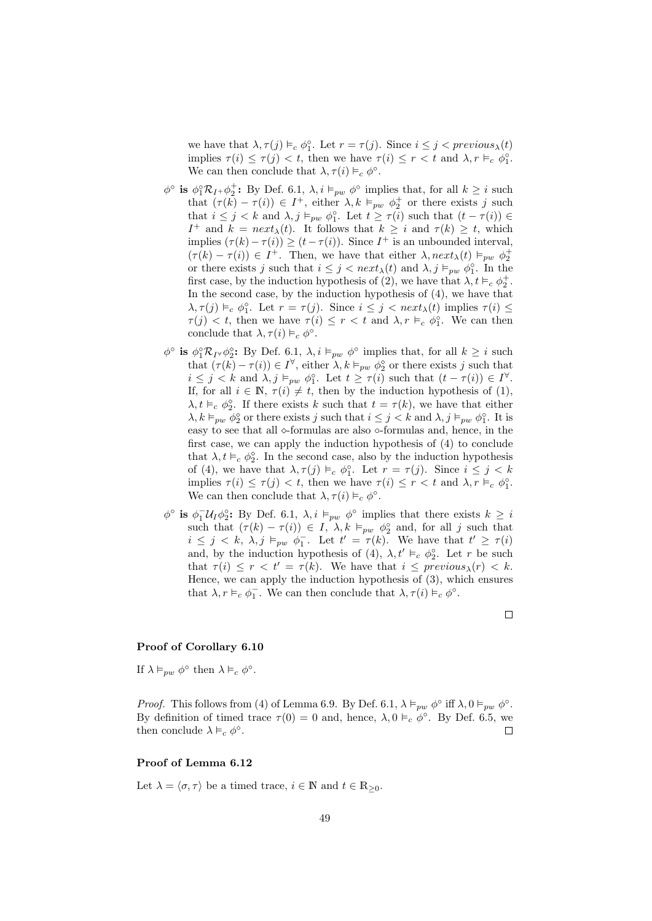we have that  $\lambda, \tau(j) \vDash_c \phi_1^{\circ}$ . Let  $r = \tau(j)$ . Since  $i \leq j < previous \lambda(t)$ implies  $\tau(i) \leq \tau(j) < t$ , then we have  $\tau(i) \leq r < t$  and  $\lambda, r \vDash_c \phi_1^{\circ}$ . We can then conclude that  $\lambda, \tau(i) \vDash_c \phi^\circ$ .

- $\phi^{\circ}$  is  $\phi_1^{\circ} \mathcal{R}_{I^+} \phi_2^+$ : By Def. 6.1,  $\lambda, i \vDash_{pw} \phi^{\circ}$  implies that, for all  $k \geq i$  such that  $(\tau(k) - \tau(i)) \in I^+$ , either  $\lambda, k \vDash_{pw} \phi_2^+$  or there exists j such that  $i \leq j < k$  and  $\lambda, j \vDash_{pw} \phi_1^{\circ}$ . Let  $t \geq \tau(i)$  such that  $(t - \tau(i)) \in$  $I^+$  and  $k = \text{next}_{\lambda}(t)$ . It follows that  $k \geq i$  and  $\tau(k) \geq t$ , which implies  $(\tau(k) - \tau(i)) \ge (t - \tau(i))$ . Since  $I^+$  is an unbounded interval,  $(\tau(k) - \tau(i)) \in I^+$ . Then, we have that either  $\lambda, next_\lambda(t) \vDash_{pw} \phi_2^+$ or there exists j such that  $i \leq j < \text{next}_{\lambda}(t)$  and  $\lambda, j \vDash_{pw} \phi_1^{\circ}$ . In the first case, by the induction hypothesis of (2), we have that  $\lambda, t \vDash_c \phi_2^+$ . In the second case, by the induction hypothesis of  $(4)$ , we have that  $\lambda, \tau(j) \vDash_c \phi_1^{\circ}$ . Let  $r = \tau(j)$ . Since  $i \leq j < \text{next}_{\lambda}(t)$  implies  $\tau(i) \leq$  $\tau(j) < t$ , then we have  $\tau(i) \leq r < t$  and  $\lambda, r \vDash_c \phi_1^{\circ}$ . We can then conclude that  $\lambda, \tau(i) \vDash_c \phi^{\circ}$ .
- $\phi^{\circ}$  is  $\phi_1^{\circ} \mathcal{R}_{I^{\vee}} \phi_2^{\circ}$ : By Def. 6.1,  $\lambda, i \vDash_{pw} \phi^{\circ}$  implies that, for all  $k \geq i$  such that  $(\tau(k) - \tau(i)) \in I^{\forall}$ , either  $\lambda, k \vDash_{pw} \phi_2^{\diamond}$  or there exists j such that  $i \leq j < k$  and  $\lambda, j \vDash_{pw} \phi_1^{\circ}$ . Let  $t \geq \tau(i)$  such that  $(t - \tau(i)) \in I^{\forall}$ . If, for all  $i \in \mathbb{N}$ ,  $\tau(i) \neq t$ , then by the induction hypothesis of (1),  $\lambda, t \vDash_c \phi_2^{\diamond}$ . If there exists k such that  $t = \tau(k)$ , we have that either  $\lambda, k \vDash_{pw} \phi_2^{\circ}$  or there exists j such that  $i \leq j < k$  and  $\lambda, j \vDash_{pw} \phi_1^{\circ}$ . It is easy to see that all  $\diamond$ -formulas are also  $\circ$ -formulas and, hence, in the first case, we can apply the induction hypothesis of (4) to conclude that  $\lambda, t \vDash_c \phi_2^{\diamond}$ . In the second case, also by the induction hypothesis of (4), we have that  $\lambda, \tau(j) \vDash_c \phi_1^{\circ}$ . Let  $r = \tau(j)$ . Since  $i \leq j < k$ implies  $\tau(i) \leq \tau(j) < t$ , then we have  $\tau(i) \leq r < t$  and  $\lambda, r \vDash_c \phi_1^{\circ}$ . We can then conclude that  $\lambda, \tau(i) \vDash_c \phi^\circ$ .
- $\phi^{\circ}$  is  $\phi_1^{-1} \mathcal{U}_I \phi_2^{\circ}$ : By Def. 6.1,  $\lambda, i \models_{pw} \phi^{\circ}$  implies that there exists  $k \geq i$ such that  $(\tau(k) - \tau(i)) \in I$ ,  $\lambda, k \vDash_{pw} \phi_2^{\circ}$  and, for all j such that  $i \leq j \leq k$ ,  $\lambda, j \vDash_{pw} \phi_1^-$ . Let  $t' = \tau(k)$ . We have that  $t' \geq \tau(i)$ and, by the induction hypothesis of (4),  $\lambda, t' \vDash_c \phi_2^{\circ}$ . Let r be such that  $\tau(i) \leq r < t' = \tau(k)$ . We have that  $i \leq \text{previous}_{\lambda}(r) < k$ . Hence, we can apply the induction hypothesis of (3), which ensures that  $\lambda, r \vDash_c \phi_1^-$ . We can then conclude that  $\lambda, \tau(i) \vDash_c \phi^\circ$ .

#### Proof of Corollary 6.10

If  $\lambda \vDash_{pw} \phi^\circ$  then  $\lambda \vDash_{c} \phi^\circ$ .

*Proof.* This follows from (4) of Lemma 6.9. By Def. 6.1,  $\lambda \models_{pw} \phi^\circ$  iff  $\lambda, 0 \models_{pw} \phi^\circ$ . By definition of timed trace  $\tau(0) = 0$  and, hence,  $\lambda, 0 \vDash_c \phi^\circ$ . By Def. 6.5, we then conclude  $\lambda \vDash_c \phi^\circ$ . П

#### Proof of Lemma 6.12

Let  $\lambda = \langle \sigma, \tau \rangle$  be a timed trace,  $i \in \mathbb{N}$  and  $t \in \mathbb{R}_{\geq 0}$ .

 $\Box$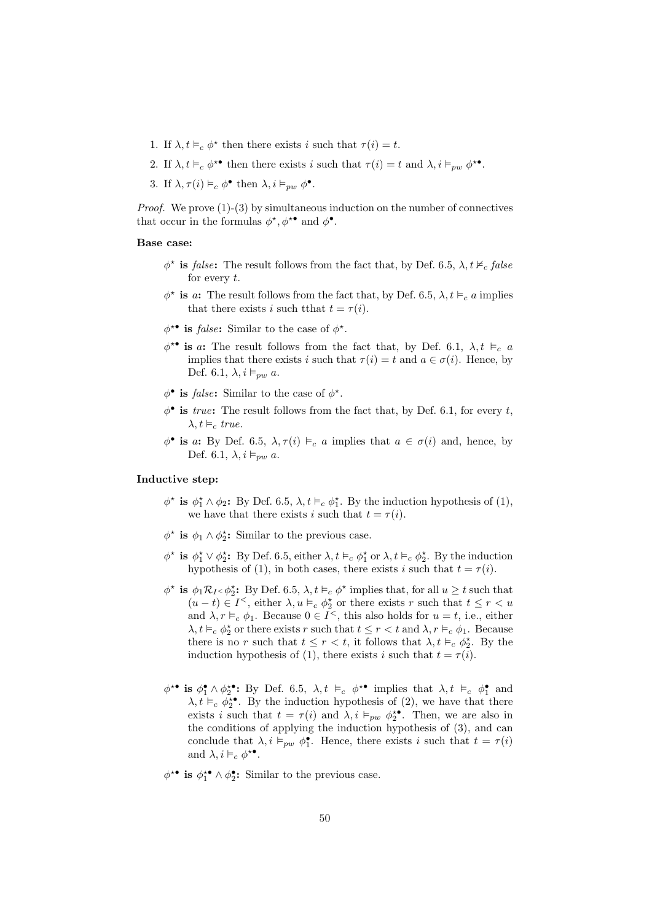- 1. If  $\lambda, t \vDash_c \phi^*$  then there exists i such that  $\tau(i) = t$ .
- 2. If  $\lambda, t \vDash_c \phi^{**}$  then there exists i such that  $\tau(i) = t$  and  $\lambda, i \vDash_{pw} \phi^{**}$ .
- 3. If  $\lambda, \tau(i) \vDash_c \phi^{\bullet}$  then  $\lambda, i \vDash_{pw} \phi^{\bullet}$ .

*Proof.* We prove  $(1)-(3)$  by simultaneous induction on the number of connectives that occur in the formulas  $\phi^*, \phi^{**}$  and  $\phi^{\bullet}$ .

## Base case:

- $\phi^*$  is *false*: The result follows from the fact that, by Def. 6.5,  $\lambda$ ,  $t \nvDash_c false$ for every  $t$ .
- $\phi^*$  is a: The result follows from the fact that, by Def. 6.5,  $\lambda, t \vDash_c a$  implies that there exists i such tthat  $t = \tau(i)$ .
- $\phi^*$  is *false*: Similar to the case of  $\phi^*$ .
- $\phi^{\star\bullet}$  is a: The result follows from the fact that, by Def. 6.1,  $\lambda, t \vDash_c a$ implies that there exists i such that  $\tau(i) = t$  and  $a \in \sigma(i)$ . Hence, by Def. 6.1,  $\lambda, i \vDash_{pw} a$ .
- $\phi^{\bullet}$  is *false*: Similar to the case of  $\phi^{\star}$ .
- $\phi^{\bullet}$  is true: The result follows from the fact that, by Def. 6.1, for every t,  $\lambda, t \vDash_c true$ .
- $\phi^{\bullet}$  is a: By Def. 6.5,  $\lambda, \tau(i) \models_c a$  implies that  $a \in \sigma(i)$  and, hence, by Def. 6.1,  $\lambda, i \vDash_{pw} a$ .

## Inductive step:

- $\phi^*$  is  $\phi_1^* \wedge \phi_2$ : By Def. 6.5,  $\lambda, t \vDash_c \phi_1^*$ . By the induction hypothesis of (1), we have that there exists i such that  $t = \tau(i)$ .
- $\phi^*$  is  $\phi_1 \wedge \phi_2^*$ : Similar to the previous case.
- $\phi^*$  is  $\phi_1^* \vee \phi_2^*$ : By Def. 6.5, either  $\lambda, t \vDash_c \phi_1^*$  or  $\lambda, t \vDash_c \phi_2^*$ . By the induction hypothesis of (1), in both cases, there exists i such that  $t = \tau(i)$ .
- $\phi^*$  is  $\phi_1 \mathcal{R}_I \leq \phi_2^*$ : By Def. 6.5,  $\lambda, t \vDash_c \phi^*$  implies that, for all  $u \geq t$  such that  $(u - t) \in I<sup>≤</sup>$ , either  $\lambda, u \models_c \phi_2^{\star}$  or there exists r such that  $t ≤ r < u$ and  $\lambda, r \vDash_c \phi_1$ . Because  $0 \in I^{\le}$ , this also holds for  $u = t$ , i.e., either  $\lambda, t \vDash_c \phi_2^{\star}$  or there exists r such that  $t \leq r < t$  and  $\lambda, r \vDash_c \phi_1$ . Because there is no r such that  $t \leq r < t$ , it follows that  $\lambda, t \vDash_c \phi_2^*$ . By the induction hypothesis of (1), there exists i such that  $t = \tau(i)$ .
- $\phi^{**}$  is  $\phi_1^* \wedge \phi_2^{**}$ : By Def. 6.5,  $\lambda, t \vDash_c \phi^{**}$  implies that  $\lambda, t \vDash_c \phi_1^*$  and  $\lambda, t \vDash_c \phi_2^{\star \bullet}$ . By the induction hypothesis of (2), we have that there exists i such that  $t = \tau(i)$  and  $\lambda, i \vDash_{pw} \phi_2^{\star\bullet}$ . Then, we are also in the conditions of applying the induction hypothesis of (3), and can conclude that  $\lambda, i \vDash_{pw} \phi_1^{\bullet}$ . Hence, there exists i such that  $t = \tau(i)$ and  $\lambda, i \vDash_c \phi^{**}$ .
- $\phi^{\star \bullet}$  is  $\phi_1^{\star \bullet} \wedge \phi_2^{\bullet}$ : Similar to the previous case.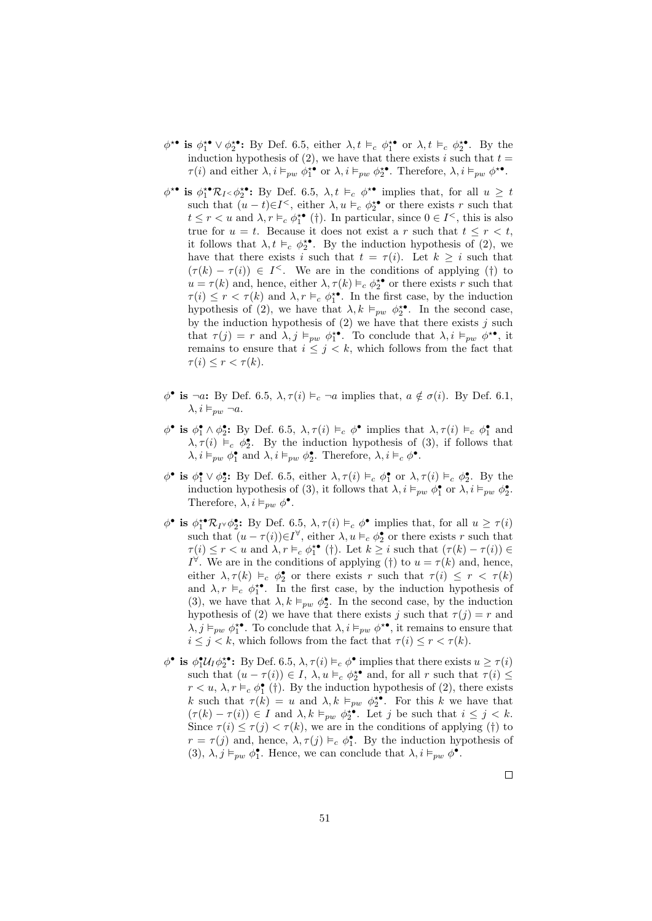- $\phi^{\star \bullet}$  is  $\phi_1^{\star \bullet} \vee \phi_2^{\star \bullet}$ : By Def. 6.5, either  $\lambda, t \vDash_c \phi_1^{\star \bullet}$  or  $\lambda, t \vDash_c \phi_2^{\star \bullet}$ . By the induction hypothesis of (2), we have that there exists i such that  $t =$  $\tau(i)$  and either  $\lambda, i \vDash_{pw} \phi_1^{\star \bullet}$  or  $\lambda, i \vDash_{pw} \phi_2^{\star \bullet}$ . Therefore,  $\lambda, i \vDash_{pw} \phi^{\star \bullet}$ .
- $\phi^{**}$  is  $\phi_1^{**}\mathcal{R}_I \leq \phi_2^{**}$ : By Def. 6.5,  $\lambda, t \vDash_c \phi^{**}$  implies that, for all  $u \geq t$ such that  $(u-t) \in I^{\lt}$ , either  $\lambda, u \models_c \phi_2^{\star \bullet}$  or there exists r such that  $t \leq r < u$  and  $\lambda, r \vDash_c \phi_1^{\star \bullet}$  (†). In particular, since  $0 \in I^{\lt}$ , this is also true for  $u = t$ . Because it does not exist a r such that  $t \leq r < t$ , it follows that  $\lambda, t \vDash_c \phi_2^{\star \bullet}$ . By the induction hypothesis of (2), we have that there exists i such that  $t = \tau(i)$ . Let  $k \geq i$  such that  $(\tau(k) - \tau(i)) \in I^{\lt}$ . We are in the conditions of applying (†) to  $u = \tau(k)$  and, hence, either  $\lambda, \tau(k) \vDash_c \phi_2^{\star \bullet}$  or there exists r such that  $\tau(i) \leq r < \tau(k)$  and  $\lambda, r \vDash_c \phi_1^{\star \bullet}$ . In the first case, by the induction hypothesis of (2), we have that  $\lambda, k \vDash_{pw} \phi_2^{\star\bullet}$ . In the second case, by the induction hypothesis of  $(2)$  we have that there exists j such that  $\tau(j) = r$  and  $\lambda, j \vDash_{pw} \phi_1^{\star\bullet}$ . To conclude that  $\lambda, i \vDash_{pw} \phi^{\star\bullet}$ , it remains to ensure that  $i \leq j \leq k$ , which follows from the fact that  $\tau(i) \leq r < \tau(k)$ .
- $\phi^{\bullet}$  is  $\neg a$ : By Def. 6.5,  $\lambda, \tau(i) \vDash_c \neg a$  implies that,  $a \notin \sigma(i)$ . By Def. 6.1,  $\lambda, i \vDash_{pw} \neg a.$
- $\phi^{\bullet}$  is  $\phi_1^{\bullet} \wedge \phi_2^{\bullet}$ : By Def. 6.5,  $\lambda, \tau(i) \vDash_c \phi^{\bullet}$  implies that  $\lambda, \tau(i) \vDash_c \phi_1^{\bullet}$  and  $\lambda, \tau(i) \vDash_c \phi_2^{\bullet}$ . By the induction hypothesis of (3), if follows that  $\lambda, i \vDash_{pw} \phi_1^{\bullet}$  and  $\lambda, i \vDash_{pw} \phi_2^{\bullet}$ . Therefore,  $\lambda, i \vDash_{c} \phi^{\bullet}$ .
- $\phi^{\bullet}$  is  $\phi_1^{\bullet} \vee \phi_2^{\bullet}$ : By Def. 6.5, either  $\lambda, \tau(i) \vDash_c \phi_1^{\bullet}$  or  $\lambda, \tau(i) \vDash_c \phi_2^{\bullet}$ . By the induction hypothesis of (3), it follows that  $\lambda, i \vDash_{pw} \phi_1^{\bullet}$  or  $\lambda, i \vDash_{pw} \phi_2^{\bullet}$ . Therefore,  $\lambda, i \vDash_{pw} \phi^{\bullet}$ .
- $\phi^{\bullet}$  is  $\phi_1^{\star\bullet}\mathcal{R}_{I^{\forall}}\phi_2^{\bullet}$ : By Def. 6.5,  $\lambda, \tau(i) \models_c \phi^{\bullet}$  implies that, for all  $u \geq \tau(i)$ such that  $(u - \tau(i)) \in I^{\forall}$ , either  $\lambda, u \vDash_c \phi_2^{\bullet}$  or there exists r such that  $\tau(i) \leq r < u$  and  $\lambda, r \vDash_c \phi_1^{\star \bullet}$  (†). Let  $k \geq i$  such that  $(\tau(k) - \tau(i)) \in$  $I^{\forall}$ . We are in the conditions of applying (†) to  $u = \tau(k)$  and, hence, either  $\lambda, \tau(k) \vDash_c \phi_2^{\bullet}$  or there exists r such that  $\tau(i) \leq r < \tau(k)$ and  $\lambda, r \vDash_c \phi_1^{\star\bullet}$ . In the first case, by the induction hypothesis of (3), we have that  $\lambda, k \vDash_{pw} \phi_2^{\bullet}$ . In the second case, by the induction hypothesis of (2) we have that there exists j such that  $\tau(j) = r$  and  $\lambda, j \vDash_{pw} \phi_1^{\star \bullet}$ . To conclude that  $\lambda, i \vDash_{pw} \phi^{\star \bullet}$ , it remains to ensure that  $i \leq j < k$ , which follows from the fact that  $\tau(i) \leq r < \tau(k)$ .
- $\phi^{\bullet}$  is  $\phi_1^{\bullet} \mathcal{U}_I \phi_2^{\star \bullet}$ : By Def. 6.5,  $\lambda, \tau(i) \vDash_c \phi^{\bullet}$  implies that there exists  $u \geq \tau(i)$ such that  $(u - \tau(i)) \in I$ ,  $\lambda, u \vDash_c \phi_2^{\star\bullet}$  and, for all r such that  $\tau(i) \leq$  $r < u, \, \lambda, r \vDash_c \phi_1^{\bullet}(\dagger)$ . By the induction hypothesis of (2), there exists k such that  $\tau(k) = u$  and  $\lambda, k \vDash_{pw} \phi_2^{\star\bullet}$ . For this k we have that  $(\tau(k) - \tau(i)) \in I$  and  $\lambda, k \vDash_{pw} \phi_2^{\star\bullet}$ . Let j be such that  $i \leq j < k$ . Since  $\tau(i) \leq \tau(j) < \tau(k)$ , we are in the conditions of applying (†) to  $r = \tau(j)$  and, hence,  $\lambda, \tau(j) \models_c \phi_1^{\bullet}$ . By the induction hypothesis of (3),  $\lambda, j \vDash_{pw} \phi_1^{\bullet}$ . Hence, we can conclude that  $\lambda, i \vDash_{pw} \phi^{\bullet}$ .

 $\Box$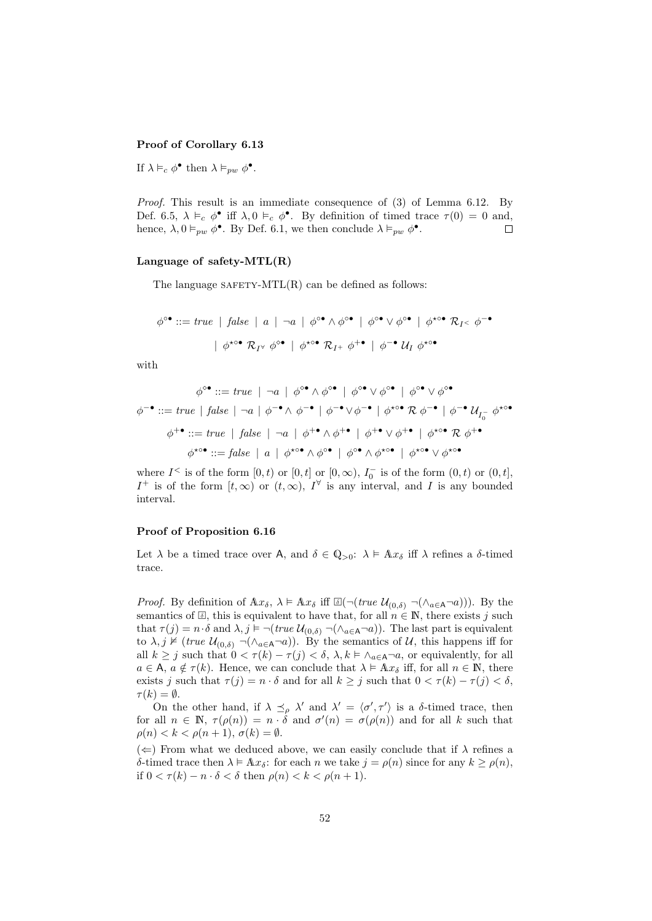## Proof of Corollary 6.13

If  $\lambda \vDash_c \phi^{\bullet}$  then  $\lambda \vDash_{pw} \phi^{\bullet}$ .

Proof. This result is an immediate consequence of (3) of Lemma 6.12. By Def. 6.5,  $\lambda \vDash_c \phi^{\bullet}$  iff  $\lambda, 0 \vDash_c \phi^{\bullet}$ . By definition of timed trace  $\tau(0) = 0$  and, hence,  $\lambda, 0 \vDash_{pw} \phi^{\bullet}$ . By Def. 6.1, we then conclude  $\lambda \vDash_{pw} \phi^{\bullet}$ .  $\Box$ 

## Language of safety- $MTL(R)$

The language  $S$ AFETY-MTL $(R)$  can be defined as follows:

$$
\phi^{\circ\bullet} ::= \text{true} \mid \text{false} \mid a \mid \neg a \mid \phi^{\circ\bullet} \land \phi^{\circ\bullet} \mid \phi^{\circ\bullet} \lor \phi^{\circ\bullet} \mid \phi^{\star\circ\bullet} \mathcal{R}_{I^<} \phi^{-\bullet}
$$

$$
\mid \phi^{\star\circ\bullet} \mathcal{R}_{I^{\vee}} \phi^{\circ\bullet} \mid \phi^{\star\circ\bullet} \mathcal{R}_{I^+} \phi^{+\bullet} \mid \phi^{-\bullet} \mathcal{U}_I \phi^{\star\circ\bullet}
$$

with

$$
\phi^{\circ\bullet} ::= true \mid \neg a \mid \phi^{\circ\bullet} \wedge \phi^{\circ\bullet} \mid \phi^{\circ\bullet} \vee \phi^{\circ\bullet} \mid \phi^{\circ\bullet} \vee \phi^{\circ\bullet}
$$
\n
$$
\phi^{-\bullet} ::= true \mid false \mid \neg a \mid \phi^{-\bullet} \wedge \phi^{-\bullet} \mid \phi^{-\bullet} \vee \phi^{-\bullet} \mid \phi^{\star\circ\bullet} \mathcal{R} \phi^{-\bullet} \mid \phi^{-\bullet} \mathcal{U}_{I_0^-} \phi^{\star\circ\bullet}
$$
\n
$$
\phi^{+\bullet} ::= true \mid false \mid \neg a \mid \phi^{+\bullet} \wedge \phi^{+\bullet} \mid \phi^{+\bullet} \vee \phi^{+\bullet} \mid \phi^{\star\circ\bullet} \mathcal{R} \phi^{+\bullet}
$$
\n
$$
\phi^{\star\circ\bullet} ::= false \mid a \mid \phi^{\star\circ\bullet} \wedge \phi^{\circ\bullet} \mid \phi^{\circ\bullet} \wedge \phi^{\star\circ\bullet} \mid \phi^{\star\circ\bullet} \vee \phi^{\star\circ\bullet}
$$

where  $I^{\leq}$  is of the form  $[0, t)$  or  $[0, t]$  or  $[0, \infty)$ ,  $I_0^-$  is of the form  $(0, t)$  or  $(0, t]$ ,  $I^+$  is of the form  $[t,\infty)$  or  $(t,\infty)$ ,  $I^{\forall}$  is any interval, and I is any bounded interval.

## Proof of Proposition 6.16

Let  $\lambda$  be a timed trace over A, and  $\delta \in \mathbb{Q}_{>0}$ :  $\lambda \models \mathbb{A}x_{\delta}$  iff  $\lambda$  refines a  $\delta$ -timed trace.

*Proof.* By definition of  $Ax_{\delta}$ ,  $\lambda \models Ax_{\delta}$  iff  $\mathbb{Z}(\neg (true \mathcal{U}_{(0,\delta)} \neg (\wedge_{a \in A} \neg a)))$ . By the semantics of  $\overline{\emptyset}$ , this is equivalent to have that, for all  $n \in \mathbb{N}$ , there exists j such that  $\tau(j) = n \cdot \delta$  and  $\lambda, j \models \neg (true \mathcal{U}_{(0,\delta)} \neg (\wedge_{a \in A} \neg a))$ . The last part is equivalent to  $\lambda, j \nvDash (true \, \mathcal{U}_{(0,\delta)} \neg (\wedge_{a \in A} \neg a)).$  By the semantics of U, this happens iff for all  $k \geq j$  such that  $0 < \tau(k) - \tau(j) < \delta$ ,  $\lambda, k \models \wedge_{a \in A} \neg a$ , or equivalently, for all  $a \in A$ ,  $a \notin \tau(k)$ . Hence, we can conclude that  $\lambda \models Ax_{\delta}$  iff, for all  $n \in \mathbb{N}$ , there exists j such that  $\tau(j) = n \cdot \delta$  and for all  $k \geq j$  such that  $0 < \tau(k) - \tau(j) < \delta$ ,  $\tau(k) = \emptyset.$ 

On the other hand, if  $\lambda \preceq_{\rho} \lambda'$  and  $\lambda' = \langle \sigma', \tau' \rangle$  is a  $\delta$ -timed trace, then for all  $n \in \mathbb{N}$ ,  $\tau(\rho(n)) = n \cdot \delta$  and  $\sigma'(n) = \sigma(\rho(n))$  and for all k such that  $\rho(n) < k < \rho(n+1), \sigma(k) = \emptyset.$ 

 $(\Leftarrow)$  From what we deduced above, we can easily conclude that if  $\lambda$  refines a δ-timed trace then  $\lambda \models \mathbb{A}x_{\delta}$ : for each n we take  $j = \rho(n)$  since for any  $k > \rho(n)$ , if  $0 < \tau(k) - n \cdot \delta < \delta$  then  $\rho(n) < k < \rho(n+1)$ .